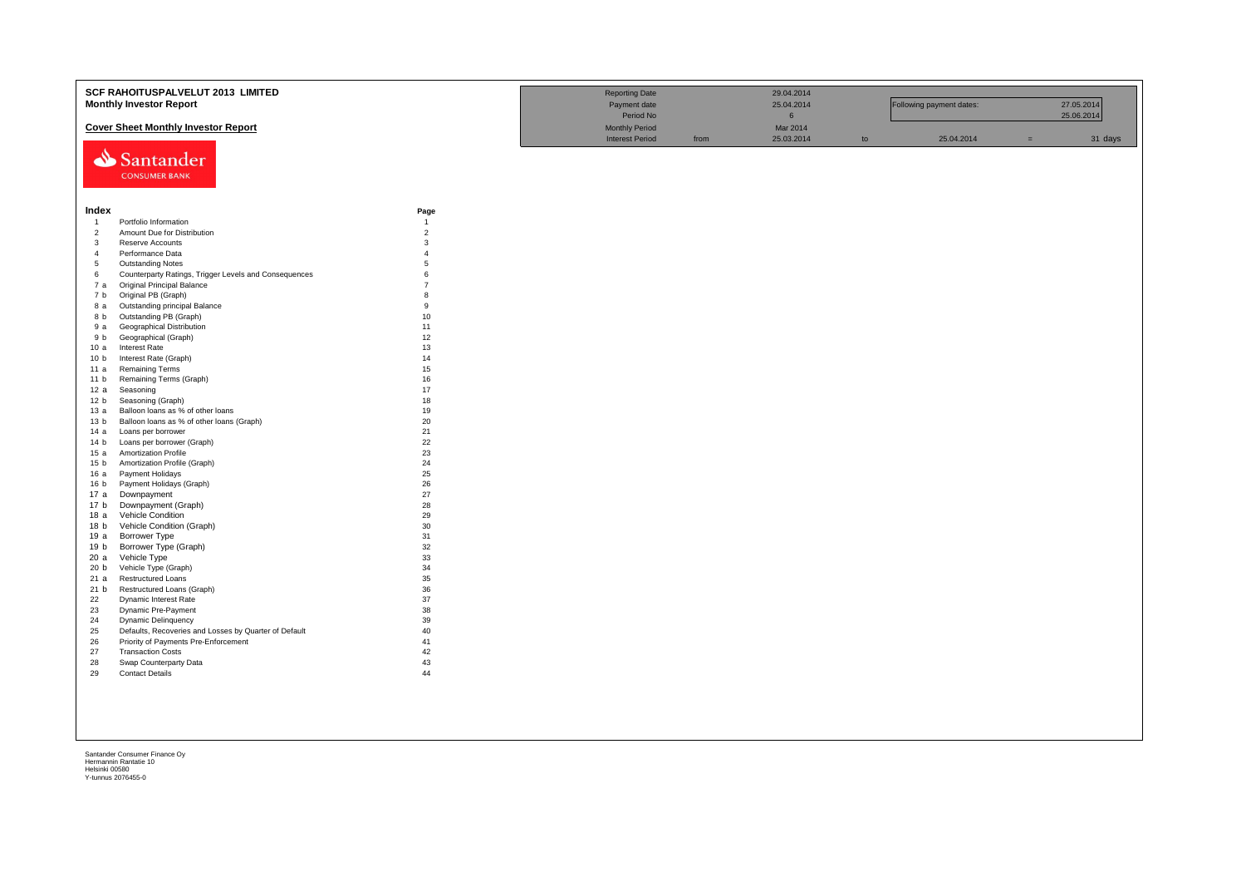|                         | SCF RAHOITUSPALVELUT 2013 LIMITED                                |                        | <b>Reporting Date</b>  |      | 29.04.2014      |    |                          |     |            |
|-------------------------|------------------------------------------------------------------|------------------------|------------------------|------|-----------------|----|--------------------------|-----|------------|
|                         | <b>Monthly Investor Report</b>                                   |                        | Payment date           |      | 25.04.2014      |    | Following payment dates: |     | 27.05.2014 |
|                         |                                                                  |                        | Period No              |      | $6\overline{6}$ |    |                          |     | 25.06.2014 |
|                         | <b>Cover Sheet Monthly Investor Report</b>                       |                        | <b>Monthly Period</b>  |      | Mar 2014        |    |                          |     |            |
|                         |                                                                  |                        | <b>Interest Period</b> | from | 25.03.2014      | to | 25.04.2014               | $=$ | 31 days    |
|                         |                                                                  |                        |                        |      |                 |    |                          |     |            |
|                         | Santander                                                        |                        |                        |      |                 |    |                          |     |            |
|                         | <b>CONSUMER BANK</b>                                             |                        |                        |      |                 |    |                          |     |            |
|                         |                                                                  |                        |                        |      |                 |    |                          |     |            |
|                         |                                                                  |                        |                        |      |                 |    |                          |     |            |
|                         |                                                                  |                        |                        |      |                 |    |                          |     |            |
| Index<br>$\overline{1}$ | Portfolio Information                                            | Page<br>$\overline{1}$ |                        |      |                 |    |                          |     |            |
| $\overline{2}$          | Amount Due for Distribution                                      | $\overline{2}$         |                        |      |                 |    |                          |     |            |
| $\overline{3}$          | Reserve Accounts                                                 | 3                      |                        |      |                 |    |                          |     |            |
| $\overline{4}$          | Performance Data                                                 | $\overline{4}$         |                        |      |                 |    |                          |     |            |
| $\sqrt{5}$              | <b>Outstanding Notes</b>                                         | 5                      |                        |      |                 |    |                          |     |            |
| 6                       | Counterparty Ratings, Trigger Levels and Consequences            | 6                      |                        |      |                 |    |                          |     |            |
| 7 a                     | <b>Original Principal Balance</b>                                | $\overline{7}$         |                        |      |                 |    |                          |     |            |
| 7 b                     | Original PB (Graph)                                              | 8                      |                        |      |                 |    |                          |     |            |
| 8 a                     | Outstanding principal Balance                                    | 9                      |                        |      |                 |    |                          |     |            |
| 8 b                     | Outstanding PB (Graph)                                           | 10                     |                        |      |                 |    |                          |     |            |
| 9 a                     | <b>Geographical Distribution</b>                                 | 11                     |                        |      |                 |    |                          |     |            |
| 9 b                     | Geographical (Graph)                                             | 12                     |                        |      |                 |    |                          |     |            |
| 10a                     | <b>Interest Rate</b>                                             | 13                     |                        |      |                 |    |                          |     |            |
| 10 <sub>b</sub>         | Interest Rate (Graph)                                            | 14                     |                        |      |                 |    |                          |     |            |
| 11a                     | <b>Remaining Terms</b>                                           | 15                     |                        |      |                 |    |                          |     |            |
| 11 <sub>b</sub>         | Remaining Terms (Graph)                                          | 16                     |                        |      |                 |    |                          |     |            |
| 12 a                    | Seasoning                                                        | 17                     |                        |      |                 |    |                          |     |            |
| 12 <sub>b</sub>         | Seasoning (Graph)                                                | 18                     |                        |      |                 |    |                          |     |            |
| 13a                     | Balloon loans as % of other loans                                | 19                     |                        |      |                 |    |                          |     |            |
| 13 <sub>b</sub>         | Balloon loans as % of other loans (Graph)                        | 20<br>21               |                        |      |                 |    |                          |     |            |
| 14 a                    | Loans per borrower<br>Loans per borrower (Graph)                 | 22                     |                        |      |                 |    |                          |     |            |
| 14 b<br>15a             | Amortization Profile                                             | 23                     |                        |      |                 |    |                          |     |            |
| 15 <sub>b</sub>         | Amortization Profile (Graph)                                     | 24                     |                        |      |                 |    |                          |     |            |
| 16 a                    | Payment Holidays                                                 | 25                     |                        |      |                 |    |                          |     |            |
| 16 <sub>b</sub>         | Payment Holidays (Graph)                                         | 26                     |                        |      |                 |    |                          |     |            |
| 17a                     | Downpayment                                                      | 27                     |                        |      |                 |    |                          |     |            |
| 17 <sub>b</sub>         | Downpayment (Graph)                                              | 28                     |                        |      |                 |    |                          |     |            |
| 18a                     | Vehicle Condition                                                | 29                     |                        |      |                 |    |                          |     |            |
| 18 b                    | Vehicle Condition (Graph)                                        | 30                     |                        |      |                 |    |                          |     |            |
| 19 a                    | <b>Borrower Type</b>                                             | 31                     |                        |      |                 |    |                          |     |            |
| 19 b                    | Borrower Type (Graph)                                            | 32                     |                        |      |                 |    |                          |     |            |
| 20a                     | Vehicle Type                                                     | 33                     |                        |      |                 |    |                          |     |            |
| 20 <sub>b</sub>         | Vehicle Type (Graph)                                             | 34                     |                        |      |                 |    |                          |     |            |
| 21a                     | <b>Restructured Loans</b>                                        | 35                     |                        |      |                 |    |                          |     |            |
| 21 b                    | Restructured Loans (Graph)                                       | 36                     |                        |      |                 |    |                          |     |            |
| 22                      | Dynamic Interest Rate                                            | 37                     |                        |      |                 |    |                          |     |            |
| 23                      | Dynamic Pre-Payment                                              | 38                     |                        |      |                 |    |                          |     |            |
| 24                      | <b>Dynamic Delinquency</b>                                       | 39                     |                        |      |                 |    |                          |     |            |
| 25                      | Defaults, Recoveries and Losses by Quarter of Default            | 40                     |                        |      |                 |    |                          |     |            |
| 26<br>27                | Priority of Payments Pre-Enforcement<br><b>Transaction Costs</b> | 41<br>42               |                        |      |                 |    |                          |     |            |
| 28                      | Swap Counterparty Data                                           | 43                     |                        |      |                 |    |                          |     |            |
| 29                      | <b>Contact Details</b>                                           | 44                     |                        |      |                 |    |                          |     |            |
|                         |                                                                  |                        |                        |      |                 |    |                          |     |            |
|                         |                                                                  |                        |                        |      |                 |    |                          |     |            |
|                         |                                                                  |                        |                        |      |                 |    |                          |     |            |
|                         |                                                                  |                        |                        |      |                 |    |                          |     |            |
|                         |                                                                  |                        |                        |      |                 |    |                          |     |            |
|                         |                                                                  |                        |                        |      |                 |    |                          |     |            |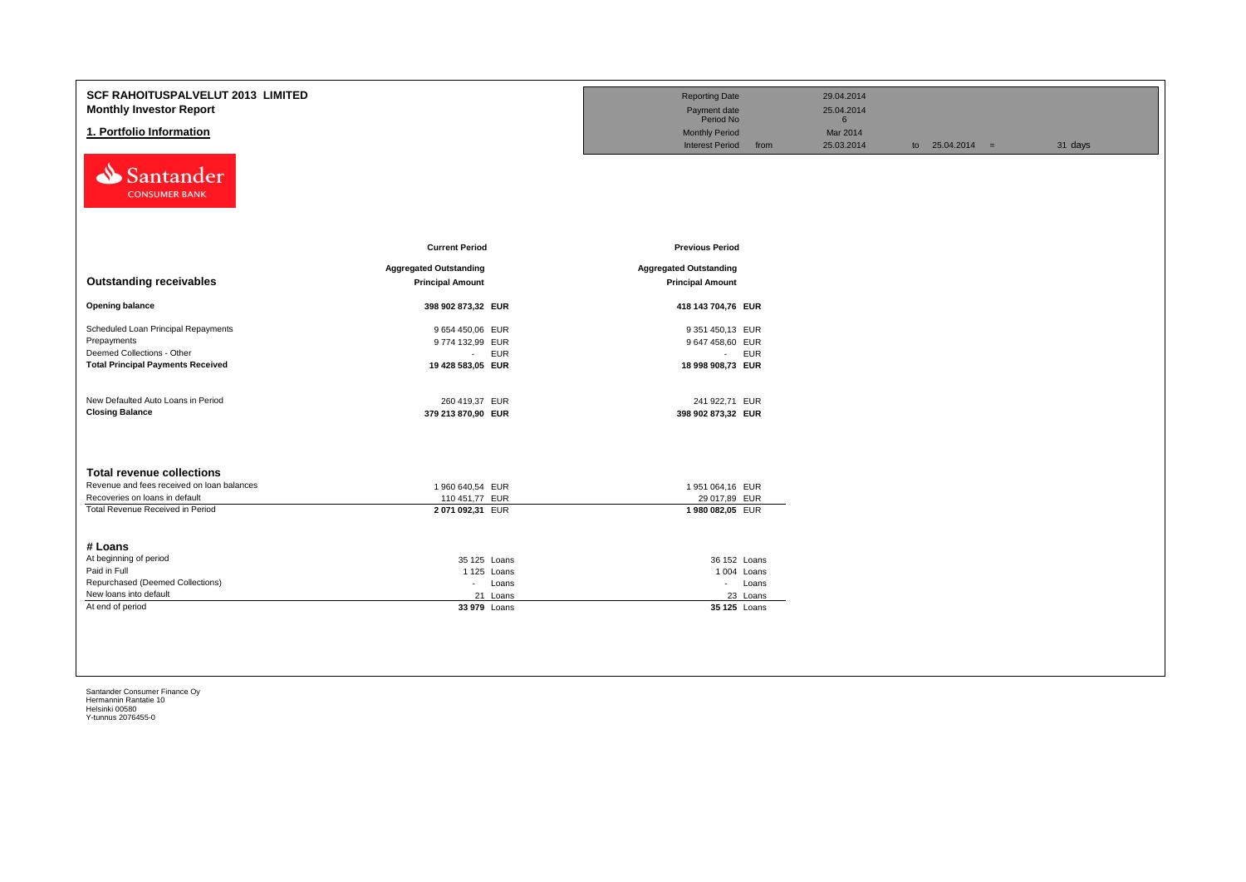| <b>SCF RAHOITUSPALVELUT 2013 LIMITED</b><br><b>Monthly Investor Report</b><br>1. Portfolio Information<br>Santander<br><b>CONSUMER BANK</b>          |                                                                    | <b>Reporting Date</b><br>Payment date<br>Period No<br><b>Monthly Period</b><br><b>Interest Period</b><br>from | 29.04.2014<br>25.04.2014<br>$6\overline{6}$<br>Mar 2014<br>25.03.2014<br>to $25.04.2014 =$ | 31 days |
|------------------------------------------------------------------------------------------------------------------------------------------------------|--------------------------------------------------------------------|---------------------------------------------------------------------------------------------------------------|--------------------------------------------------------------------------------------------|---------|
|                                                                                                                                                      | <b>Current Period</b>                                              | <b>Previous Period</b>                                                                                        |                                                                                            |         |
| <b>Outstanding receivables</b>                                                                                                                       | <b>Aggregated Outstanding</b><br><b>Principal Amount</b>           | <b>Aggregated Outstanding</b><br><b>Principal Amount</b>                                                      |                                                                                            |         |
| <b>Opening balance</b>                                                                                                                               | 398 902 873,32 EUR                                                 | 418 143 704,76 EUR                                                                                            |                                                                                            |         |
| Scheduled Loan Principal Repayments<br>Prepayments<br>Deemed Collections - Other<br><b>Total Principal Payments Received</b>                         | 9 654 450,06 EUR<br>9774 132,99 EUR<br>- EUR<br>19 428 583,05 EUR  | 9 351 450,13 EUR<br>9 647 458,60 EUR<br>- EUR<br>18 998 908,73 EUR                                            |                                                                                            |         |
| New Defaulted Auto Loans in Period<br><b>Closing Balance</b>                                                                                         | 260 419,37 EUR<br>379 213 870,90 EUR                               | 241 922,71 EUR<br>398 902 873,32 EUR                                                                          |                                                                                            |         |
| <b>Total revenue collections</b><br>Revenue and fees received on loan balances<br>Recoveries on loans in default<br>Total Revenue Received in Period | 1 960 640,54 EUR<br>110 451,77 EUR<br>2 071 092,31 EUR             | 1951 064,16 EUR<br>29 017,89 EUR<br>1980 082,05 EUR                                                           |                                                                                            |         |
| # Loans<br>At beginning of period<br>Paid in Full<br>Repurchased (Deemed Collections)<br>New loans into default<br>At end of period                  | 35 125 Loans<br>1 125 Loans<br>- Loans<br>21 Loans<br>33 979 Loans | 36 152 Loans<br>1 004 Loans<br>- Loans<br>23 Loans<br>35 125 Loans                                            |                                                                                            |         |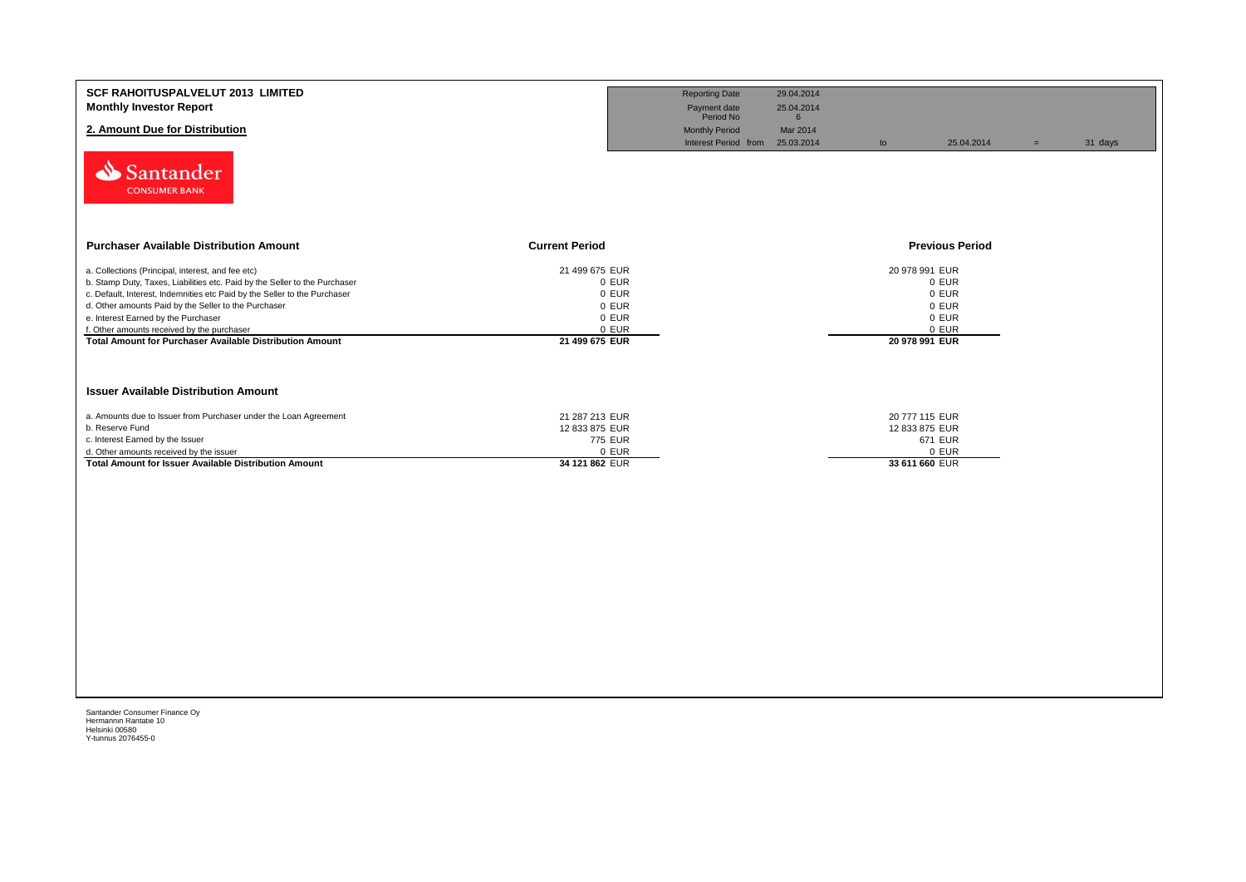| <b>SCF RAHOITUSPALVELUT 2013 LIMITED</b><br><b>Monthly Investor Report</b><br>2. Amount Due for Distribution                                                                                                                                                                                                                                                                                                                 |                                                                               | <b>Reporting Date</b><br>Payment date<br>Period No<br><b>Monthly Period</b> | 29.04.2014<br>25.04.2014<br>$6\overline{6}$<br>Mar 2014 |                                                               |                                           |     |         |
|------------------------------------------------------------------------------------------------------------------------------------------------------------------------------------------------------------------------------------------------------------------------------------------------------------------------------------------------------------------------------------------------------------------------------|-------------------------------------------------------------------------------|-----------------------------------------------------------------------------|---------------------------------------------------------|---------------------------------------------------------------|-------------------------------------------|-----|---------|
| Santander<br><b>CONSUMER BANK</b>                                                                                                                                                                                                                                                                                                                                                                                            |                                                                               | Interest Period from                                                        | 25.03.2014                                              | to                                                            | 25.04.2014                                | $=$ | 31 days |
| <b>Purchaser Available Distribution Amount</b><br><b>Current Period</b>                                                                                                                                                                                                                                                                                                                                                      |                                                                               |                                                                             |                                                         |                                                               | <b>Previous Period</b>                    |     |         |
| a. Collections (Principal, interest, and fee etc)<br>b. Stamp Duty, Taxes, Liabilities etc. Paid by the Seller to the Purchaser<br>c. Default, Interest, Indemnities etc Paid by the Seller to the Purchaser<br>d. Other amounts Paid by the Seller to the Purchaser<br>e. Interest Earned by the Purchaser<br>f. Other amounts received by the purchaser<br><b>Total Amount for Purchaser Available Distribution Amount</b> | 21 499 675 EUR<br>0 EUR<br>0 EUR<br>0 EUR<br>0 EUR<br>0 EUR<br>21 499 675 EUR |                                                                             |                                                         | 20 978 991 EUR<br>20 978 991 EUR                              | 0 EUR<br>0 EUR<br>0 EUR<br>0 EUR<br>0 EUR |     |         |
| <b>Issuer Available Distribution Amount</b>                                                                                                                                                                                                                                                                                                                                                                                  |                                                                               |                                                                             |                                                         |                                                               |                                           |     |         |
| a. Amounts due to Issuer from Purchaser under the Loan Agreement<br>b. Reserve Fund<br>c. Interest Earned by the Issuer<br>d. Other amounts received by the issuer<br><b>Total Amount for Issuer Available Distribution Amount</b>                                                                                                                                                                                           | 21 287 213 EUR<br>12 833 875 EUR<br>775 EUR<br>0 EUR<br>34 121 862 EUR        |                                                                             |                                                         | 20 777 115 EUR<br>12 833 875 EUR<br>671 EUR<br>33 611 660 EUR | 0 EUR                                     |     |         |
|                                                                                                                                                                                                                                                                                                                                                                                                                              |                                                                               |                                                                             |                                                         |                                                               |                                           |     |         |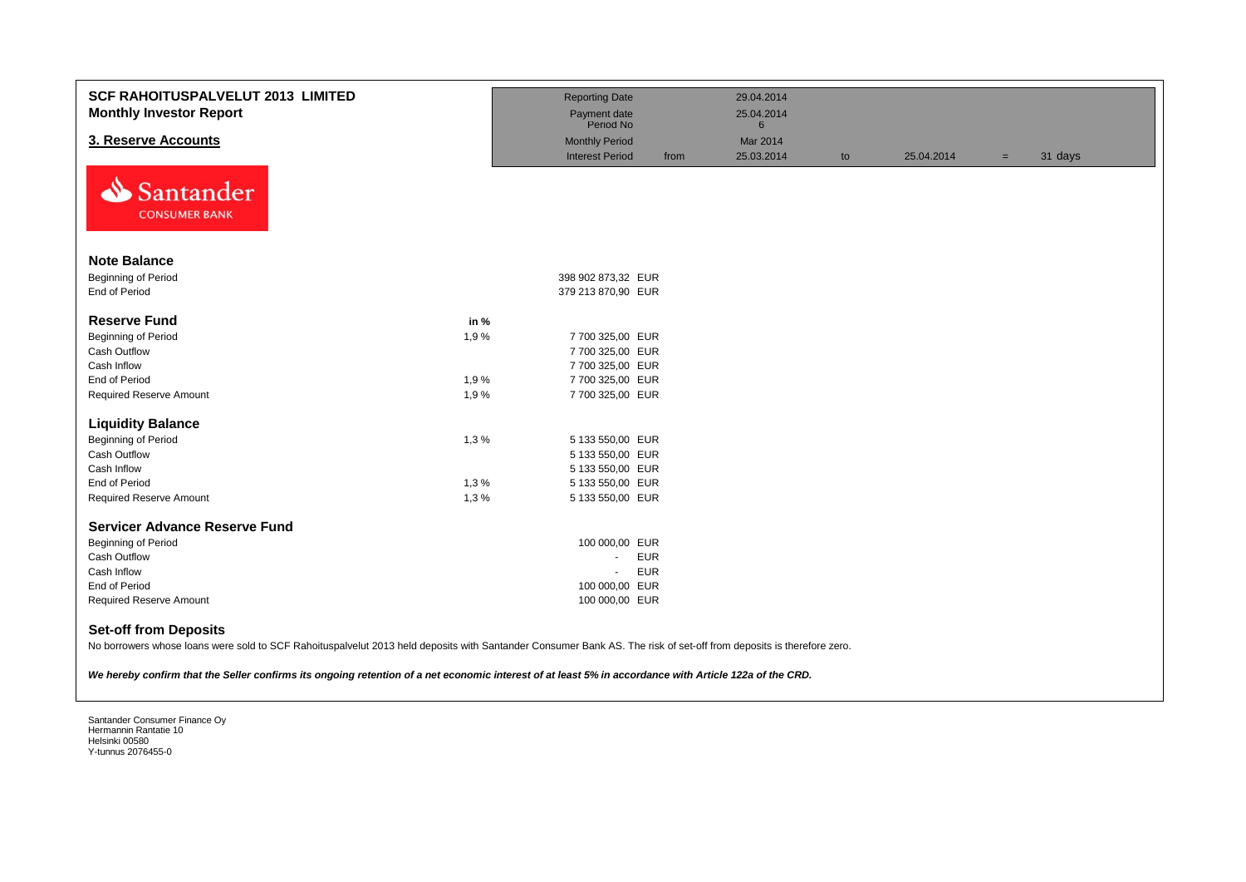| <b>SCF RAHOITUSPALVELUT 2013 LIMITED</b><br><b>Monthly Investor Report</b>                                                                                                                                                                                                                                                                                    |      | <b>Reporting Date</b><br>Payment date<br>Period No |      | 29.04.2014<br>25.04.2014<br>$6\phantom{1}$ |    |            |     |         |
|---------------------------------------------------------------------------------------------------------------------------------------------------------------------------------------------------------------------------------------------------------------------------------------------------------------------------------------------------------------|------|----------------------------------------------------|------|--------------------------------------------|----|------------|-----|---------|
| 3. Reserve Accounts                                                                                                                                                                                                                                                                                                                                           |      | <b>Monthly Period</b>                              |      | Mar 2014                                   |    |            |     |         |
|                                                                                                                                                                                                                                                                                                                                                               |      | <b>Interest Period</b>                             | from | 25.03.2014                                 | to | 25.04.2014 | $=$ | 31 days |
| Santander<br><b>CONSUMER BANK</b>                                                                                                                                                                                                                                                                                                                             |      |                                                    |      |                                            |    |            |     |         |
| <b>Note Balance</b>                                                                                                                                                                                                                                                                                                                                           |      |                                                    |      |                                            |    |            |     |         |
| <b>Beginning of Period</b>                                                                                                                                                                                                                                                                                                                                    |      | 398 902 873,32 EUR                                 |      |                                            |    |            |     |         |
| End of Period                                                                                                                                                                                                                                                                                                                                                 |      | 379 213 870,90 EUR                                 |      |                                            |    |            |     |         |
| <b>Reserve Fund</b>                                                                                                                                                                                                                                                                                                                                           | in % |                                                    |      |                                            |    |            |     |         |
| <b>Beginning of Period</b>                                                                                                                                                                                                                                                                                                                                    | 1,9% | 7 700 325,00 EUR                                   |      |                                            |    |            |     |         |
| Cash Outflow                                                                                                                                                                                                                                                                                                                                                  |      | 7 700 325,00 EUR                                   |      |                                            |    |            |     |         |
| Cash Inflow                                                                                                                                                                                                                                                                                                                                                   |      | 7 700 325,00 EUR                                   |      |                                            |    |            |     |         |
| End of Period                                                                                                                                                                                                                                                                                                                                                 | 1,9% | 7 700 325,00 EUR                                   |      |                                            |    |            |     |         |
| <b>Required Reserve Amount</b>                                                                                                                                                                                                                                                                                                                                | 1,9% | 7 700 325,00 EUR                                   |      |                                            |    |            |     |         |
| <b>Liquidity Balance</b>                                                                                                                                                                                                                                                                                                                                      |      |                                                    |      |                                            |    |            |     |         |
| <b>Beginning of Period</b>                                                                                                                                                                                                                                                                                                                                    | 1,3% | 5 133 550,00 EUR                                   |      |                                            |    |            |     |         |
| Cash Outflow                                                                                                                                                                                                                                                                                                                                                  |      | 5 133 550,00 EUR                                   |      |                                            |    |            |     |         |
| Cash Inflow                                                                                                                                                                                                                                                                                                                                                   |      | 5 133 550,00 EUR                                   |      |                                            |    |            |     |         |
| <b>End of Period</b>                                                                                                                                                                                                                                                                                                                                          | 1,3% | 5 133 550,00 EUR                                   |      |                                            |    |            |     |         |
| <b>Required Reserve Amount</b>                                                                                                                                                                                                                                                                                                                                | 1,3% | 5 133 550,00 EUR                                   |      |                                            |    |            |     |         |
| <b>Servicer Advance Reserve Fund</b>                                                                                                                                                                                                                                                                                                                          |      |                                                    |      |                                            |    |            |     |         |
| <b>Beginning of Period</b>                                                                                                                                                                                                                                                                                                                                    |      | 100 000,00 EUR                                     |      |                                            |    |            |     |         |
| <b>Cash Outflow</b>                                                                                                                                                                                                                                                                                                                                           |      | <b>EUR</b><br>÷.                                   |      |                                            |    |            |     |         |
| Cash Inflow                                                                                                                                                                                                                                                                                                                                                   |      | <b>EUR</b><br>$\blacksquare$                       |      |                                            |    |            |     |         |
| End of Period                                                                                                                                                                                                                                                                                                                                                 |      | 100 000,00 EUR                                     |      |                                            |    |            |     |         |
| <b>Required Reserve Amount</b>                                                                                                                                                                                                                                                                                                                                |      | 100 000,00 EUR                                     |      |                                            |    |            |     |         |
| <b>Set-off from Deposits</b><br>No borrowers whose loans were sold to SCF Rahoituspalvelut 2013 held deposits with Santander Consumer Bank AS. The risk of set-off from deposits is therefore zero.<br>We hereby confirm that the Seller confirms its ongoing retention of a net economic interest of at least 5% in accordance with Article 122a of the CRD. |      |                                                    |      |                                            |    |            |     |         |
|                                                                                                                                                                                                                                                                                                                                                               |      |                                                    |      |                                            |    |            |     |         |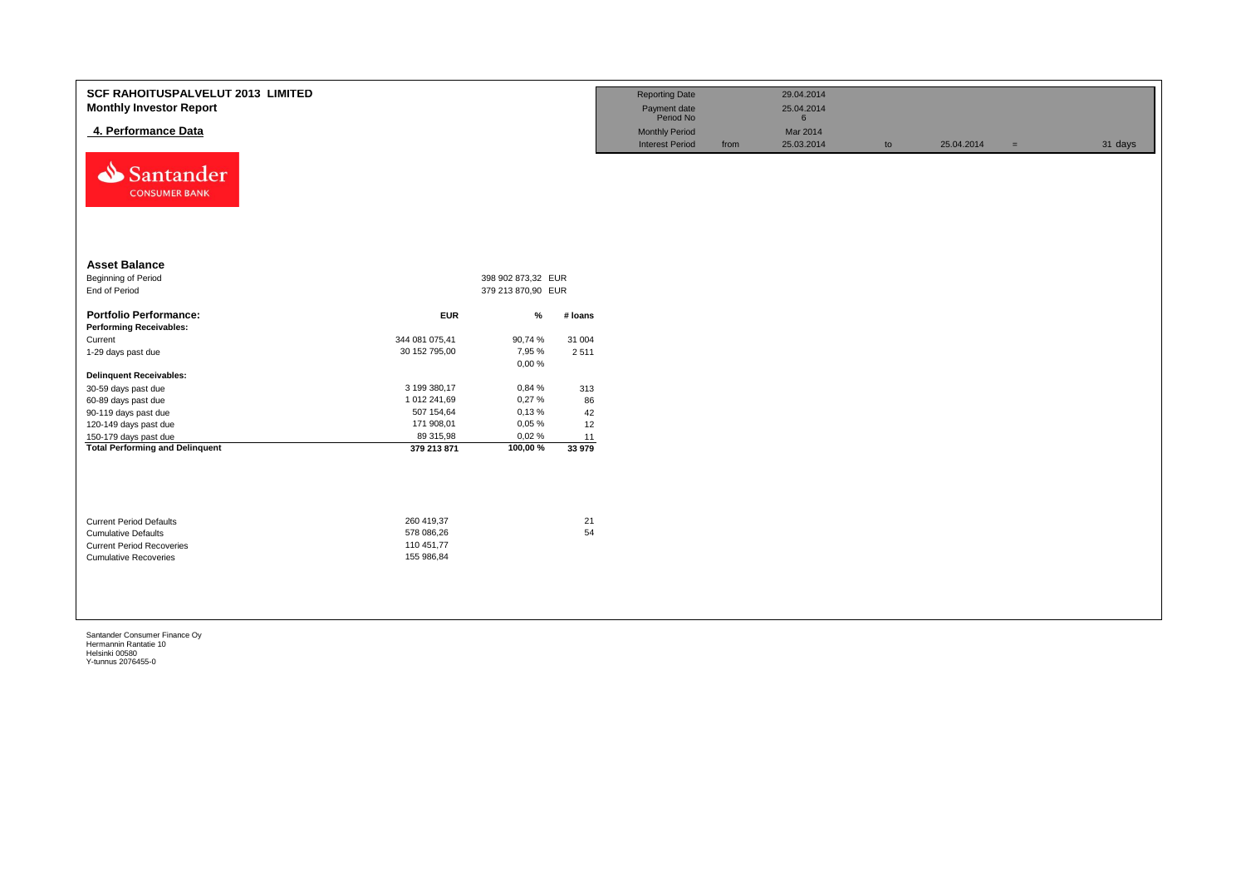| <b>SCF RAHOITUSPALVELUT 2013 LIMITED</b><br><b>Monthly Investor Report</b><br>4. Performance Data<br>Santander<br><b>CONSUMER BANK</b> |                |                    |         | <b>Reporting Date</b><br>Payment date<br>Period No<br><b>Monthly Period</b><br><b>Interest Period</b> | from | 29.04.2014<br>25.04.2014<br>6<br>Mar 2014<br>25.03.2014 | to | 25.04.2014 | $\equiv$ | 31 days |
|----------------------------------------------------------------------------------------------------------------------------------------|----------------|--------------------|---------|-------------------------------------------------------------------------------------------------------|------|---------------------------------------------------------|----|------------|----------|---------|
| <b>Asset Balance</b>                                                                                                                   |                |                    |         |                                                                                                       |      |                                                         |    |            |          |         |
| Beginning of Period                                                                                                                    |                | 398 902 873,32 EUR |         |                                                                                                       |      |                                                         |    |            |          |         |
| End of Period                                                                                                                          |                | 379 213 870,90 EUR |         |                                                                                                       |      |                                                         |    |            |          |         |
| <b>Portfolio Performance:</b>                                                                                                          | <b>EUR</b>     | %                  | # loans |                                                                                                       |      |                                                         |    |            |          |         |
| <b>Performing Receivables:</b>                                                                                                         |                |                    |         |                                                                                                       |      |                                                         |    |            |          |         |
| Current                                                                                                                                | 344 081 075,41 | 90,74 %            | 31 004  |                                                                                                       |      |                                                         |    |            |          |         |
| 1-29 days past due                                                                                                                     | 30 152 795,00  | 7,95 %<br>0,00%    | 2 5 1 1 |                                                                                                       |      |                                                         |    |            |          |         |
| <b>Delinquent Receivables:</b>                                                                                                         |                |                    |         |                                                                                                       |      |                                                         |    |            |          |         |
| 30-59 days past due                                                                                                                    | 3 199 380,17   | 0,84 %             | 313     |                                                                                                       |      |                                                         |    |            |          |         |
| 60-89 days past due                                                                                                                    | 1 012 241,69   | 0,27%              | 86      |                                                                                                       |      |                                                         |    |            |          |         |
| 90-119 days past due                                                                                                                   | 507 154,64     | 0,13%              | 42      |                                                                                                       |      |                                                         |    |            |          |         |
| 120-149 days past due                                                                                                                  | 171 908,01     | 0,05%              | 12      |                                                                                                       |      |                                                         |    |            |          |         |
| 150-179 days past due                                                                                                                  | 89 315,98      | 0,02%              | 11      |                                                                                                       |      |                                                         |    |            |          |         |
| <b>Total Performing and Delinquent</b>                                                                                                 | 379 213 871    | 100,00%            | 33 979  |                                                                                                       |      |                                                         |    |            |          |         |
| <b>Current Period Defaults</b>                                                                                                         | 260 419,37     |                    | 21      |                                                                                                       |      |                                                         |    |            |          |         |
| <b>Cumulative Defaults</b>                                                                                                             | 578 086,26     |                    | 54      |                                                                                                       |      |                                                         |    |            |          |         |
| <b>Current Period Recoveries</b>                                                                                                       | 110 451,77     |                    |         |                                                                                                       |      |                                                         |    |            |          |         |
| <b>Cumulative Recoveries</b>                                                                                                           | 155 986,84     |                    |         |                                                                                                       |      |                                                         |    |            |          |         |
|                                                                                                                                        |                |                    |         |                                                                                                       |      |                                                         |    |            |          |         |
|                                                                                                                                        |                |                    |         |                                                                                                       |      |                                                         |    |            |          |         |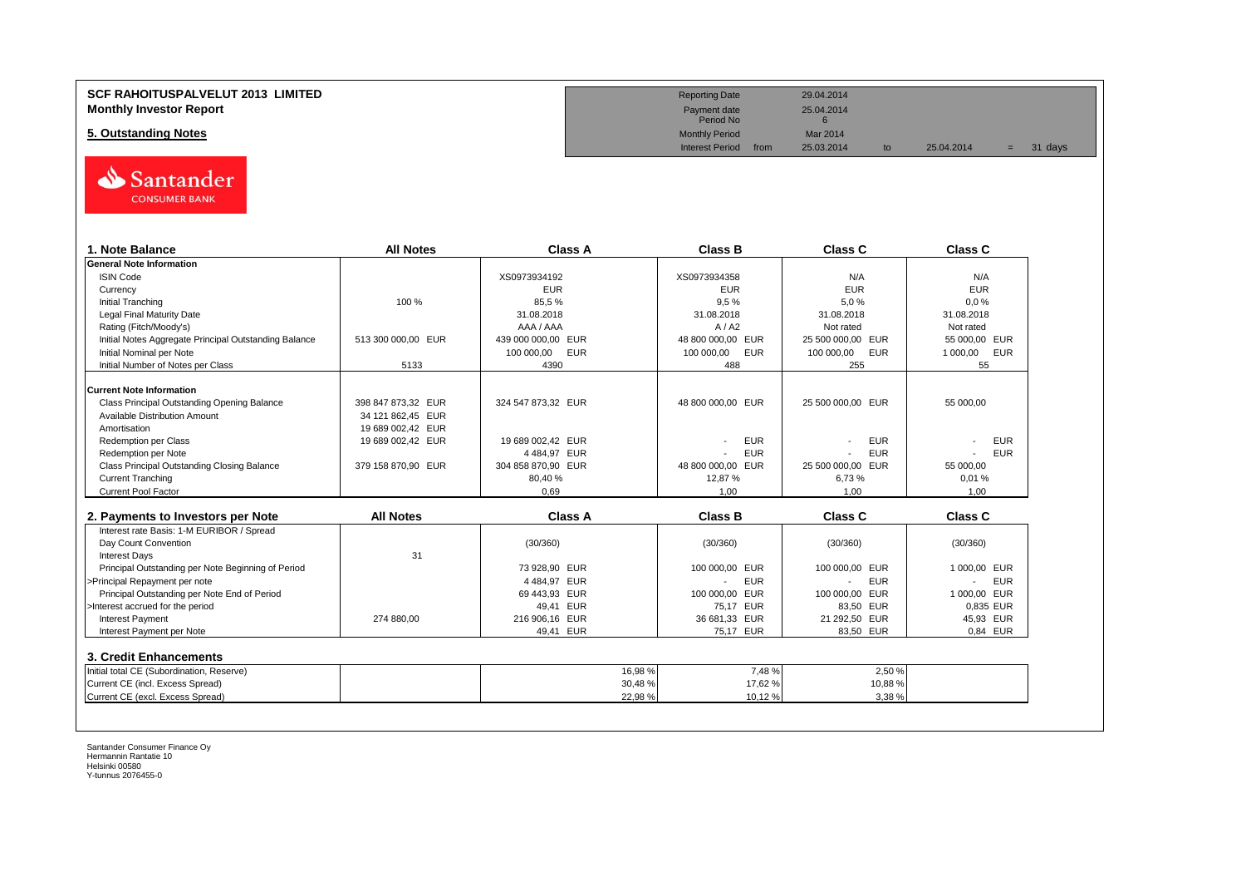# **SCF RAHOITUSPALVELUT 2013 LIMITED Reporting Date** 29.04.2014 **Monthly Investor Report** 25.04.2014<br> **Monthly Investor Report** 25.04.2014<br>
Payment date 25.04.2014

**5. Outstanding Notes** Mar 2014<br>
Monthly Period Mar 2014<br>
Interest Period from 25.03.2014



| 1. Note Balance                                       | <b>All Notes</b>   | Class A                  | <b>Class B</b>           | Class C                  | Class C                                |
|-------------------------------------------------------|--------------------|--------------------------|--------------------------|--------------------------|----------------------------------------|
| <b>General Note Information</b>                       |                    |                          |                          |                          |                                        |
| <b>ISIN Code</b>                                      |                    | XS0973934192             | XS0973934358             | N/A                      | N/A                                    |
| Currency                                              |                    | <b>EUR</b>               | <b>EUR</b>               | <b>EUR</b>               | <b>EUR</b>                             |
| <b>Initial Tranching</b>                              | 100 %              | 85.5%                    | 9.5%                     | 5.0%                     | 0.0%                                   |
| Legal Final Maturity Date                             |                    | 31.08.2018               | 31.08.2018               | 31.08.2018               | 31.08.2018                             |
| Rating (Fitch/Moody's)                                |                    | AAA / AAA                | A/ A2                    | Not rated                | Not rated                              |
| Initial Notes Aggregate Principal Outstanding Balance | 513 300 000.00 EUR | 439 000 000.00 EUR       | 48 800 000.00 EUR        | 25 500 000.00 EUR        | 55 000.00 EUR                          |
| Initial Nominal per Note                              |                    | <b>EUR</b><br>100 000,00 | <b>EUR</b><br>100 000.00 | 100 000.00<br><b>EUR</b> | <b>EUR</b><br>1 000,00                 |
| Initial Number of Notes per Class                     | 5133               | 4390                     | 488                      | 255                      | 55                                     |
| <b>Current Note Information</b>                       |                    |                          |                          |                          |                                        |
| Class Principal Outstanding Opening Balance           | 398 847 873.32 EUR | 324 547 873.32 EUR       | 48 800 000.00 EUR        | 25 500 000.00 EUR        | 55 000.00                              |
| Available Distribution Amount                         | 34 121 862.45 EUR  |                          |                          |                          |                                        |
| Amortisation                                          | 19 689 002,42 EUR  |                          |                          |                          |                                        |
| <b>Redemption per Class</b>                           | 19 689 002,42 EUR  | 19 689 002.42 EUR        | <b>EUR</b>               | <b>EUR</b>               | <b>EUR</b>                             |
| Redemption per Note                                   |                    | 4484.97 EUR              | <b>EUR</b>               | <b>EUR</b>               | <b>EUR</b>                             |
| Class Principal Outstanding Closing Balance           | 379 158 870.90 EUR | 304 858 870.90 EUR       | 48 800 000.00 EUR        | 25 500 000.00 EUR        | 55 000.00                              |
| <b>Current Tranching</b>                              |                    | 80,40%                   | 12,87%                   | 6,73%                    | 0,01%                                  |
| Current Pool Factor                                   |                    | 0.69                     | 1.00                     | 1.00                     | 1.00                                   |
| 2. Payments to Investors per Note                     | <b>All Notes</b>   | <b>Class A</b>           | <b>Class B</b>           | Class C                  | <b>Class C</b>                         |
| Interest rate Basis: 1-M EURIBOR / Spread             |                    |                          |                          |                          |                                        |
| Day Count Convention                                  |                    | (30/360)                 | (30/360)                 | (30/360)                 | (30/360)                               |
| <b>Interest Days</b>                                  | 31                 |                          |                          |                          |                                        |
| Principal Outstanding per Note Beginning of Period    |                    | 73 928.90 EUR            | 100 000,00 EUR           | 100 000,00 EUR           | 1 000,00 EUR                           |
| >Principal Repayment per note                         |                    | 4484.97 EUR              | <b>EUR</b>               | <b>EUR</b>               | <b>EUR</b><br>$\overline{\phantom{a}}$ |
| Principal Outstanding per Note End of Period          |                    | 69 443,93 EUR            | 100 000,00 EUR           | 100 000,00 EUR           | 1 000,00 EUR                           |
| >Interest accrued for the period                      |                    | 49.41 EUR                | 75.17 EUR                | 83,50 EUR                | 0.835 EUR                              |
| <b>Interest Payment</b>                               | 274 880,00         | 216 906.16 EUR           | 36 681,33 EUR            | 21 292,50 EUR            | 45,93 EUR                              |
| Interest Payment per Note                             |                    | 49.41 EUR                | 75.17 EUR                | 83,50 EUR                | 0,84 EUR                               |
|                                                       |                    |                          |                          |                          |                                        |
| 3. Credit Enhancements                                |                    |                          |                          |                          |                                        |
| Initial total CE (Subordination, Reserve)             |                    | 16,98%                   | 7,48%                    | 2,50%                    |                                        |
| Current CE (incl. Excess Spread)                      |                    | 30,48%                   | 17,62 %                  | 10,88%                   |                                        |
| Current CE (excl. Excess Spread)                      |                    | 22,98 %                  | 10.12%                   | 3.38%                    |                                        |

Payment date<br>Period No

Interest Period from 25.03.2014 to 25.04.2014 = 31 days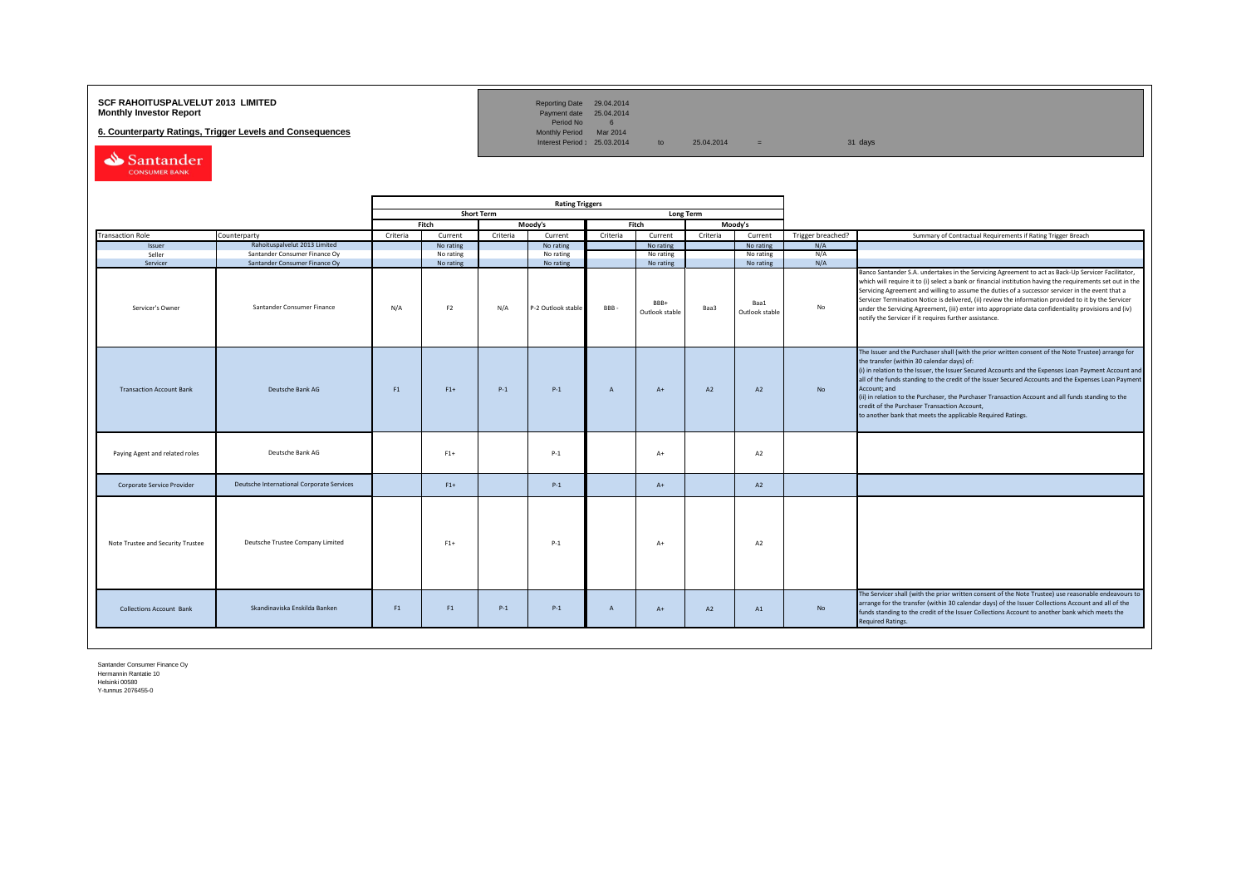## **SCF RAHOITUSPALVELUT 2013 LIMITED**<br>**Monthly Investor Report** Payment date 25.04.2014

**6. Counterparty Ratings, Trigger Levels and Consequences** 

Reporting Date 29.04.2014<br>Payment date 25.04.2014<br>Period No 6<br>Monthly Period Mar 2014

Interest Period:  $25.03.2014$  to  $25.04.2014$  = 31 days

Santander CONSUMER BANK

|                                   |                                           |                |                |                   | <b>Rating Triggers</b> |                |                        |                  |                        |                   |                                                                                                                                                                                                                                                                                                                                                                                                                                                                                                                                                                                                        |
|-----------------------------------|-------------------------------------------|----------------|----------------|-------------------|------------------------|----------------|------------------------|------------------|------------------------|-------------------|--------------------------------------------------------------------------------------------------------------------------------------------------------------------------------------------------------------------------------------------------------------------------------------------------------------------------------------------------------------------------------------------------------------------------------------------------------------------------------------------------------------------------------------------------------------------------------------------------------|
|                                   |                                           |                |                | <b>Short Term</b> |                        |                |                        | <b>Long Term</b> |                        |                   |                                                                                                                                                                                                                                                                                                                                                                                                                                                                                                                                                                                                        |
|                                   |                                           |                | Fitch          |                   | Moody's                |                | Fitch                  |                  | Moody's                |                   |                                                                                                                                                                                                                                                                                                                                                                                                                                                                                                                                                                                                        |
| <b>Transaction Role</b>           | Counterparty                              | Criteria       | Current        | Criteria          | Current                | Criteria       | Current                | Criteria         | Current                | Trigger breached? | Summary of Contractual Requirements if Rating Trigger Breach                                                                                                                                                                                                                                                                                                                                                                                                                                                                                                                                           |
| Issuer                            | Rahoituspalvelut 2013 Limited             |                | No rating      |                   | No rating              |                | No rating              |                  | No rating              | N/A               |                                                                                                                                                                                                                                                                                                                                                                                                                                                                                                                                                                                                        |
| Seller                            | Santander Consumer Finance Oy             |                | No rating      |                   | No rating              |                | No rating              |                  | No rating              | N/A               |                                                                                                                                                                                                                                                                                                                                                                                                                                                                                                                                                                                                        |
| Servicer                          | Santander Consumer Finance Oy             |                | No rating      |                   | No rating              |                | No rating              |                  | No rating              | N/A               |                                                                                                                                                                                                                                                                                                                                                                                                                                                                                                                                                                                                        |
| Servicer's Owner                  | Santander Consumer Finance                | N/A            | F <sub>2</sub> | N/A               | P-2 Outlook stable     | BBB-           | BBB+<br>Outlook stable | Baa3             | Baa1<br>Outlook stable | No                | Banco Santander S.A. undertakes in the Servicing Agreement to act as Back-Up Servicer Facilitator,<br>which will require it to (i) select a bank or financial institution having the requirements set out in the<br>Servicing Agreement and willing to assume the duties of a successor servicer in the event that a<br>Servicer Termination Notice is delivered, (ii) review the information provided to it by the Servicer<br>under the Servicing Agreement, (iii) enter into appropriate data confidentiality provisions and (iv)<br>notify the Servicer if it requires further assistance.         |
| <b>Transaction Account Bank</b>   | Deutsche Bank AG                          | F1             | $F1+$          | $P-1$             | $P-1$                  | $\overline{A}$ | $A+$                   | A2               | A2                     | <b>No</b>         | The Issuer and the Purchaser shall (with the prior written consent of the Note Trustee) arrange for<br>the transfer (within 30 calendar days) of:<br>(i) in relation to the Issuer, the Issuer Secured Accounts and the Expenses Loan Payment Account and<br>all of the funds standing to the credit of the Issuer Secured Accounts and the Expenses Loan Payment<br>Account: and<br>(ii) in relation to the Purchaser, the Purchaser Transaction Account and all funds standing to the<br>credit of the Purchaser Transaction Account,<br>to another bank that meets the applicable Required Ratings. |
| Paying Agent and related roles    | Deutsche Bank AG                          |                | $F1+$          |                   | $P-1$                  |                | $A+$                   |                  | A2                     |                   |                                                                                                                                                                                                                                                                                                                                                                                                                                                                                                                                                                                                        |
| Corporate Service Provider        | Deutsche International Corporate Services |                | $F1+$          |                   | $P-1$                  |                | $A+$                   |                  | A2                     |                   |                                                                                                                                                                                                                                                                                                                                                                                                                                                                                                                                                                                                        |
| Note Trustee and Security Trustee | Deutsche Trustee Company Limited          |                | $F1+$          |                   | $P-1$                  |                | $A+$                   |                  | A2                     |                   |                                                                                                                                                                                                                                                                                                                                                                                                                                                                                                                                                                                                        |
| <b>Collections Account Bank</b>   | Skandinaviska Enskilda Banken             | F <sub>1</sub> | F1             | $P-1$             | $P-1$                  | $\overline{A}$ | $A+$                   | A2               | A1                     | No                | The Servicer shall (with the prior written consent of the Note Trustee) use reasonable endeavours to<br>arrange for the transfer (within 30 calendar days) of the Issuer Collections Account and all of the<br>funds standing to the credit of the Issuer Collections Account to another bank which meets the<br><b>Required Ratings.</b>                                                                                                                                                                                                                                                              |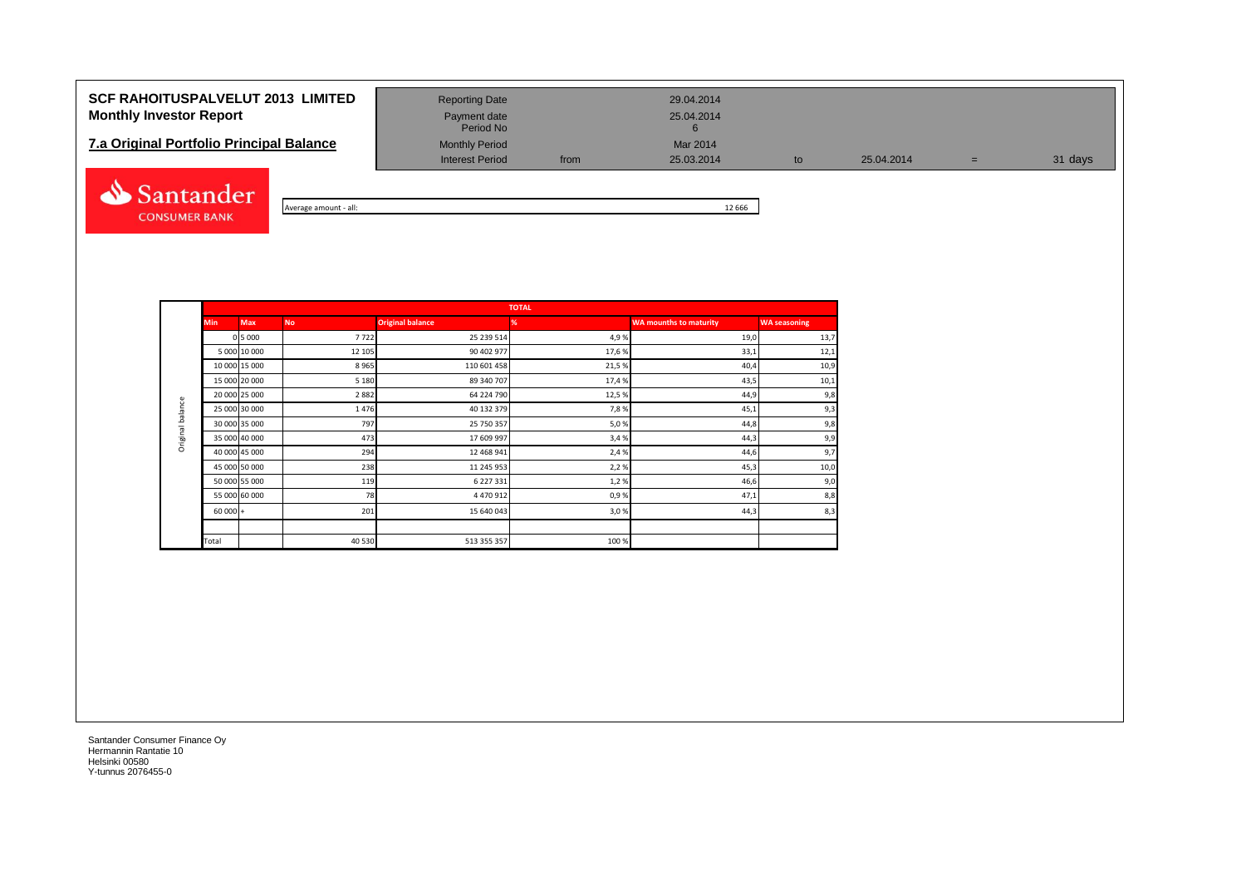# **SCF RAHOITUSPALVELUT 2013 LIMITED** Reporting Date 29.04.2014 **Monthly Investor Report Payment date** Payment date 25.04.2014

# **7.a Original Portfolio Principal Balance** Monthly Period Mar 2014<br>Interest Period Mar 2003.2014



Average amount - all: 12 666

Payment date<br>Period No

Interest Period from 25.03.2014 to 25.04.2014 = 31 days

|                  |               |               |           |                         | <b>TOTAL</b> |                               |                     |
|------------------|---------------|---------------|-----------|-------------------------|--------------|-------------------------------|---------------------|
|                  | <b>Min</b>    | <b>Max</b>    | <b>No</b> | <b>Original balance</b> | %            | <b>WA mounths to maturity</b> | <b>WA seasoning</b> |
|                  |               | 0 5 0 0 0     | 7722      | 25 239 514              | 4,9%         | 19,0                          | 13,7                |
|                  |               | 5 000 10 000  | 12 105    | 90 402 977              | 17,6 %       | 33,1                          | 12,1                |
|                  | 10 000 15 000 |               | 8965      | 110 601 458             | 21,5%        | 40,4                          | 10,9                |
|                  | 15 000 20 000 |               | 5 1 8 0   | 89 340 707              | 17,4 %       | 43,5                          | 10,1                |
|                  |               | 20 000 25 000 | 2882      | 64 224 790              | 12,5 %       | 44,9                          | 9,8                 |
| Original balance | 25 000 30 000 |               | 1476      | 40 132 379              | 7,8%         | 45,1                          | 9,3                 |
|                  |               | 30 000 35 000 | 797       | 25 750 357              | 5,0%         | 44,8                          | 9,8                 |
|                  | 35 000 40 000 |               | 473       | 17 609 997              | 3,4%         | 44,3                          | 9,9                 |
|                  |               | 40 000 45 000 | 294       | 12 468 941              | 2,4 %        | 44,6                          | 9,7                 |
|                  | 45 000 50 000 |               | 238       | 11 245 953              | 2,2%         | 45,3                          | 10,0                |
|                  |               | 50 000 55 000 | 119       | 6 227 331               | 1,2%         | 46,6                          | 9,0                 |
|                  |               | 55 000 60 000 | 78        | 4 470 912               | 0,9%         | 47,1                          | 8,8                 |
|                  | $60000 +$     |               | 201       | 15 640 043              | 3,0%         | 44,3                          | 8,3                 |
|                  |               |               |           |                         |              |                               |                     |
|                  | Total         |               | 40 5 30   | 513 355 357             | 100%         |                               |                     |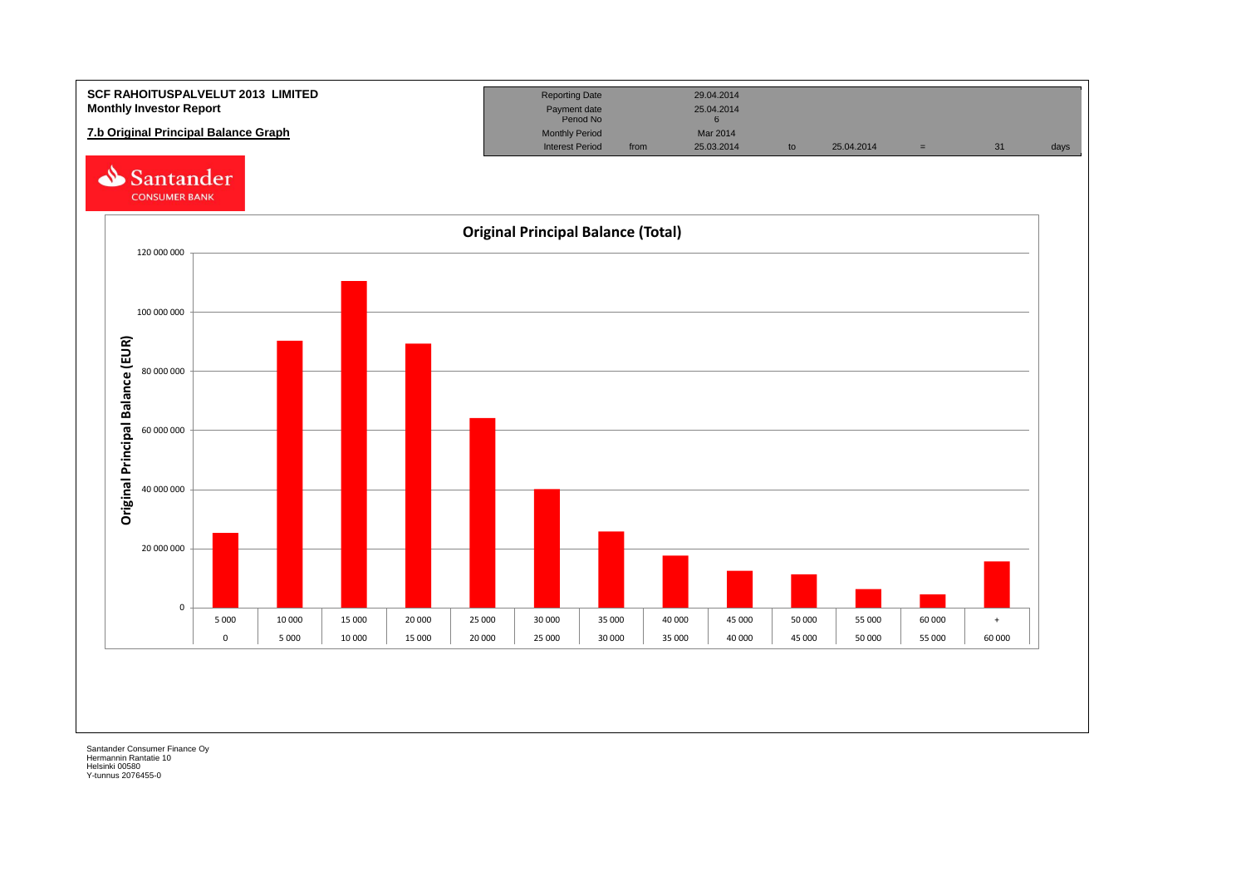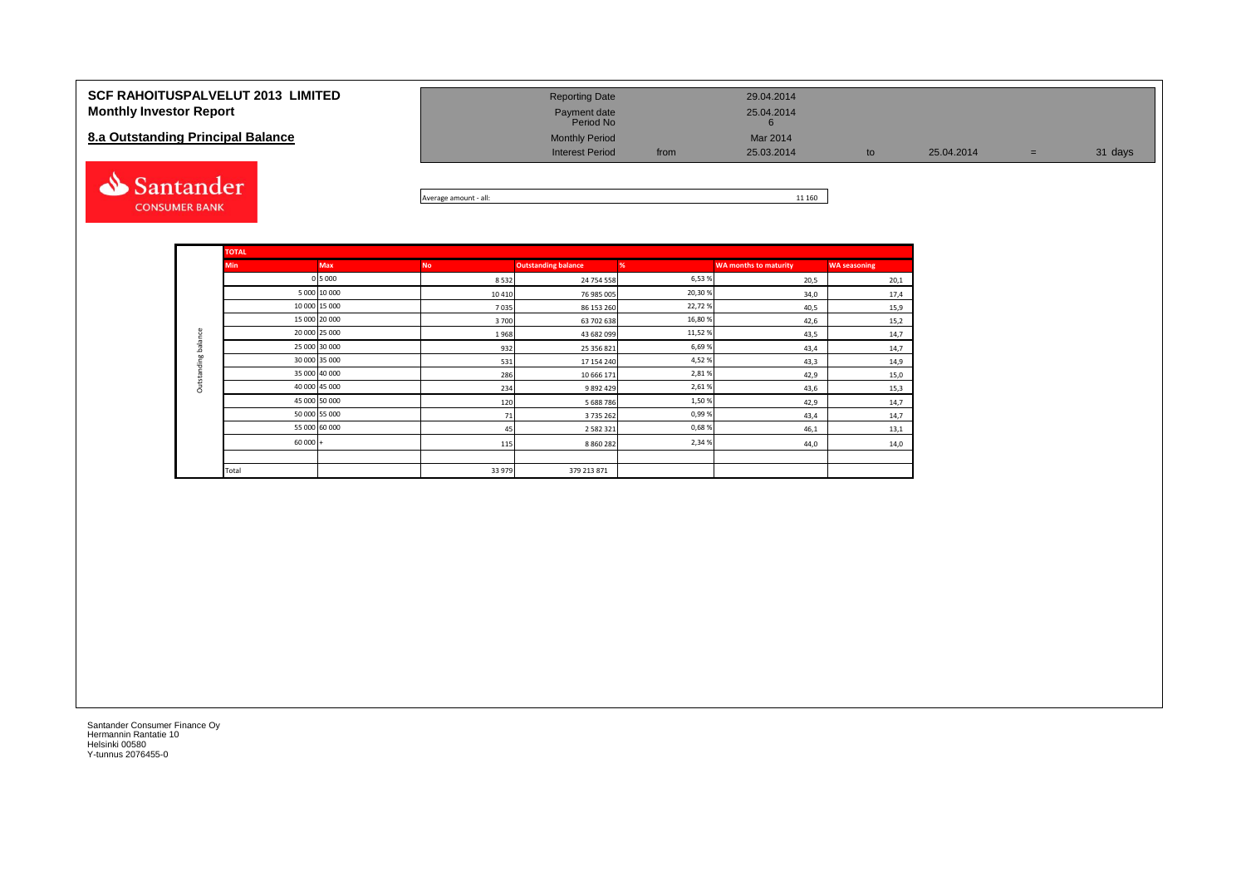| <b>SCF RAHOITUSPALVELUT 2013 LIMITED</b><br><b>Monthly Investor Report</b> | <b>Reporting Date</b><br>Payment date<br>Period No |      | 29.04.2014<br>25.04.2014                     |    |            |     |         |
|----------------------------------------------------------------------------|----------------------------------------------------|------|----------------------------------------------|----|------------|-----|---------|
| 8.a Outstanding Principal Balance                                          | <b>Monthly Period</b><br><b>Interest Period</b>    | from | Mar 2014<br>25.03.2014                       | to | 25.04.2014 | $=$ | 31 days |
| Santander                                                                  |                                                    |      | $\overline{a}$ $\overline{a}$ $\overline{a}$ |    |            |     |         |



|                     | <b>TOTAL</b>  |               |           |                            |         |                              |                     |
|---------------------|---------------|---------------|-----------|----------------------------|---------|------------------------------|---------------------|
|                     | <b>Min</b>    | <b>Max</b>    | <b>No</b> | <b>Outstanding balance</b> | %       | <b>WA months to maturity</b> | <b>WA seasoning</b> |
|                     |               | 0 5 0 0 0     | 8532      | 24 754 558                 | 6,53%   | 20,5                         | 20,1                |
|                     |               | 5 000 10 000  | 10 4 10   | 76 985 005                 | 20,30%  | 34,0                         | 17,4                |
|                     | 10 000 15 000 |               | 7035      | 86 153 260                 | 22,72%  | 40,5                         | 15,9                |
|                     | 15 000 20 000 |               | 3700      | 63 702 638                 | 16,80%  | 42,6                         | 15,2                |
|                     |               | 20 000 25 000 | 1968      | 43 682 099                 | 11,52 % | 43,5                         | 14,7                |
| Outstanding balance |               | 25 000 30 000 | 932       | 25 356 821                 | 6,69%   | 43,4                         | 14,7                |
|                     |               | 30 000 35 000 | 531       | 17 154 240                 | 4,52%   | 43,3                         | 14,9                |
|                     |               | 35 000 40 000 | 286       | 10 666 171                 | 2,81%   | 42,9                         | 15,0                |
|                     | 40 000 45 000 |               | 234       | 9892429                    | 2,61%   | 43,6                         | 15,3                |
|                     |               | 45 000 50 000 | 120       | 5688786                    | 1,50%   | 42,9                         | 14,7                |
|                     |               | 50 000 55 000 | 71        | 3735262                    | 0,99%   | 43,4                         | 14,7                |
|                     |               | 55 000 60 000 | 45        | 2 5 8 2 3 2 1              | 0,68%   | 46,1                         | 13,1                |
|                     | $60000 +$     |               | 115       | 8 8 6 0 2 8 2              | 2,34%   | 44,0                         | 14,0                |
|                     |               |               |           |                            |         |                              |                     |
|                     | Total         |               | 33 979    | 379 213 871                |         |                              |                     |

**CONSUMER BANK**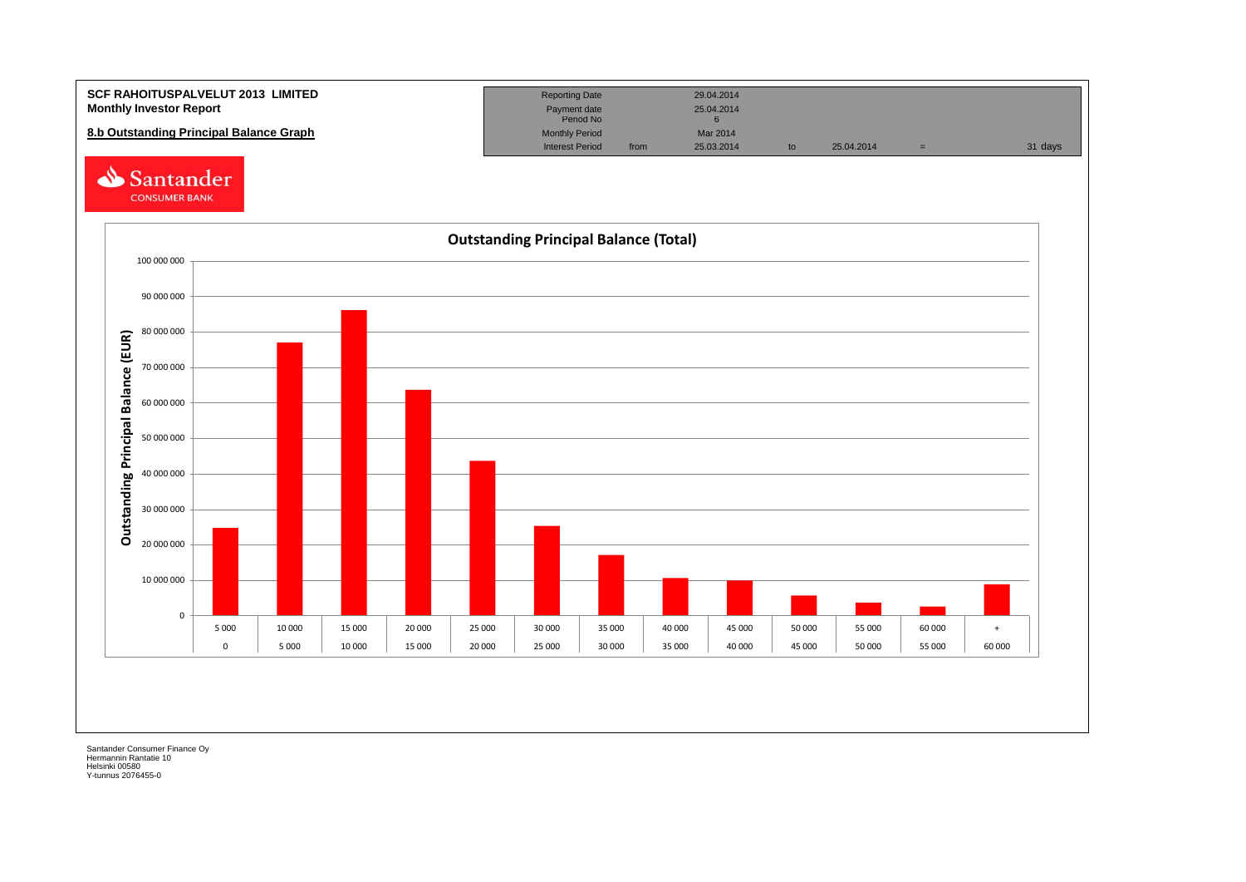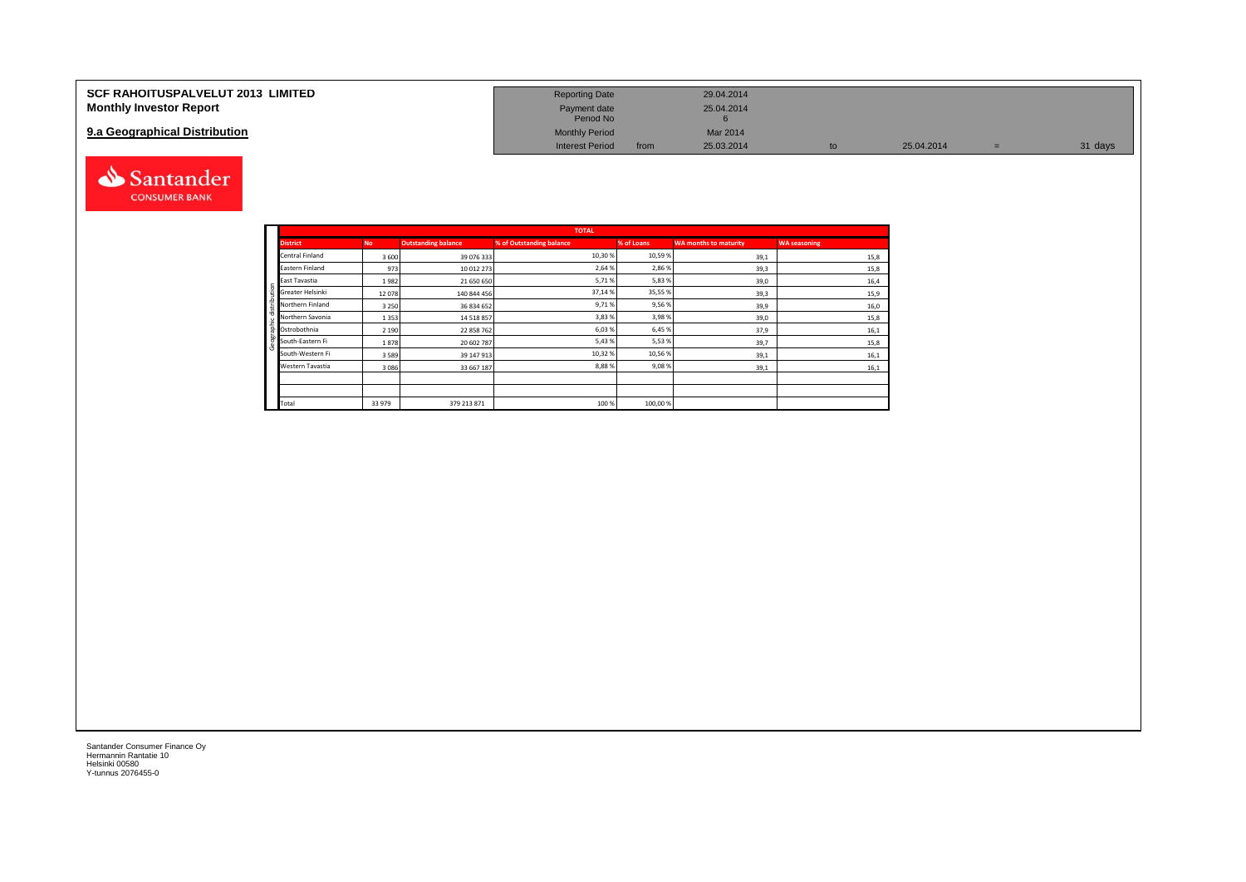| <b>SCF RAHOITUSPALVELUT 2013 LIMITED</b> | <b>Reporting Date</b>     |      | 29.04.2014 |    |            |         |
|------------------------------------------|---------------------------|------|------------|----|------------|---------|
| <b>Monthly Investor Report</b>           | Payment date<br>Period No |      | 25.04.2014 |    |            |         |
| 9.a Geographical Distribution            | <b>Monthly Period</b>     |      | Mar 2014   |    |            |         |
|                                          | <b>Interest Period</b>    | from | 25.03.2014 | to | 25.04.2014 | 31 days |



Geographic distribution

aphic distribution

andei

|                  |           |                            | <b>TOTAL</b>             |            |                              |                     |
|------------------|-----------|----------------------------|--------------------------|------------|------------------------------|---------------------|
| <b>District</b>  | <b>No</b> | <b>Outstanding balance</b> | % of Outstanding balance | % of Loans | <b>WA months to maturity</b> | <b>WA seasoning</b> |
| Central Finland  | 3600      | 39 076 333                 | 10,30%                   | 10,59%     | 39,1                         | 15,8                |
| Eastern Finland  | 973       | 10 012 273                 | 2,64 %                   | 2,86%      | 39,3                         | 15,8                |
| East Tavastia    | 1982      | 21 650 650                 | 5,71%                    | 5,83%      | 39,0                         | 16,4                |
| Greater Helsinki | 12078     | 140 844 456                | 37,14%                   | 35,55%     | 39,3                         | 15,9                |
| Northern Finland | 3 2 5 0   | 36 834 652                 | 9,71%                    | 9,56%      | 39,9                         | 16,0                |
| Northern Savonia | 1353      | 14 518 857                 | 3,83%                    | 3,98%      | 39,0                         | 15,8                |
| Ostrobothnia     | 2 1 9 0   | 22 858 762                 | 6,03%                    | 6,45%      | 37,9                         | 16,1                |
| South-Eastern Fi | 1878      | 20 602 787                 | 5,43%                    | 5,53%      | 39,7                         | 15,8                |
| South-Western Fi | 3589      | 39 147 913                 | 10,32%                   | 10,56%     | 39,1                         | 16,1                |
| Western Tavastia | 3086      | 33 667 187                 | 8,88%                    | 9,08%      | 39,1                         | 16,1                |
|                  |           |                            |                          |            |                              |                     |
|                  |           |                            |                          |            |                              |                     |
| Total            | 33 979    | 379 213 871                | 100 %                    | 100,00%    |                              |                     |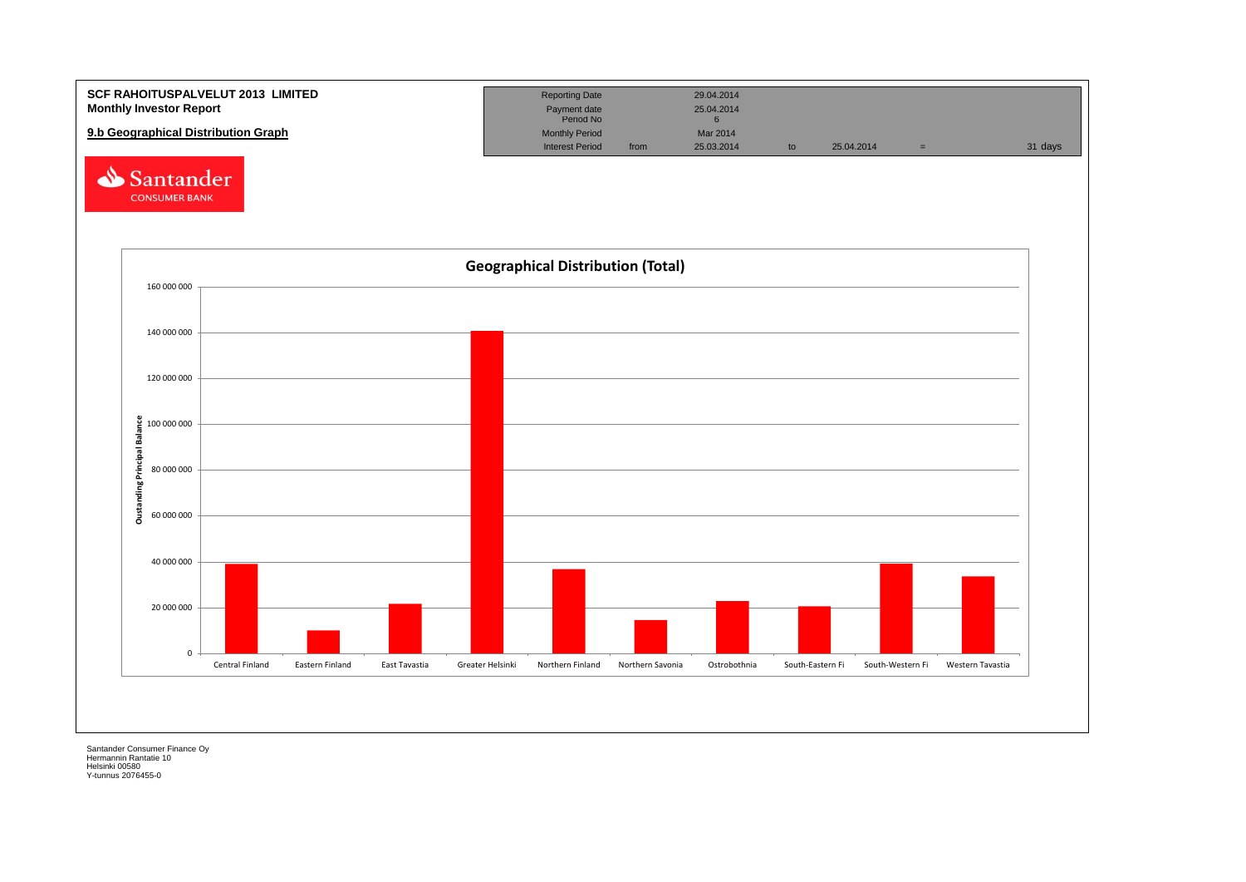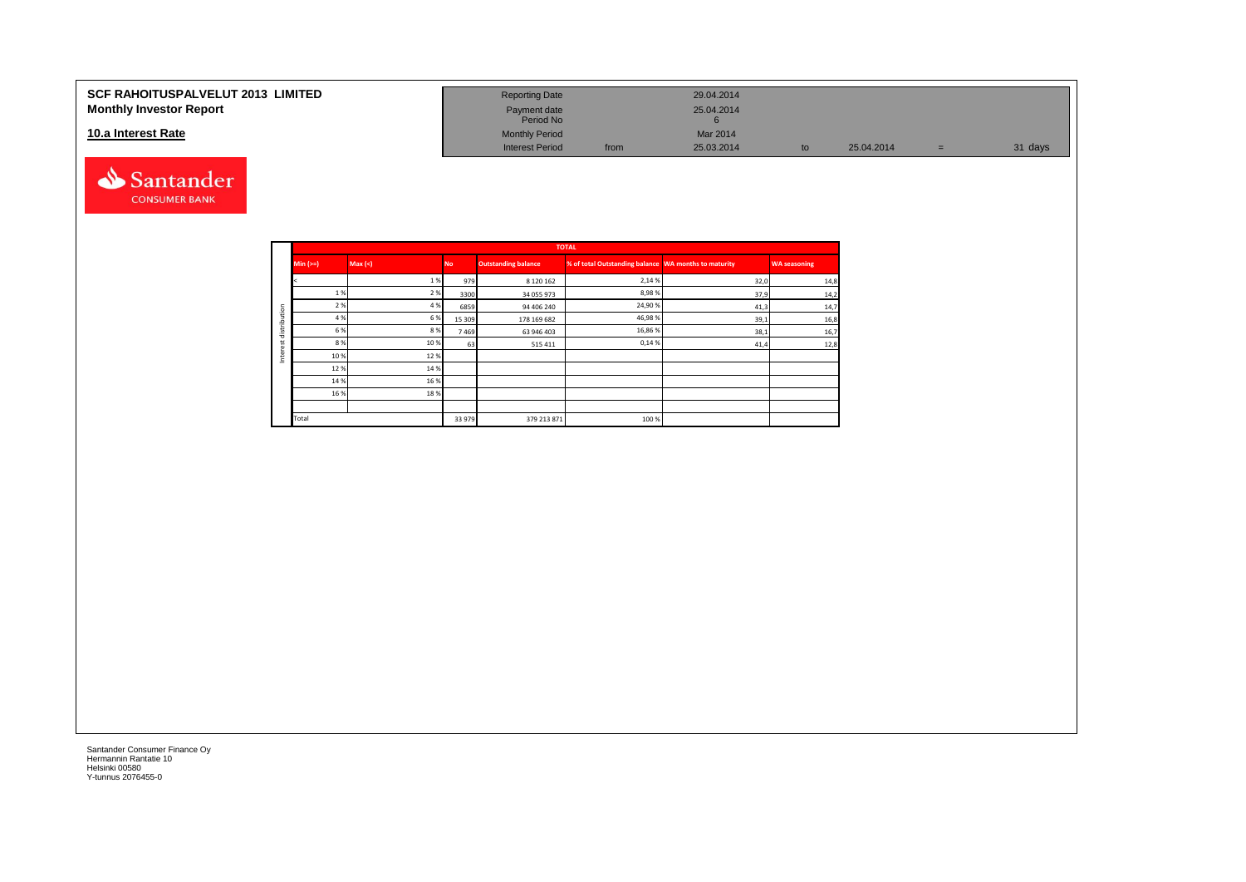#### **SCF RAHOITUSPALVELUT 2013 LIMITED Monthly Investor Report**

#### **10.a Interest Rate**



| <b>Reporting Date</b>     |      | 29.04.2014      |    |            |     |         |
|---------------------------|------|-----------------|----|------------|-----|---------|
| Payment date<br>Period No |      | 25.04.2014<br>o |    |            |     |         |
| <b>Monthly Period</b>     |      | Mar 2014        |    |            |     |         |
| <b>Interest Period</b>    | from | 25.03.2014      | to | 25.04.2014 | $=$ | 31 days |

|                  |            |        |           |                            | <b>TOTAL</b>                                         |      |                     |
|------------------|------------|--------|-----------|----------------------------|------------------------------------------------------|------|---------------------|
|                  | Min $(>=)$ | Max(<) | <b>No</b> | <b>Outstanding balance</b> | % of total Outstanding balance WA months to maturity |      | <b>WA seasoning</b> |
|                  |            | 1%     | 979       | 8 1 2 0 1 6 2              | 2,14 %                                               | 32,0 | 14,8                |
|                  | 1%         | 2 %    | 3300      | 34 055 973                 | 8,98%                                                | 37,9 | 14,2                |
| tion             | 2 %        | 4 %    | 6859      | 94 406 240                 | 24,90%                                               | 41,3 | 14,7                |
| 은                | 4 %        | 6 %    | 15 309    | 178 169 682                | 46,98%                                               | 39,1 | 16,8                |
| š                | 6 %        | 8%     | 7469      | 63 946 403                 | 16,86%                                               | 38,1 | 16,7                |
|                  | 8%         | 10%    | 63        | 515411                     | 0,14%                                                | 41,4 | 12,8                |
| 횓<br>$\subseteq$ | 10%        | 12%    |           |                            |                                                      |      |                     |
|                  | 12%        | 14 %   |           |                            |                                                      |      |                     |
|                  | 14 %       | 16%    |           |                            |                                                      |      |                     |
|                  | 16 %       | 18%    |           |                            |                                                      |      |                     |
|                  |            |        |           |                            |                                                      |      |                     |
|                  | Total      |        | 33 979    | 379 213 871                | 100 %                                                |      |                     |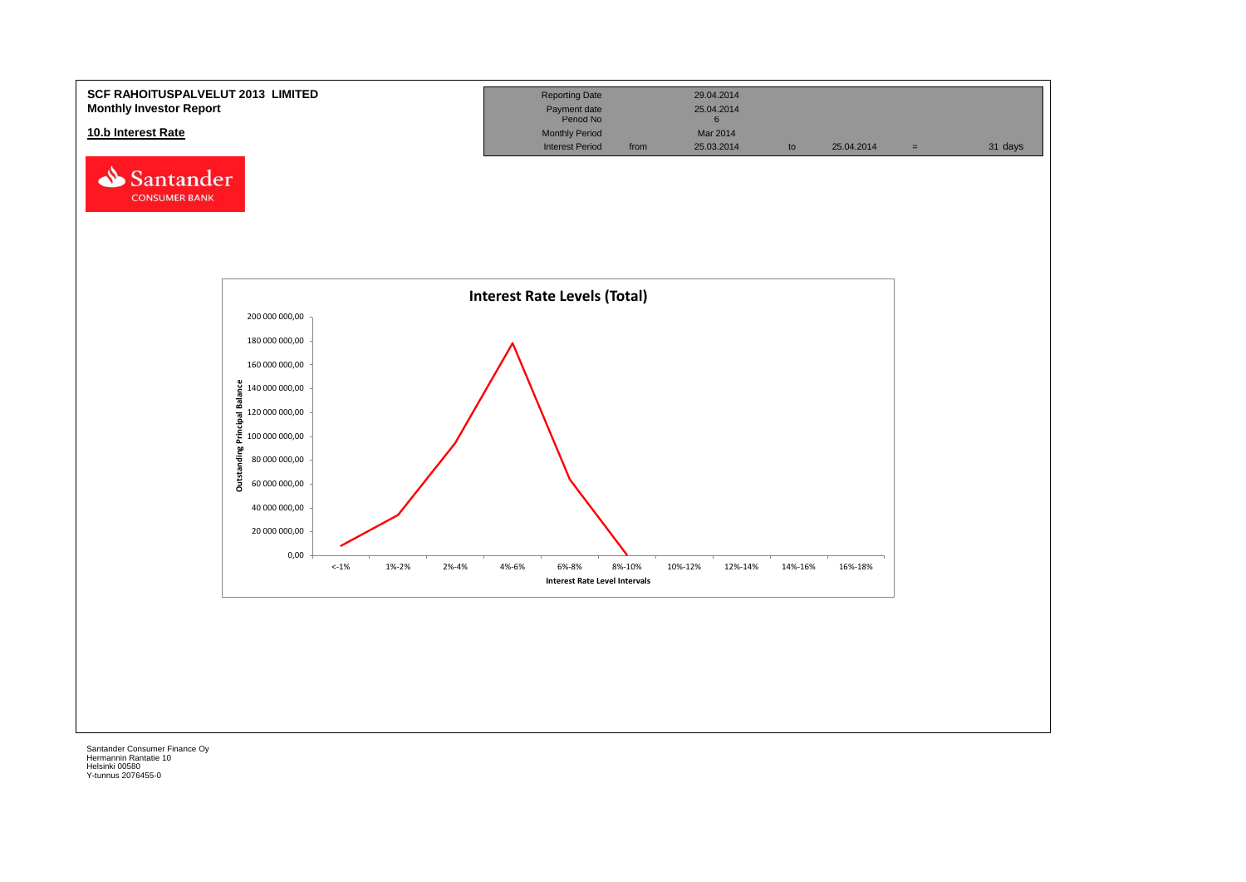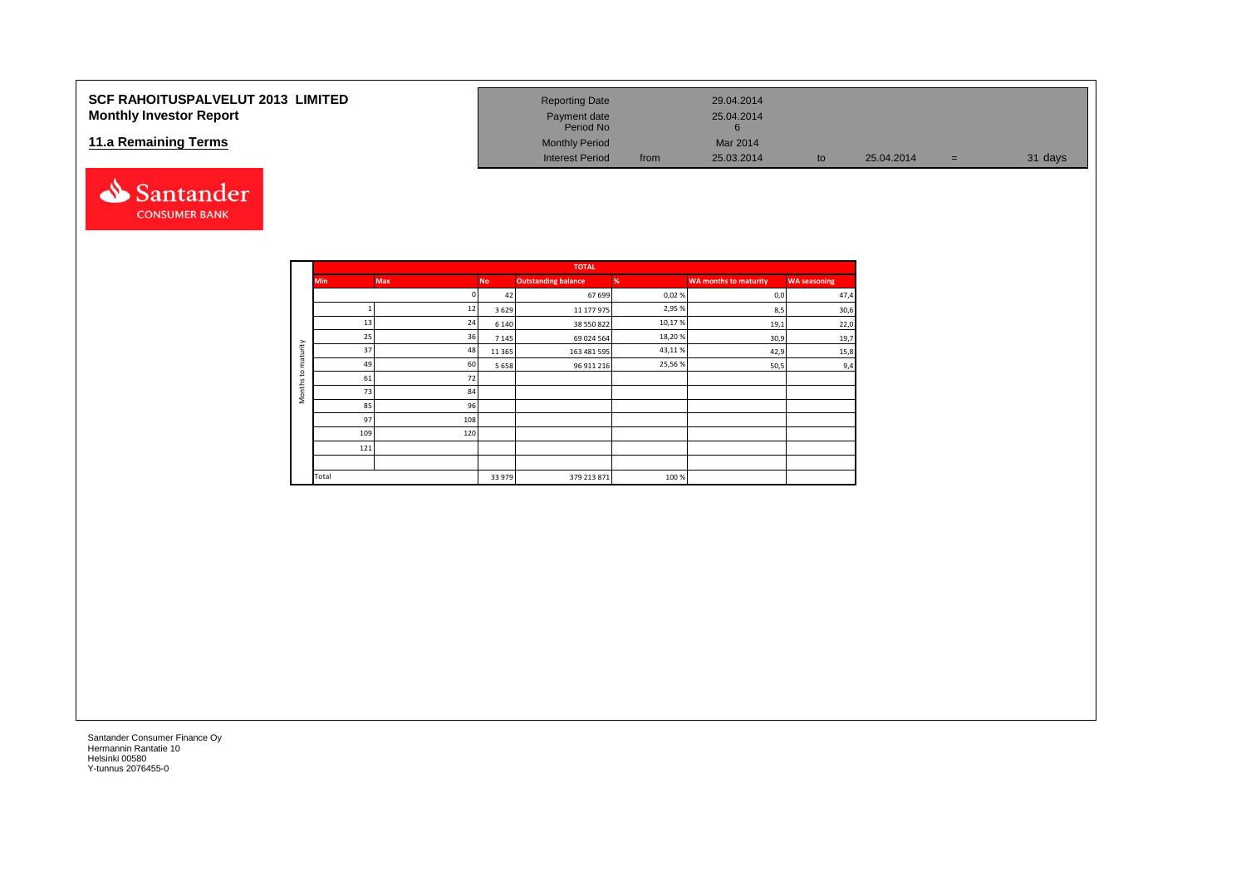## **SCF RAHOITUSPALVELUT 2013 LIMITED Monthly Investor Report**

#### **11.a Remaining Terms**



|                        |      | 29.04.2014 |    |            |     |         |
|------------------------|------|------------|----|------------|-----|---------|
| <b>Reporting Date</b>  |      |            |    |            |     |         |
| Payment date           |      | 25.04.2014 |    |            |     |         |
| Period No              |      |            |    |            |     |         |
| <b>Monthly Period</b>  |      | Mar 2014   |    |            |     |         |
| <b>Interest Period</b> | from | 25.03.2014 | to | 25.04.2014 | $=$ | 31 days |

|                     |            |            |           | <b>TOTAL</b>               |        |                              |                     |
|---------------------|------------|------------|-----------|----------------------------|--------|------------------------------|---------------------|
|                     | <b>Min</b> | <b>Max</b> | <b>No</b> | <b>Outstanding balance</b> | %      | <b>WA months to maturity</b> | <b>WA seasoning</b> |
|                     |            |            | 42        | 67 699                     | 0,02%  | 0,0                          | 47,4                |
|                     |            | 12         | 3629      | 11 177 975                 | 2,95 % | 8,5                          | 30,6                |
|                     | 13         | 24         | 6 1 4 0   | 38 550 822                 | 10,17% | 19,1                         | 22,0                |
|                     | 25         | 36         | 7 1 4 5   | 69 024 564                 | 18,20% | 30,9                         | 19,7                |
| maturity            | 37         | 48         | 11 3 65   | 163 481 595                | 43,11% | 42,9                         | 15,8                |
|                     | 49         | 60         | 5658      | 96 911 216                 | 25,56% | 50,5                         | 9,4                 |
| $\mathbf{S}$        | 61         | 72         |           |                            |        |                              |                     |
| Months <sub>1</sub> | 73         | 84         |           |                            |        |                              |                     |
|                     | 85         | 96         |           |                            |        |                              |                     |
|                     | 97         | 108        |           |                            |        |                              |                     |
|                     | 109        | 120        |           |                            |        |                              |                     |
|                     | 121        |            |           |                            |        |                              |                     |
|                     |            |            |           |                            |        |                              |                     |
|                     | Total      |            | 33 979    | 379 213 871                | 100%   |                              |                     |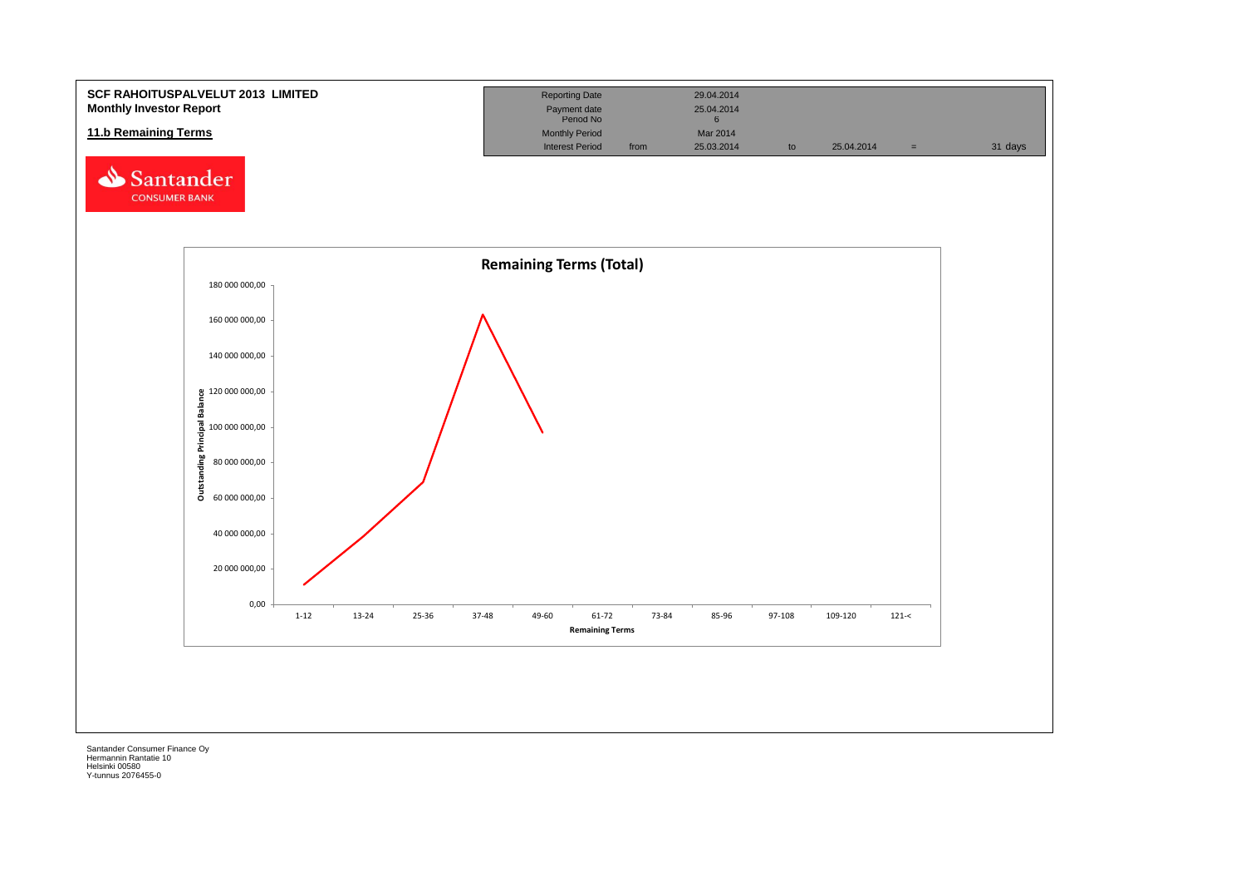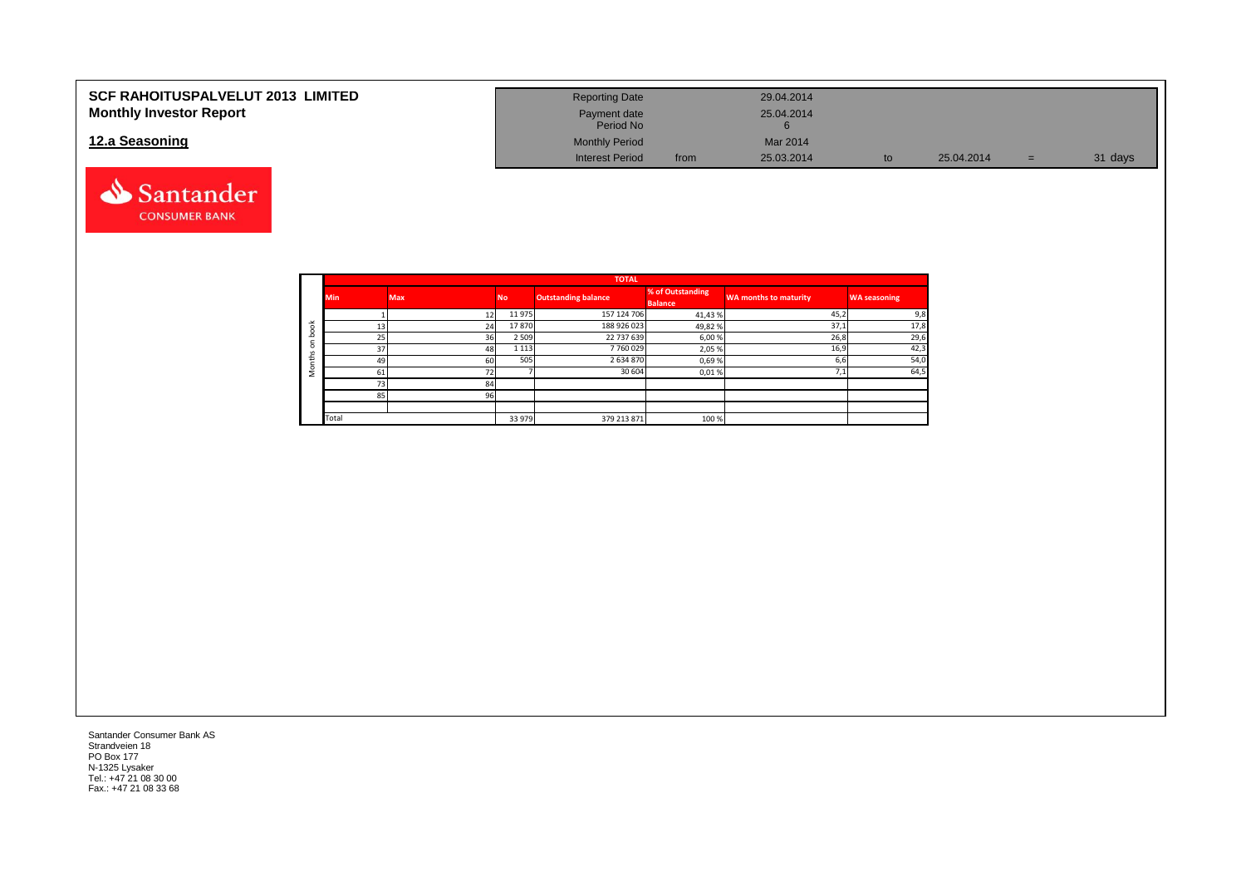| <b>SCF RAHOITUSPALVELUT 2013 LIMITED</b> | <b>Reporting Date</b>     |      | 29.04.2014 |    |            |     |         |
|------------------------------------------|---------------------------|------|------------|----|------------|-----|---------|
| <b>Monthly Investor Report</b>           | Payment date<br>Period No |      | 25.04.2014 |    |            |     |         |
| 12.a Seasoning                           | <b>Monthly Period</b>     |      | Mar 2014   |    |            |     |         |
|                                          | <b>Interest Period</b>    | from | 25.03.2014 | to | 25.04.2014 | $=$ | 31 days |



|                       |            |            |           | <b>TOTAL</b>               |                                    |                              |                     |
|-----------------------|------------|------------|-----------|----------------------------|------------------------------------|------------------------------|---------------------|
|                       | <b>Min</b> | <b>Max</b> | <b>No</b> | <b>Outstanding balance</b> | % of Outstanding<br><b>Balance</b> | <b>WA months to maturity</b> | <b>WA seasoning</b> |
|                       |            | 12         | 11975     | 157 124 706                | 41,43%                             | 45,2                         | 9,8                 |
| $\breve{\phantom{a}}$ | 13         | 24         | 17870     | 188 926 023                | 49,82%                             | 37,1                         | 17,8                |
| c                     | 25         | 36         | 2 5 0 9   | 22 737 639                 | 6,00%                              | 26,8                         | 29,6                |
| $\Omega$              | 37         | 48         | 1 1 1 3   | 7760029                    | 2,05%                              | 16,9                         | 42,3                |
| £                     | 49         | 60         | 505       | 2634870                    | 0,69%                              | 6,6                          | 54,0                |
|                       | 61         | 72         |           | 30 604                     | 0,01%                              | 1,1                          | 64,5                |
|                       | 73         | 84         |           |                            |                                    |                              |                     |
|                       | 85         | 96         |           |                            |                                    |                              |                     |
|                       |            |            |           |                            |                                    |                              |                     |
|                       | Total      |            | 33 979    | 379 213 871                | 100 %                              |                              |                     |

Santander Consumer Bank AS Strandveien 18 PO Box 177 N-1325 Lysaker Tel.: +47 21 08 30 00 Fax.: +47 21 08 33 68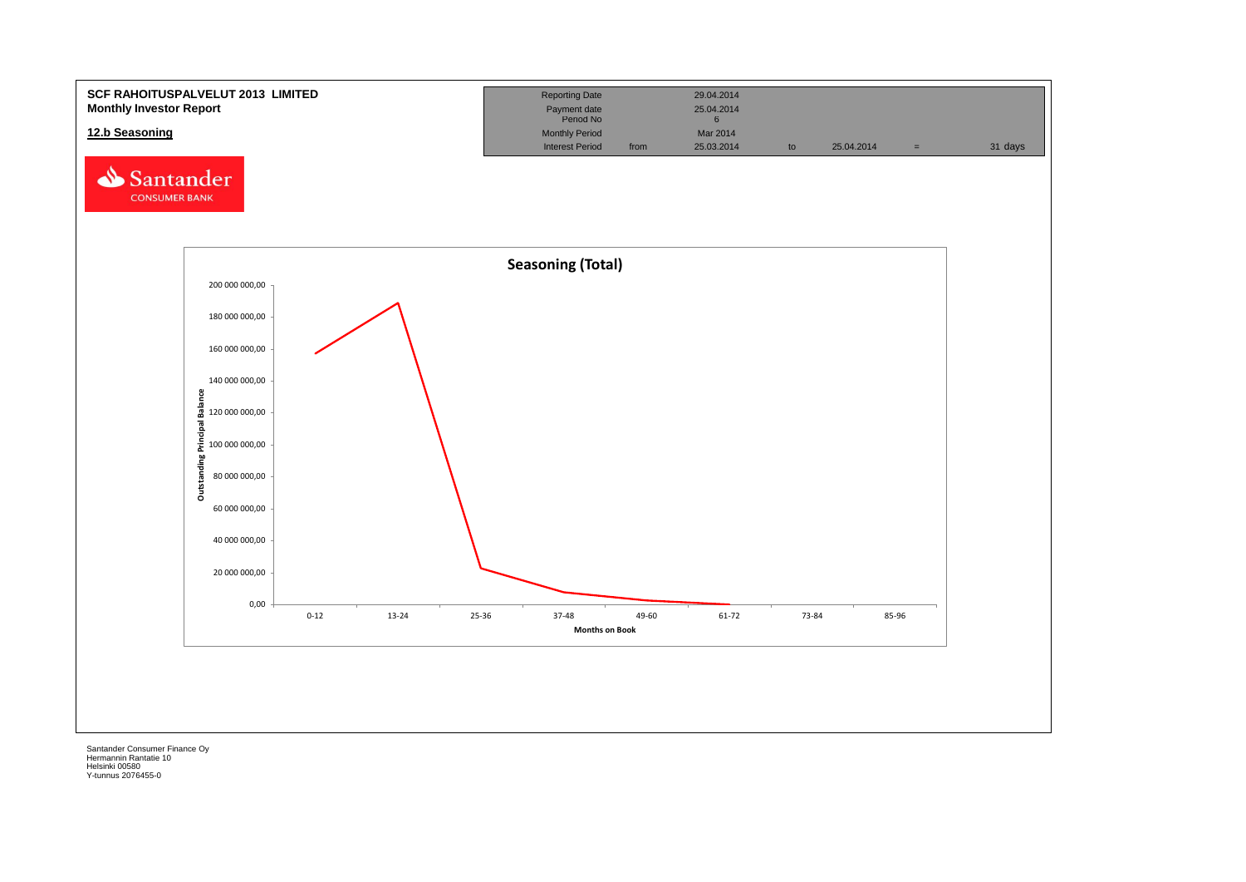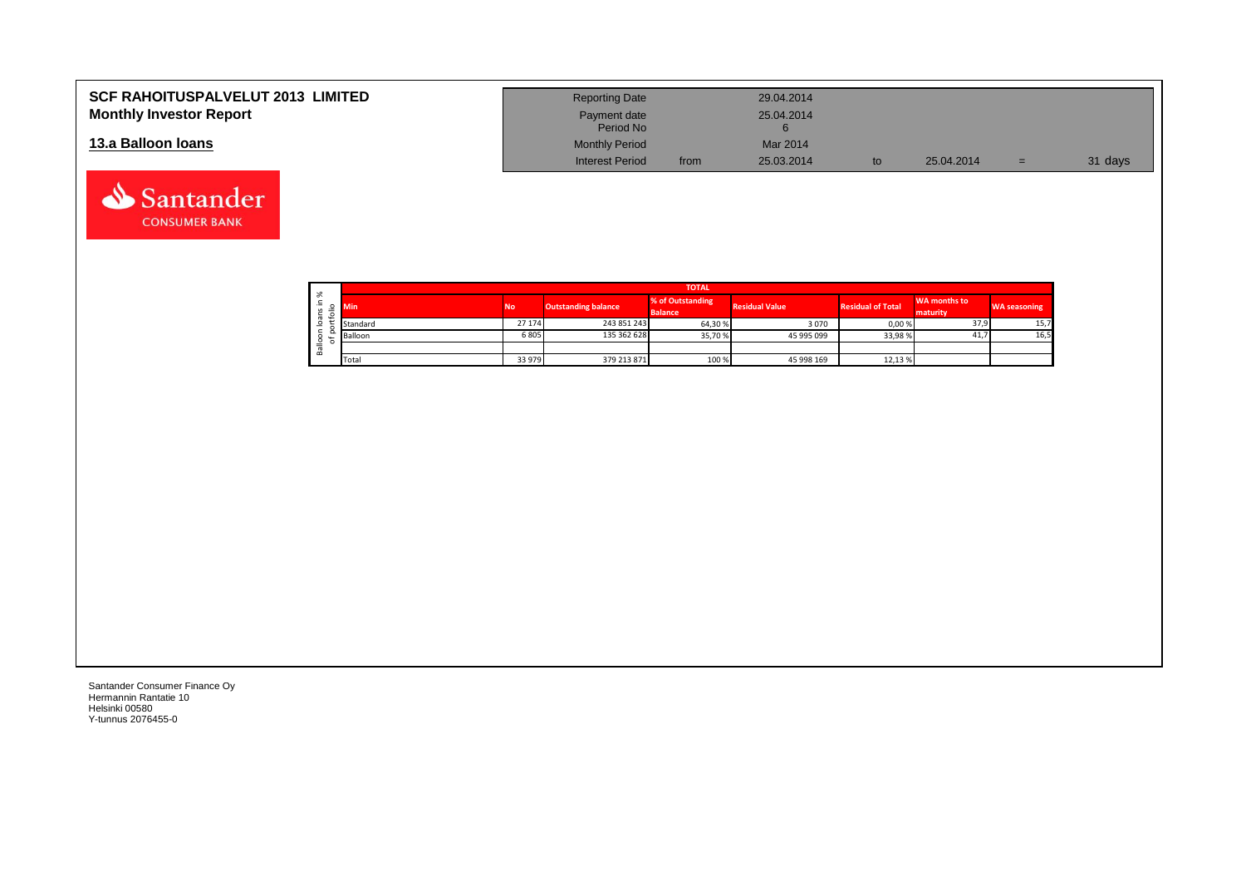| <b>SCF RAHOITUSPALVELUT 2013 LIMITED</b><br><b>Monthly Investor Report</b> | <b>Reporting Date</b><br>Payment date<br>Period No |      | 29.04.2014<br>25.04.2014 |            |     |         |
|----------------------------------------------------------------------------|----------------------------------------------------|------|--------------------------|------------|-----|---------|
| 13.a Balloon Ioans                                                         | <b>Monthly Period</b><br><b>Interest Period</b>    | from | Mar 2014<br>25.03.2014   | 25.04.2014 | $=$ | 31 days |

|  |                              |          |                |                            | <b>TOTAL</b>                       |                       |                          |                          |                     |
|--|------------------------------|----------|----------------|----------------------------|------------------------------------|-----------------------|--------------------------|--------------------------|---------------------|
|  | ৯ৎ<br>∸<br>$\mathbf{v}$<br>÷ | Min      | N <sub>o</sub> | <b>Outstanding balance</b> | % of Outstanding<br><b>Balance</b> | <b>Residual Value</b> | <b>Residual of Total</b> | WA months to<br>maturity | <b>WA seasoning</b> |
|  | $\sigma$<br>$\circ$          | Standard | 27 174         | 243 851 243                | 64,30%                             | 3070                  | 0,00%                    | 37,9                     | 15,7                |
|  | ∘                            | Balloon  | 6805           | 135 362 628                | 35,70 %                            | 45 995 099            | 33,98%                   | 41,7                     | 16,5                |
|  | π<br>őñ                      |          |                |                            |                                    |                       |                          |                          |                     |
|  |                              | Total    | 33 979         | 379 213 871                | 100 %                              | 45 998 169            | 12,13 %                  |                          |                     |

┑

Santander Consumer Finance Oy Hermannin Rantatie 10 Helsinki 00580 Y-tunnus 2076455-0

Santander **CONSUMER BANK**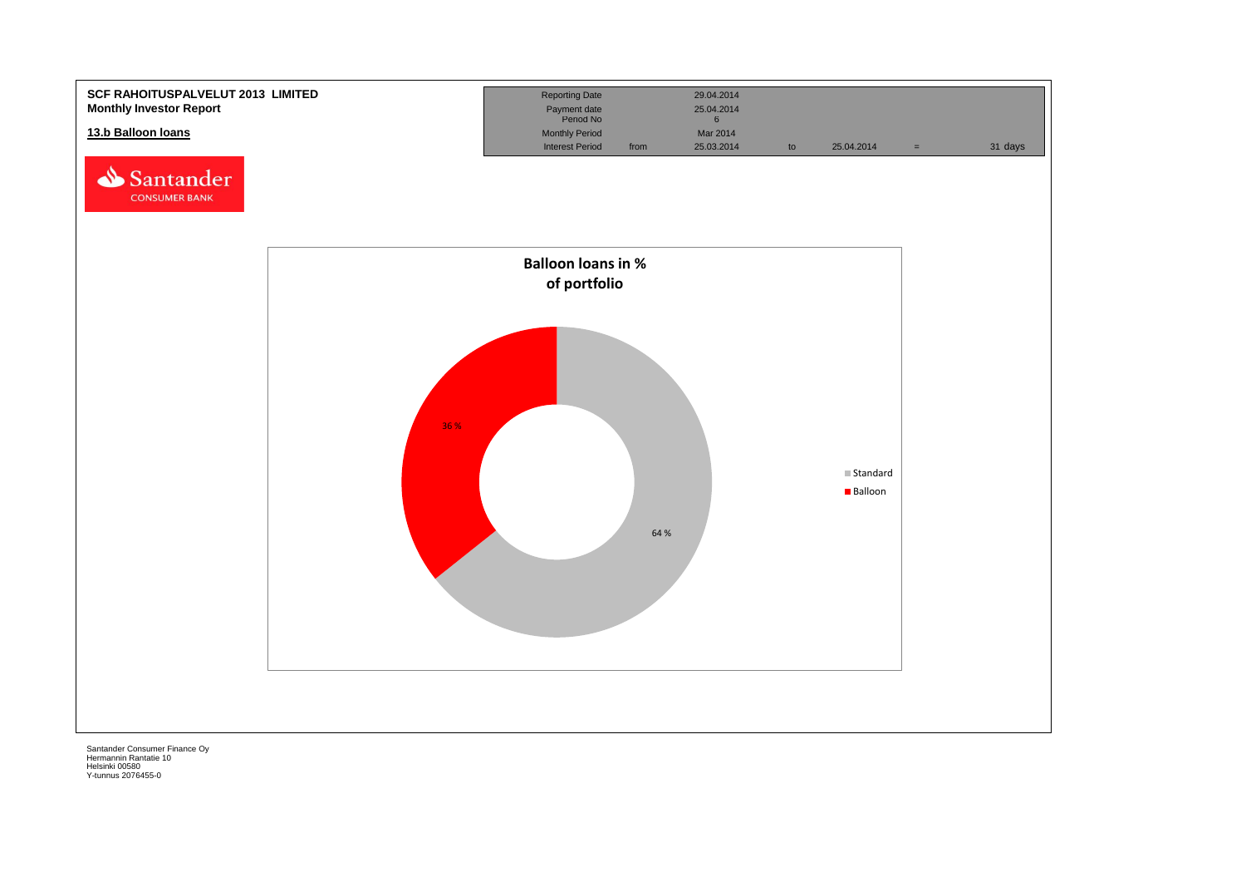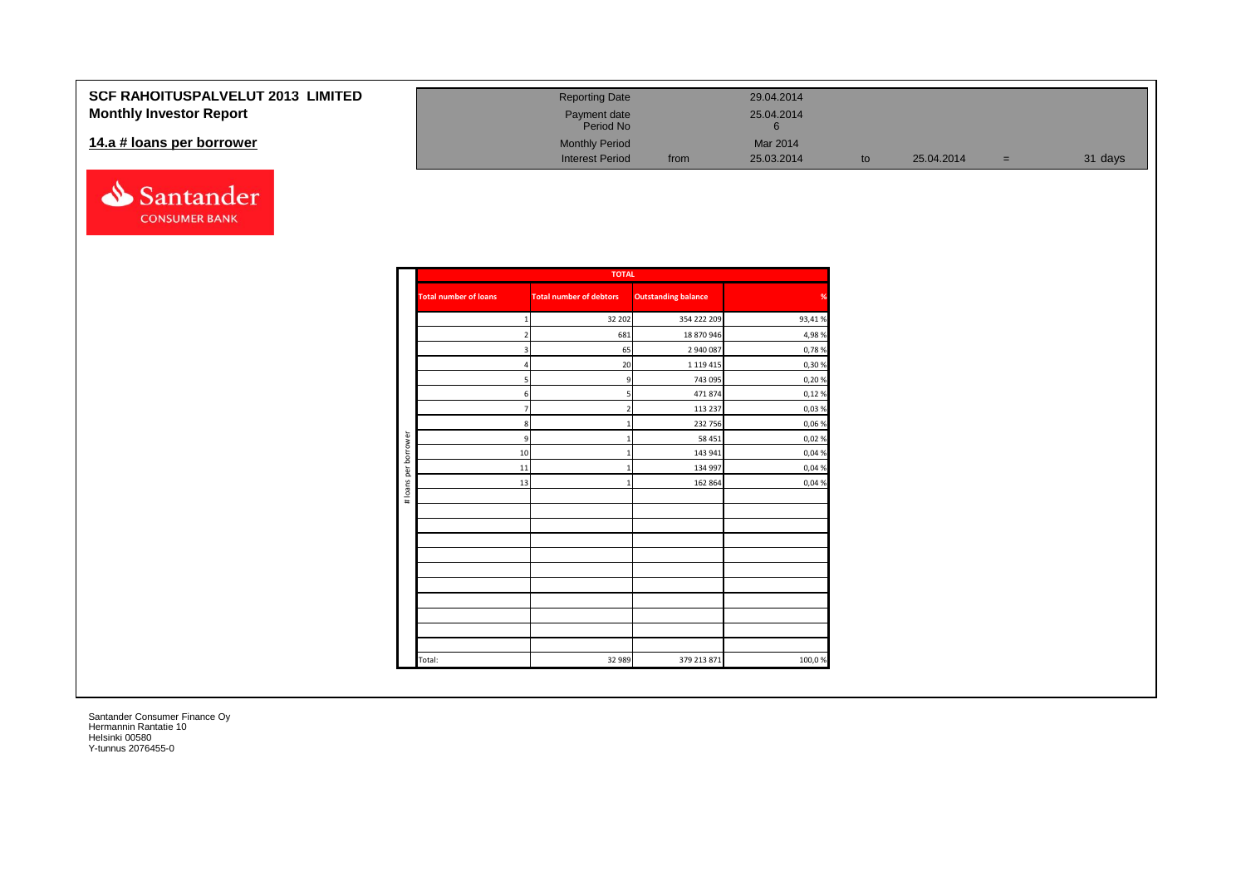### **SCF RAHOITUSPALVELU Monthly Investor Report**

#### **14.a # loans per borrower**



| JT 2013 LIMITED | <b>Reporting Date</b>     |      | 29.04.2014 |    |            |   |         |
|-----------------|---------------------------|------|------------|----|------------|---|---------|
|                 | Payment date<br>Period No |      | 25.04.2014 |    |            |   |         |
|                 | <b>Monthly Period</b>     |      | Mar 2014   |    |            |   |         |
|                 | <b>Interest Period</b>    | from | 25.03.2014 | to | 25.04.2014 | = | 31 days |

|                      |                              | <b>TOTAL</b>                   |                            |        |
|----------------------|------------------------------|--------------------------------|----------------------------|--------|
|                      | <b>Total number of loans</b> | <b>Total number of debtors</b> | <b>Outstanding balance</b> | %      |
|                      | $\mathbf 1$                  | 32 202                         | 354 222 209                | 93,41% |
|                      | $\overline{2}$               | 681                            | 18 870 946                 | 4,98%  |
|                      | 3                            | 65                             | 2 940 087                  | 0,78%  |
|                      | $\overline{a}$               | 20                             | 1 1 1 9 4 1 5              | 0,30%  |
|                      | $\overline{5}$               | 9                              | 743 095                    | 0,20%  |
|                      | 6 <sup>1</sup>               |                                | 471 874                    | 0,12%  |
|                      | $\overline{7}$               |                                | 113 237                    | 0,03%  |
|                      | 8 <sup>1</sup>               |                                | 232 756                    | 0,06%  |
|                      | 9                            |                                | 58 451                     | 0,02%  |
| # loans per borrower | 10                           |                                | 143 941                    | 0,04%  |
|                      | 11                           |                                | 134 997                    | 0,04%  |
|                      | 13                           |                                | 162 864                    | 0,04 % |
|                      |                              |                                |                            |        |
|                      |                              |                                |                            |        |
|                      |                              |                                |                            |        |
|                      |                              |                                |                            |        |
|                      |                              |                                |                            |        |
|                      |                              |                                |                            |        |
|                      |                              |                                |                            |        |
|                      |                              |                                |                            |        |
|                      |                              |                                |                            |        |
|                      |                              |                                |                            |        |
|                      |                              |                                |                            |        |
|                      | Total:                       | 32 989                         | 379 213 871                | 100,0% |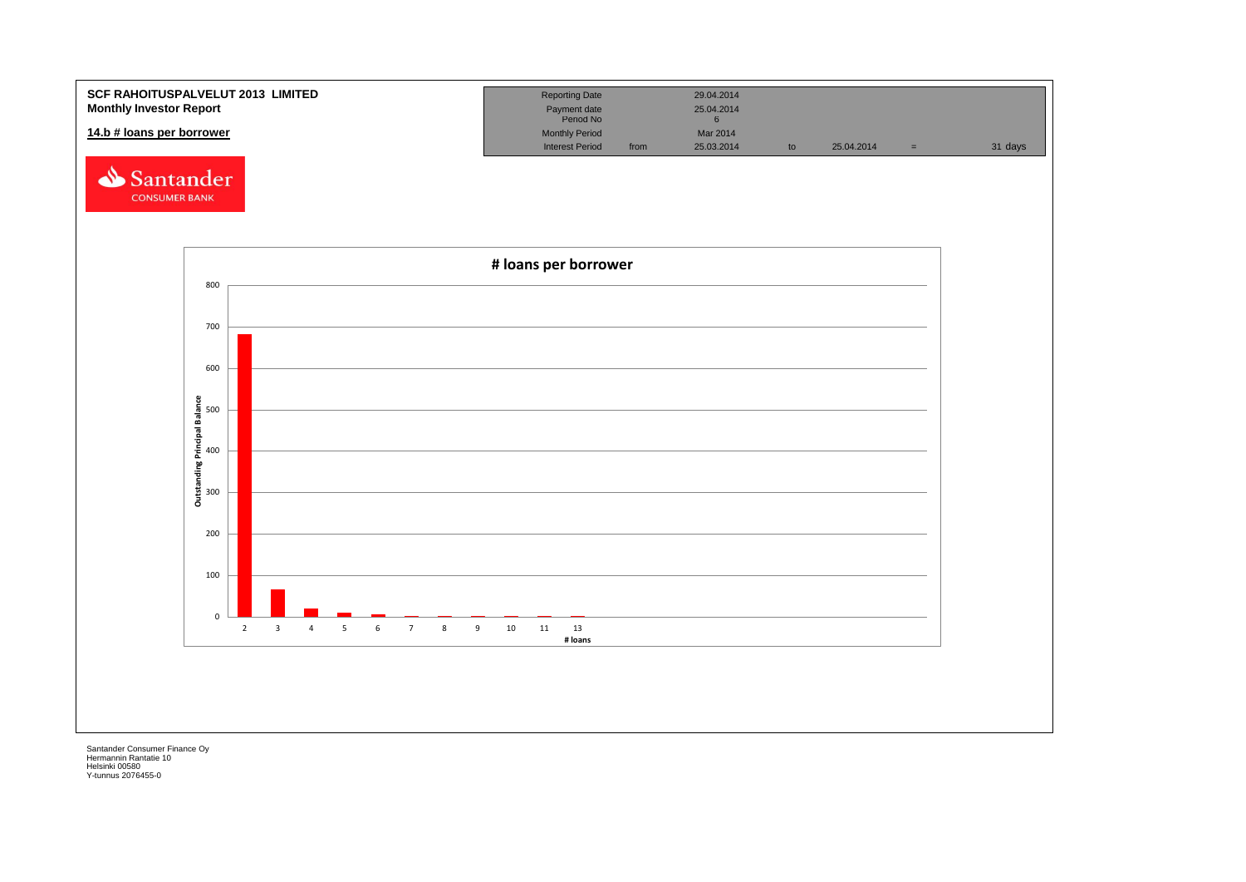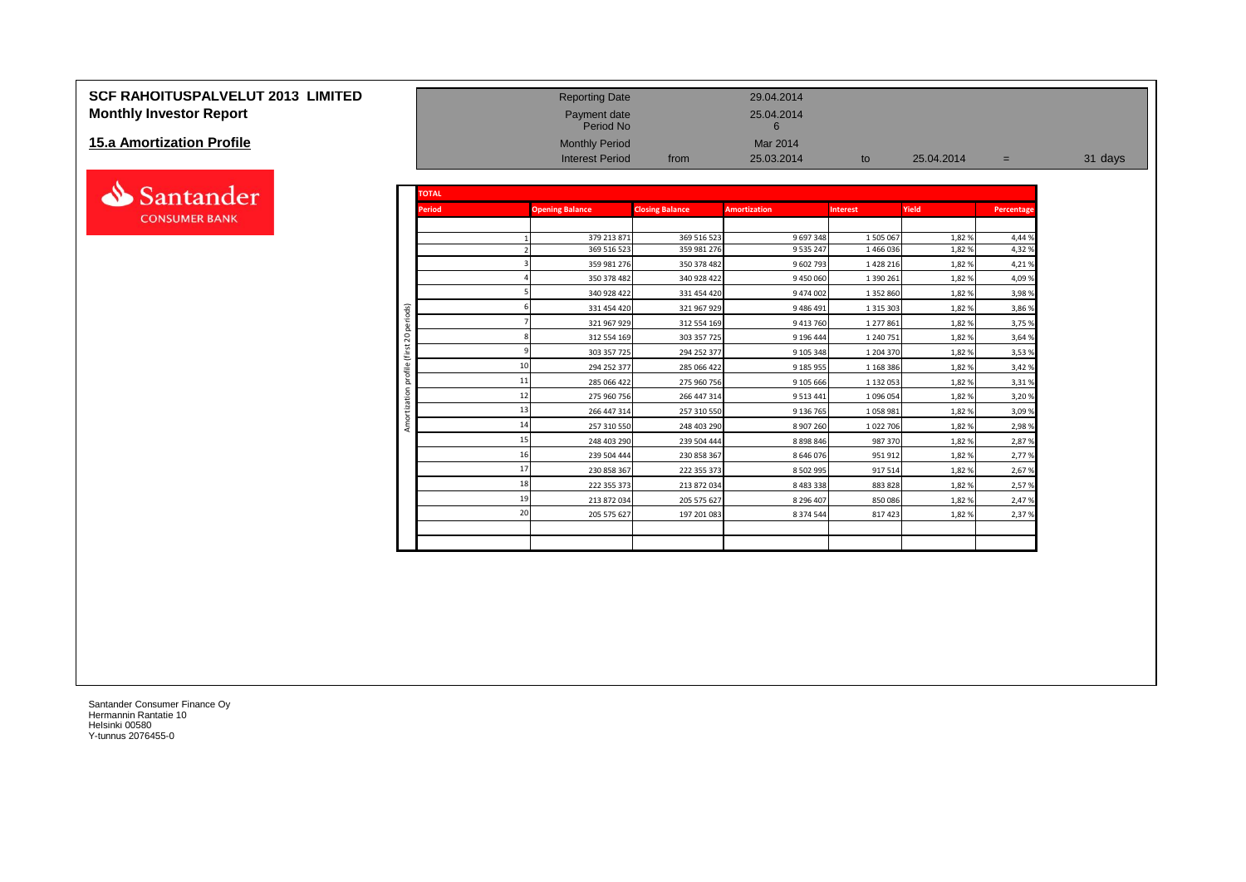# **SCF RAHOITUSPALVELUT 2013 LIMITED**<br> **Monthly Investor Report**<br>
Report date 25.04.2014<br>
Payment date Payment date 25.04.2014<br>
Period No **Monthly Investor Report**

#### **15.a Amortization Profile**



| <b>15.a Amortization Profile</b> |                |               | <b>Monthly Period</b><br><b>Interest Period</b> | from                       | Mar 2014<br>25.03.2014 | to                   | 25.04.2014     | $=$              | 31 days |
|----------------------------------|----------------|---------------|-------------------------------------------------|----------------------------|------------------------|----------------------|----------------|------------------|---------|
| Santander                        |                | <b>TOTAL</b>  |                                                 |                            |                        |                      |                |                  |         |
| <b>CONSUMER BANK</b>             |                | <b>Period</b> | <b>Opening Balance</b>                          | <b>Closing Balance</b>     | <b>Amortization</b>    | <b>Interest</b>      | Yield          | Percentage       |         |
|                                  |                |               | 379 213 871<br>369 516 523                      | 369 516 523<br>359 981 276 | 9 697 348<br>9 535 247 | 1 505 067<br>1466036 | 1,82%<br>1,82% | 4,44 %<br>4,32 % |         |
|                                  |                |               | 359 981 276                                     | 350 378 482                | 9 602 793              | 1 4 2 8 2 1 6        | 1,82%          | 4,21%            |         |
|                                  |                |               | 350 378 482                                     | 340 928 422                | 9 450 060              | 1 390 261            | 1,82%          | 4,09 %           |         |
|                                  |                |               | 340 928 422                                     | 331 454 420                | 9 474 002              | 1 3 5 2 8 6 0        | 1,82%          | 3,98%            |         |
|                                  | ods)           |               | 331 454 420                                     | 321 967 929                | 9 486 491              | 1 3 1 5 3 0 3        | 1,82%          | 3,86 %           |         |
|                                  |                |               | 321 967 929                                     | 312 554 169                | 9 413 760              | 1 277 861            | 1,82%          | 3,75 %           |         |
|                                  | 20             |               | 312 554 169                                     | 303 357 725                | 9 196 444              | 1 240 751            | 1,82%          | 3,64 %           |         |
|                                  | Έ              |               | 303 357 725                                     | 294 252 377                | 9 105 348              | 1 204 370            | 1,82%          | 3,53%            |         |
|                                  | ofile          |               | 294 252 377                                     | 285 066 422                | 9 185 955              | 1 1 68 3 86          | 1,82%          | 3,42 %           |         |
|                                  | $\overline{a}$ |               | 11<br>285 066 422                               | 275 960 756                | 9 105 666              | 1 132 053            | 1,82%          | 3,31 %           |         |
|                                  |                |               | 12<br>275 960 756                               | 266 447 314                | 9 5 13 4 41            | 1 096 054            | 1,82%          | 3,20%            |         |
|                                  |                |               | 266 447 314                                     | 257 310 550                | 9 136 765              | 1058981              | 1,82%          | 3,09%            |         |
|                                  |                |               | 14<br>257 310 550                               | 248 403 290                | 8 907 260              | 1 0 2 7 7 0 6        | 1,82%          | 2,98%            |         |
|                                  |                |               | 15<br>248 403 290                               | 239 504 444                | 8 8 9 8 8 4 6          | 987 370              | 1,82%          | 2,87 %           |         |
|                                  |                |               | 16<br>239 504 444                               | 230 858 367                | 8 646 076              | 951912               | 1,82%          | 2,77 %           |         |
|                                  |                |               | 17<br>230 858 367                               | 222 355 373                | 8 502 995              | 917 514              | 1,82%          | 2,67 %           |         |
|                                  |                |               | 18<br>222 355 373                               | 213 872 034                | 8 4 8 3 3 3 8          | 883828               | 1,82%          | 2,57 %           |         |
|                                  |                |               | 1 <sup>c</sup><br>213 872 034                   | 205 575 627                | 8 296 407              | 850086               | 1,82%          | 2,47 %           |         |
|                                  |                |               | 20<br>205 575 627                               | 197 201 083                | 8 3 7 4 5 4 4          | 817423               | 1,82%          | 2,37%            |         |
|                                  |                |               |                                                 |                            |                        |                      |                |                  |         |

Payment date<br>Period No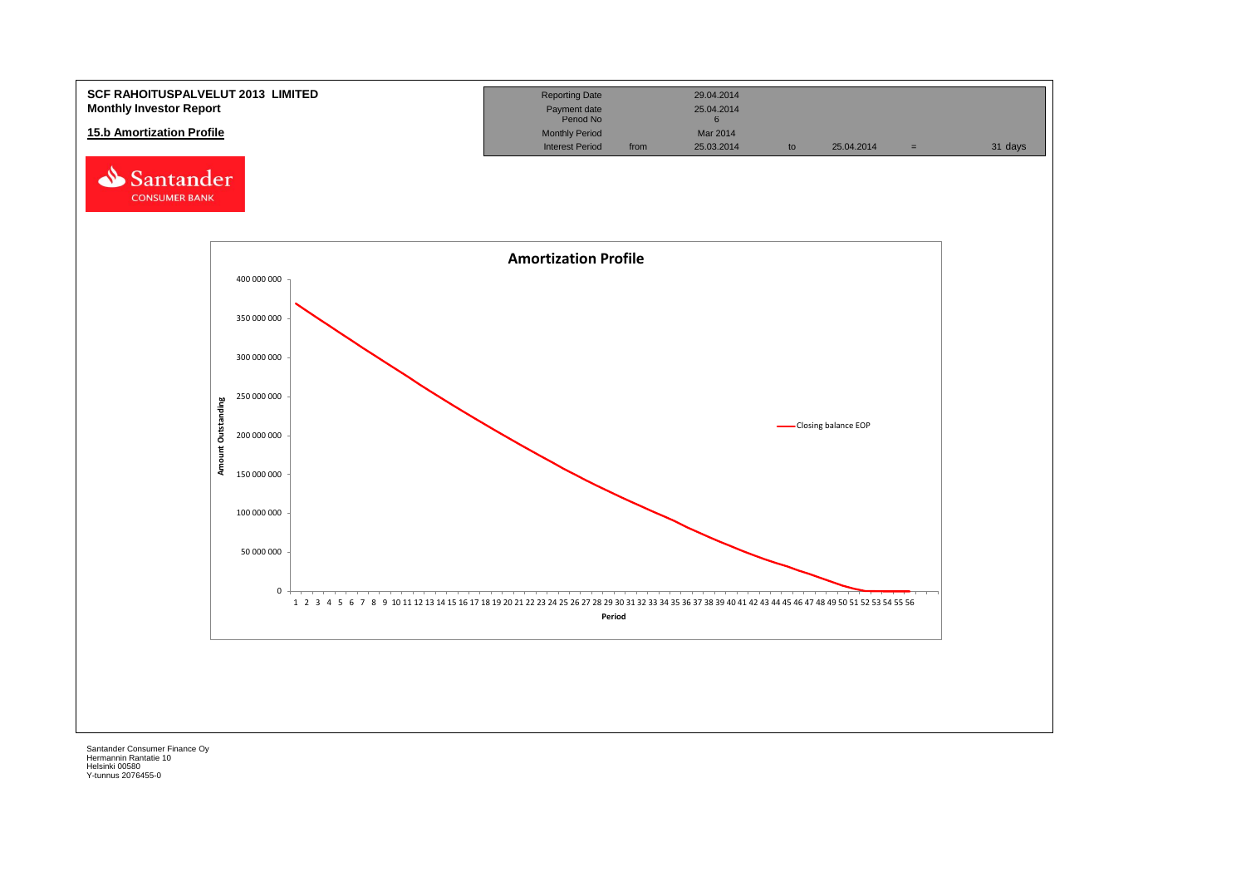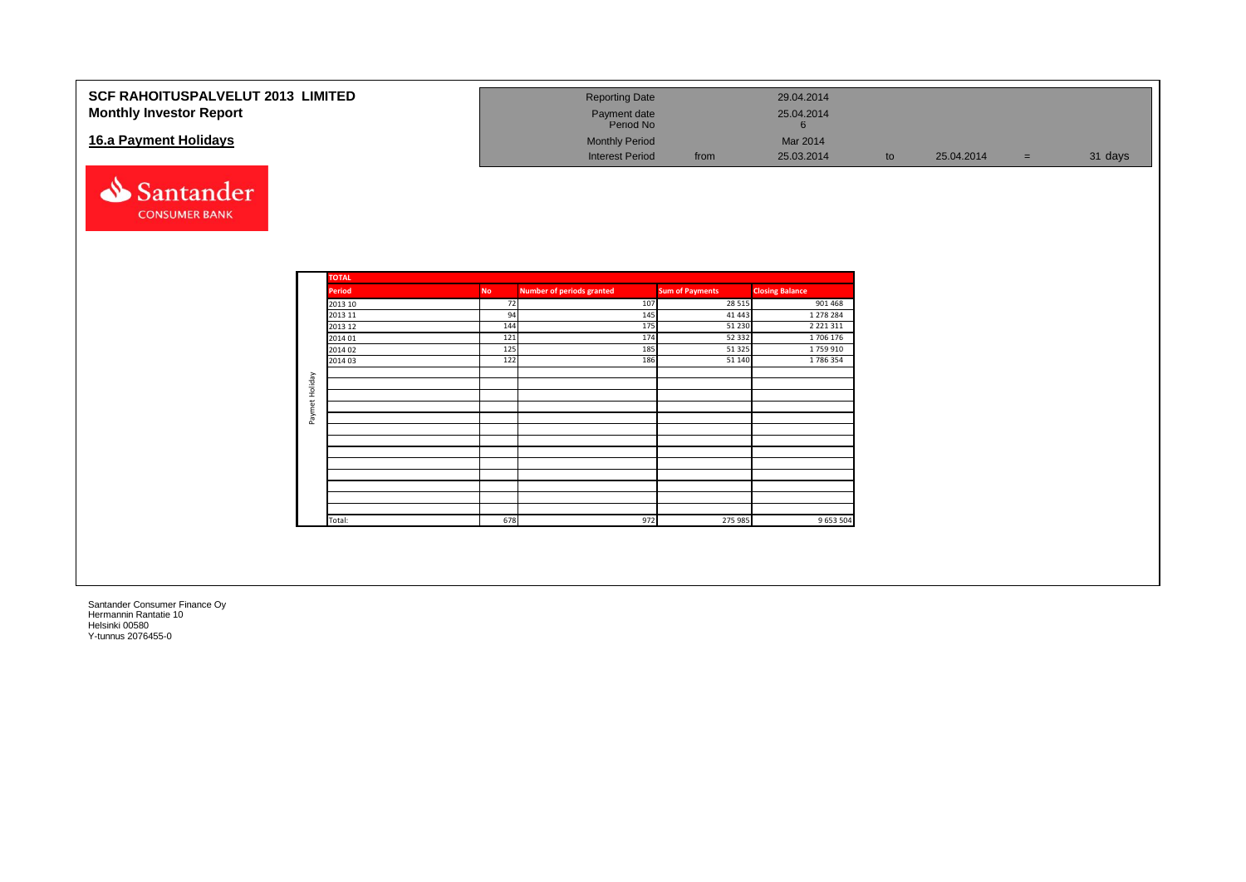| <b>SCF RAHOITUSPALVELUT 2013 LIMITED</b><br><b>Monthly Investor Report</b><br>16.a Payment Holidays<br>Santander<br><b>CONSUMER BANK</b> |                |                                                                                                           |                                                          | <b>Reporting Date</b><br>Payment date<br>Period No<br><b>Monthly Period</b><br><b>Interest Period</b> | from                                                                                              | 29.04.2014<br>25.04.2014<br>6<br>Mar 2014<br>25.03.2014                                                        | to | 25.04.2014 | $=$ | 31 days |
|------------------------------------------------------------------------------------------------------------------------------------------|----------------|-----------------------------------------------------------------------------------------------------------|----------------------------------------------------------|-------------------------------------------------------------------------------------------------------|---------------------------------------------------------------------------------------------------|----------------------------------------------------------------------------------------------------------------|----|------------|-----|---------|
|                                                                                                                                          | Paymet Holiday | <b>TOTAL</b><br><b>Period</b><br>2013 10<br>2013 11<br>2013 12<br>2014 01<br>2014 02<br>2014 03<br>Total: | <b>No</b><br>72<br>94<br>144<br>121<br>125<br>122<br>678 | <b>Number of periods granted</b><br>107<br>145<br>175<br>174<br>185<br>186<br>972                     | <b>Sum of Payments</b><br>28 5 15<br>41 4 43<br>51 230<br>52 3 32<br>51 3 25<br>51 140<br>275 985 | <b>Closing Balance</b><br>901 468<br>1 278 284<br>2 2 2 1 3 1 1<br>1706 176<br>1759910<br>1786354<br>9 653 504 |    |            |     |         |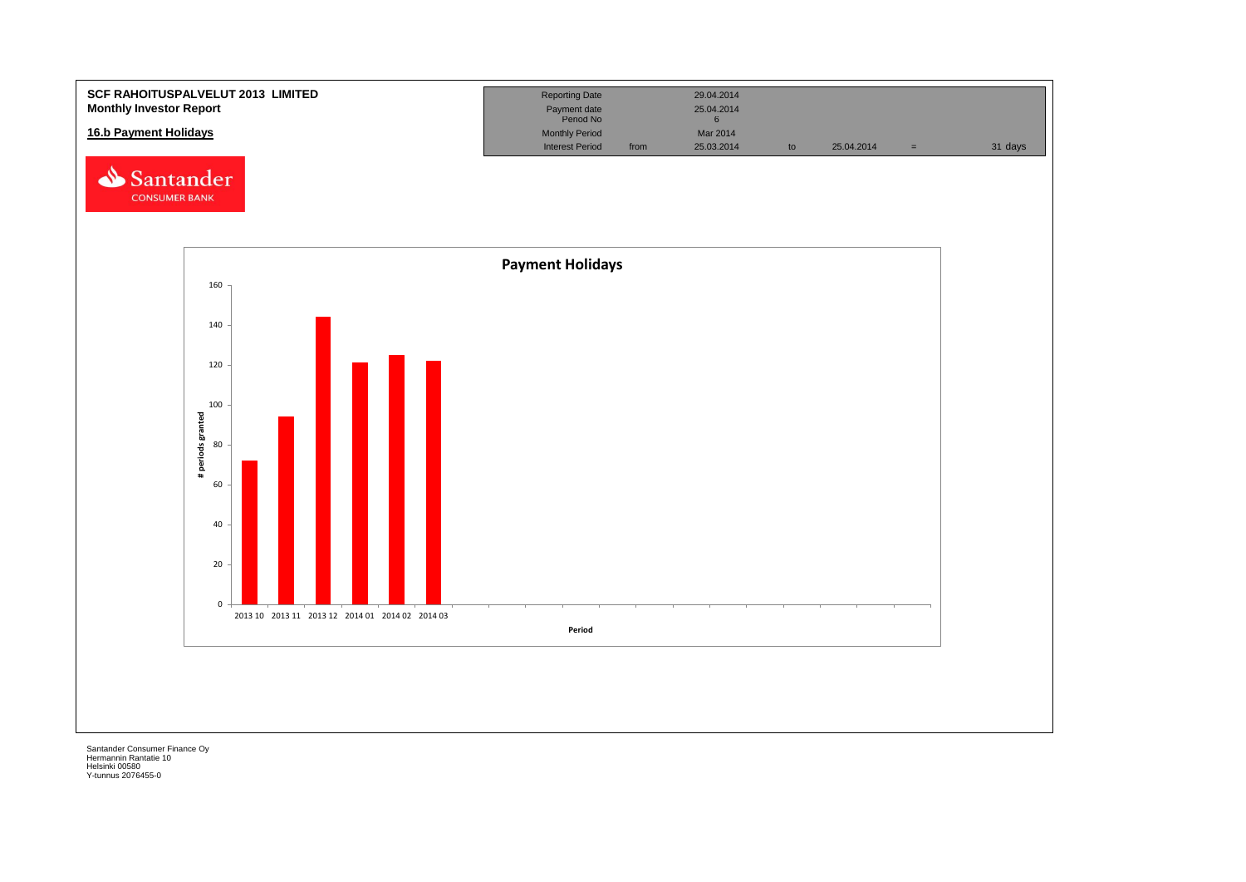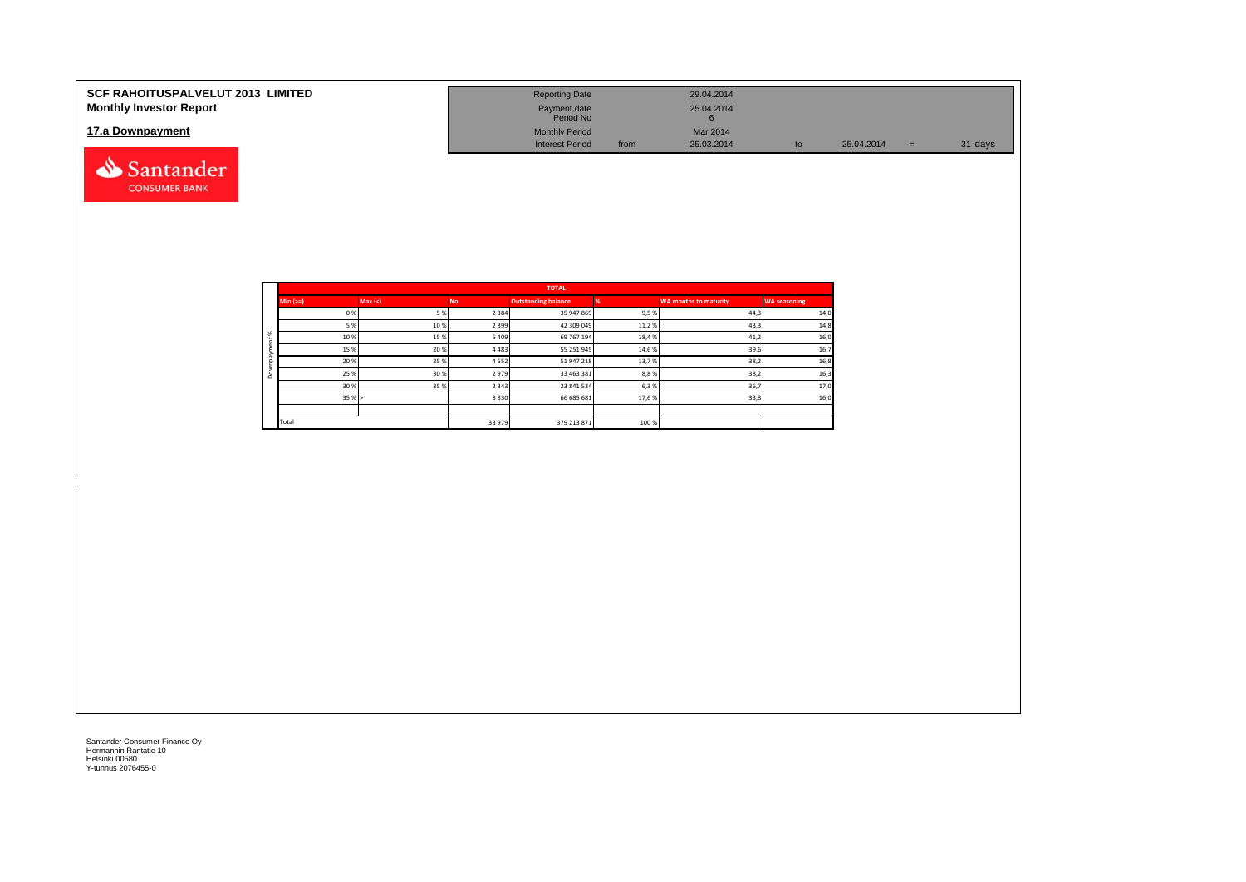| <b>SCF RAHOITUSPALVELUT 2013 LIMITED</b><br><b>Monthly Investor Report</b> | <b>Reporting Date</b><br>Payment date                        |      | 29.04.2014<br>25.04.2014 |    |            |     |         |
|----------------------------------------------------------------------------|--------------------------------------------------------------|------|--------------------------|----|------------|-----|---------|
| 17.a Downpayment                                                           | Period No<br><b>Monthly Period</b><br><b>Interest Period</b> | from | Mar 2014<br>25.03.2014   | to | 25.04.2014 | $=$ | 31 days |
| Santander                                                                  |                                                              |      |                          |    |            |     |         |

|               |           |        |           | <b>TOTAL</b>               |       |                              |                     |
|---------------|-----------|--------|-----------|----------------------------|-------|------------------------------|---------------------|
|               | $Min (=)$ | Max(<) | <b>No</b> | <b>Outstanding balance</b> |       | <b>WA months to maturity</b> | <b>WA seasoning</b> |
|               | 0%        | 5 %    | 2 3 8 4   | 35 947 869                 | 9,5%  | 44,3                         | 14,0                |
|               | 5 %       | 10%    | 2 8 9 9   | 42 309 049                 | 11,2% | 43,3                         | 14,8                |
| $\aleph$<br>c | 10%       | 15%    | 5 4 0 9   | 69 767 194                 | 18,4% | 41,2                         | 16,0                |
| ಪ             | 15%       | 20%    | 4483      | 55 251 945                 | 14,6% | 39,6                         | 16,7                |
|               | 20%       | 25%    | 4 6 5 2   | 51 947 218                 | 13,7% | 38,2                         | 16,8                |
| ۵             | 25 %      | 30%    | 2979      | 33 463 381                 | 8,8%  | 38,2                         | 16,3                |
|               | 30%       | 35%    | 2 3 4 3   | 23 841 534                 | 6,3%  | 36,7                         | 17,0                |
|               | 35%       |        | 8830      | 66 685 681                 | 17,6% | 33,8                         | 16,0                |
|               |           |        |           |                            |       |                              |                     |
|               | Total     |        | 33 979    | 379 213 871                | 100 % |                              |                     |

**CONSUMER BANK**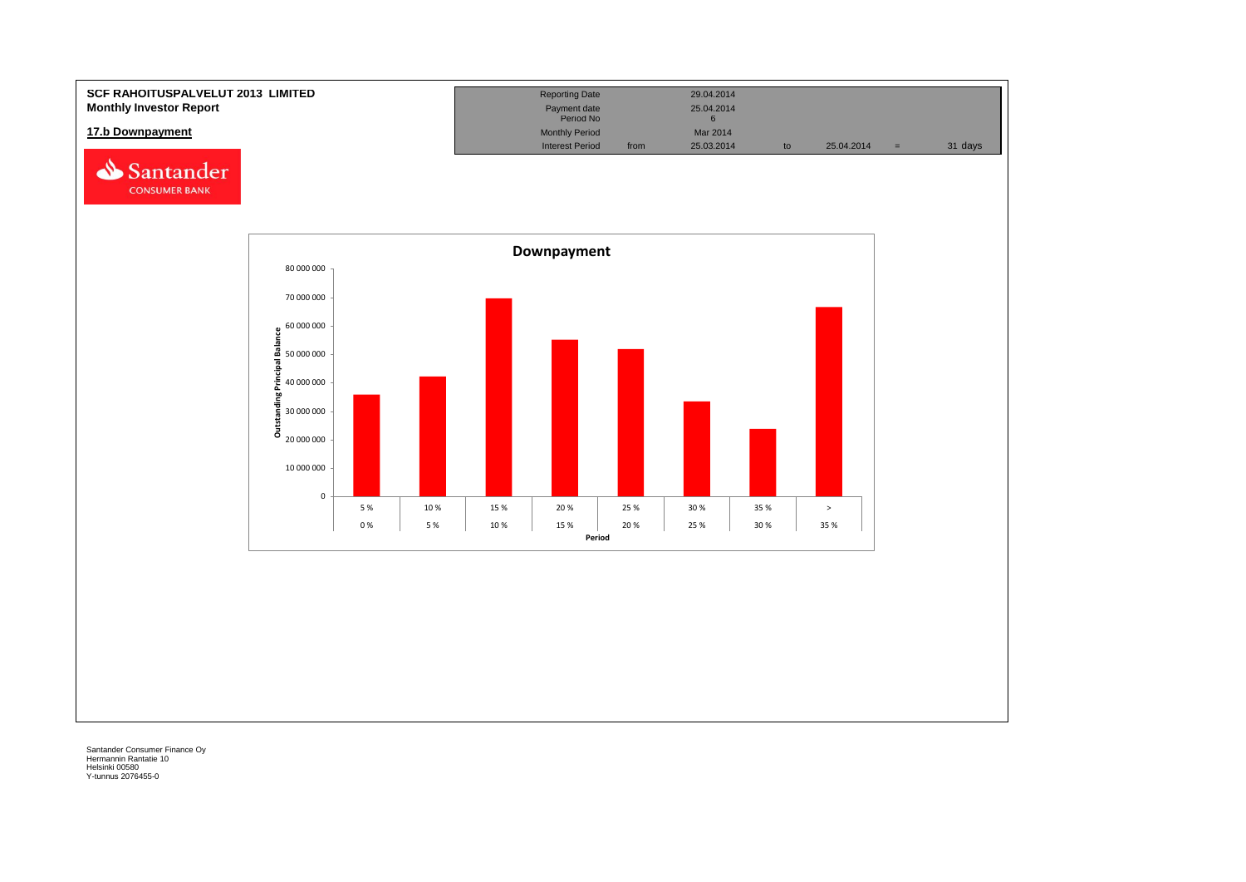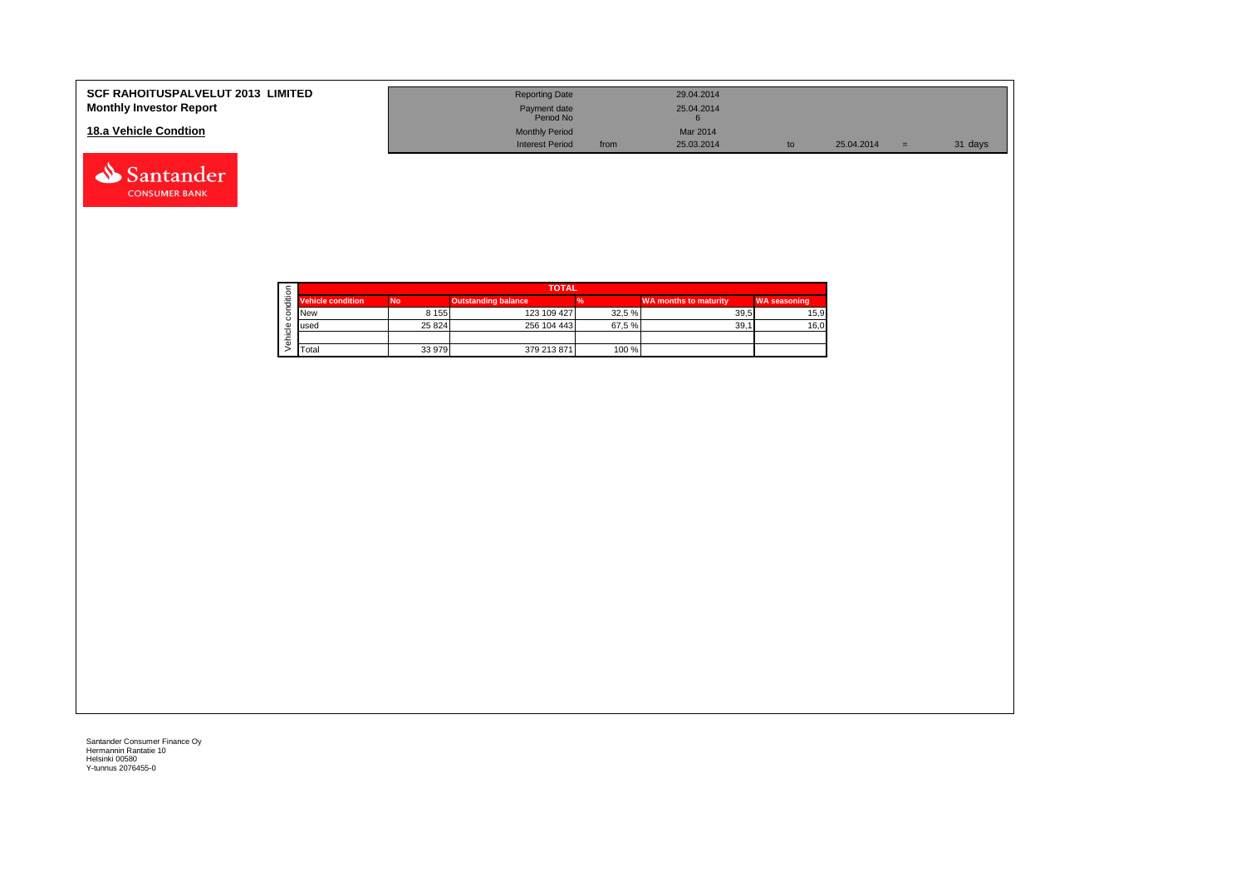| <b>SCF RAHOITUSPALVELUT 2013 LIMITED</b><br><b>Monthly Investor Report</b> | <b>Reporting Date</b><br>Payment date<br>Period No |      | 29.04.2014<br>25.04.2014 |    |            |     |         |
|----------------------------------------------------------------------------|----------------------------------------------------|------|--------------------------|----|------------|-----|---------|
| 18.a Vehicle Condtion                                                      | <b>Monthly Period</b>                              |      | Mar 2014                 |    |            |     |         |
|                                                                            | <b>Interest Period</b>                             | from | 25.03.2014               | to | 25.04.2014 | $=$ | 31 days |

|  |                          | <b>TOTAL</b> |                            |        |                              |                     |  |  |  |  |  |  |
|--|--------------------------|--------------|----------------------------|--------|------------------------------|---------------------|--|--|--|--|--|--|
|  | <b>Vehicle condition</b> | <b>No</b>    | <b>Outstanding balance</b> |        | <b>WA months to maturity</b> | <b>WA seasoning</b> |  |  |  |  |  |  |
|  | <b>INew</b>              | 8 1 5 5      | 123 109 427                | 32.5 % | 39.5                         | 15,9                |  |  |  |  |  |  |
|  | lused                    | 25 8 24      | 256 104 443                | 67.5%  | 39.1                         | 16,0                |  |  |  |  |  |  |
|  |                          |              |                            |        |                              |                     |  |  |  |  |  |  |
|  | <b>T</b> otal            | 33 979       | 379 213 871                | 100 %  |                              |                     |  |  |  |  |  |  |

Santander **CONSUMER BANK**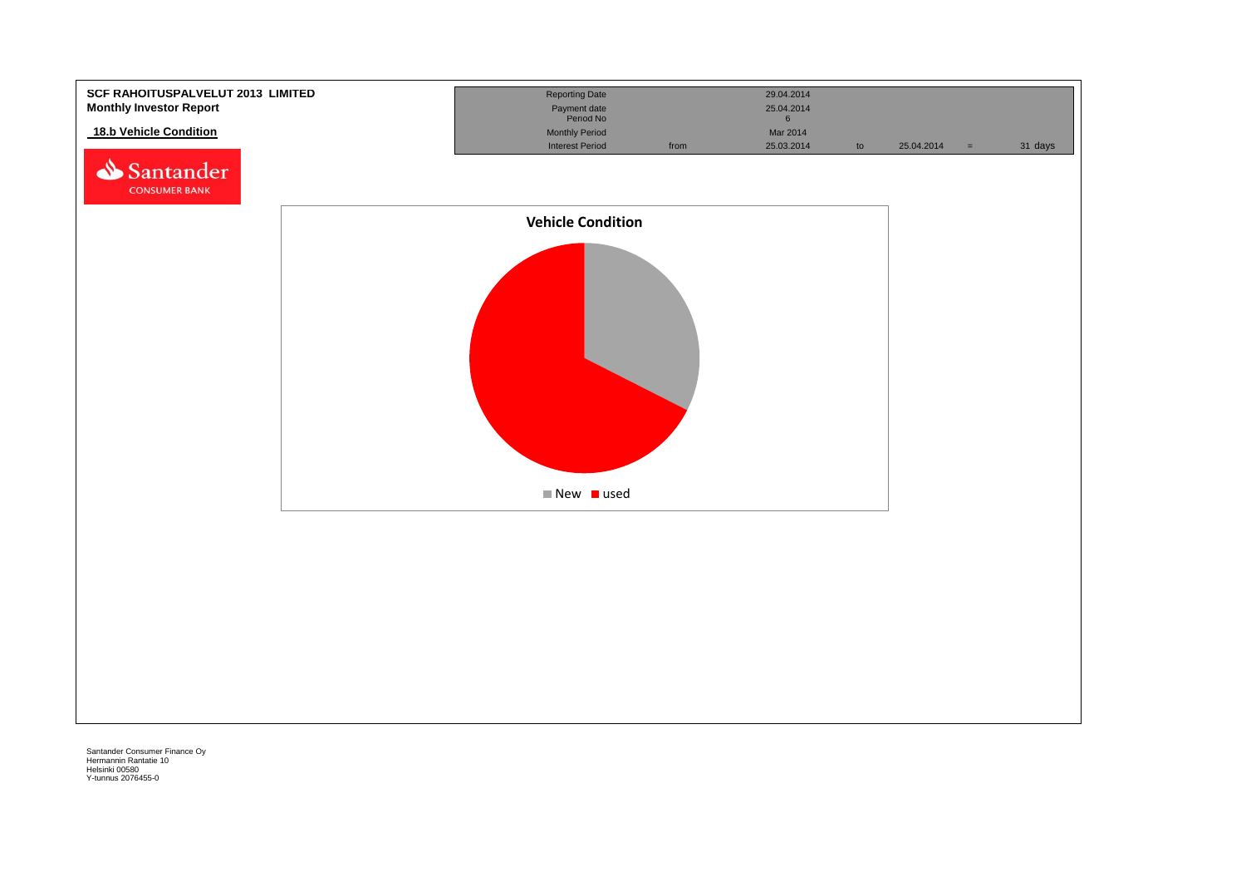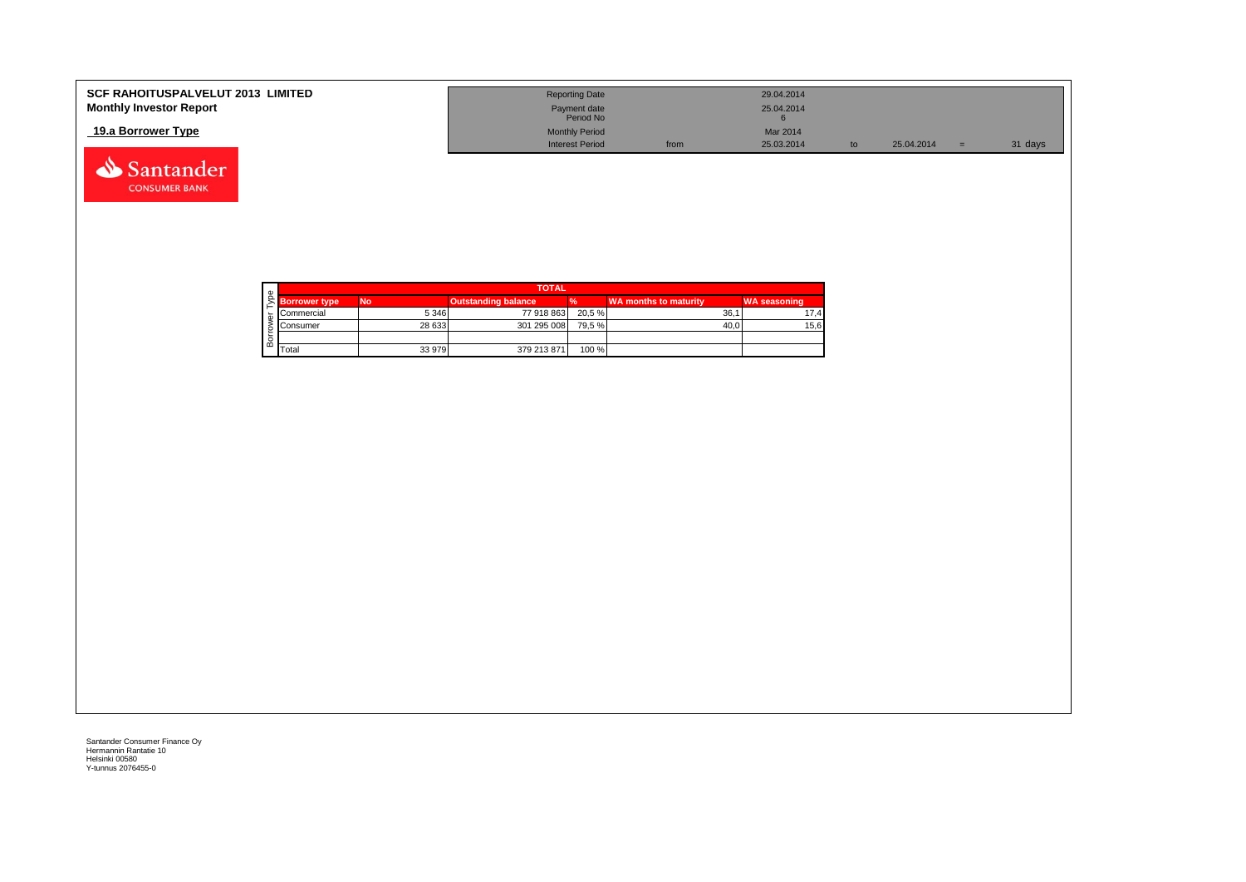| <b>SCF RAHOITUSPALVELUT 2013 LIMITED</b> | <b>Reporting Date</b>     |      | 29.04.2014 |    |            |         |
|------------------------------------------|---------------------------|------|------------|----|------------|---------|
| <b>Monthly Investor Report</b>           | Payment date<br>Period No |      | 25.04.2014 |    |            |         |
| 19.a Borrower Type                       | <b>Monthly Period</b>     |      | Mar 2014   |    |            |         |
|                                          | <b>Interest Period</b>    | from | 25.03.2014 | to | 25.04.2014 | 31 days |



Santander **CONSUMER BANK**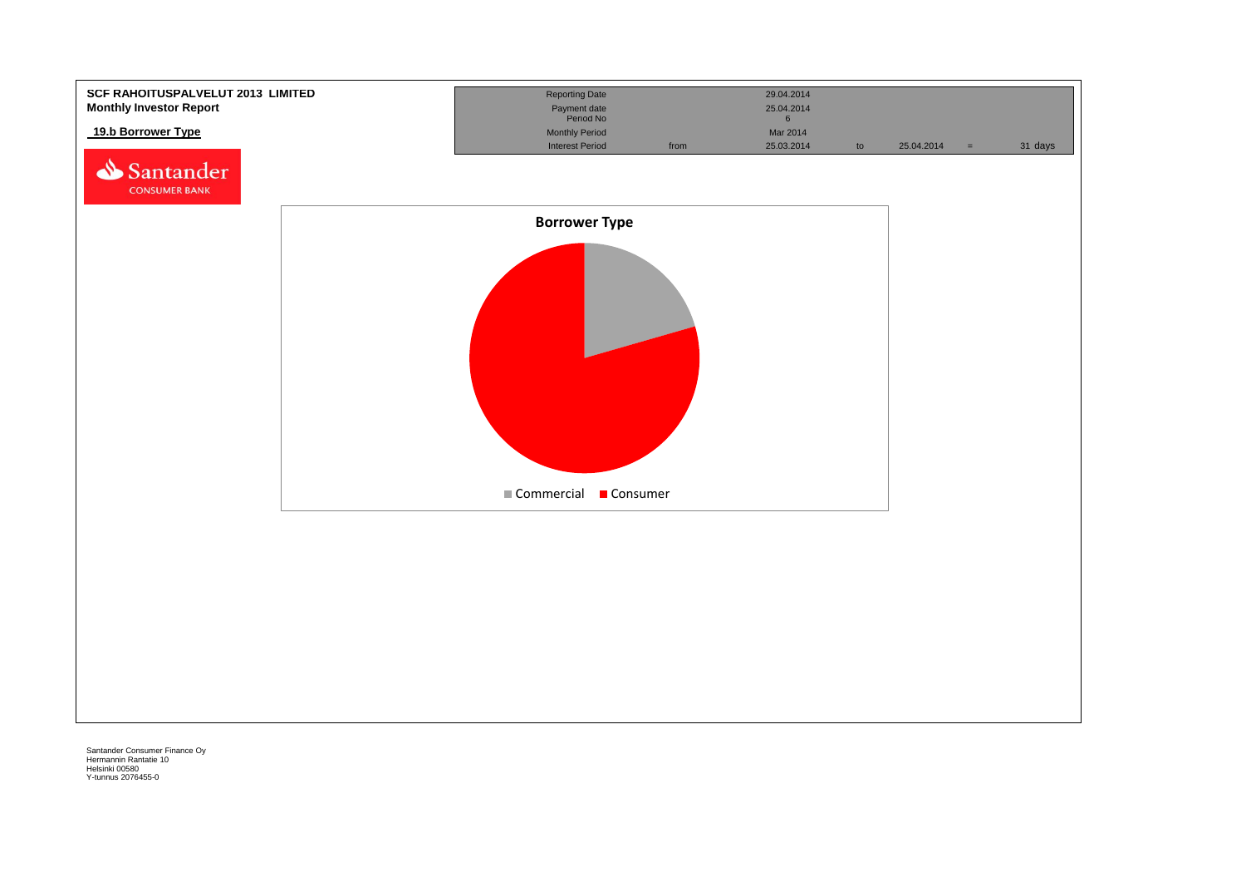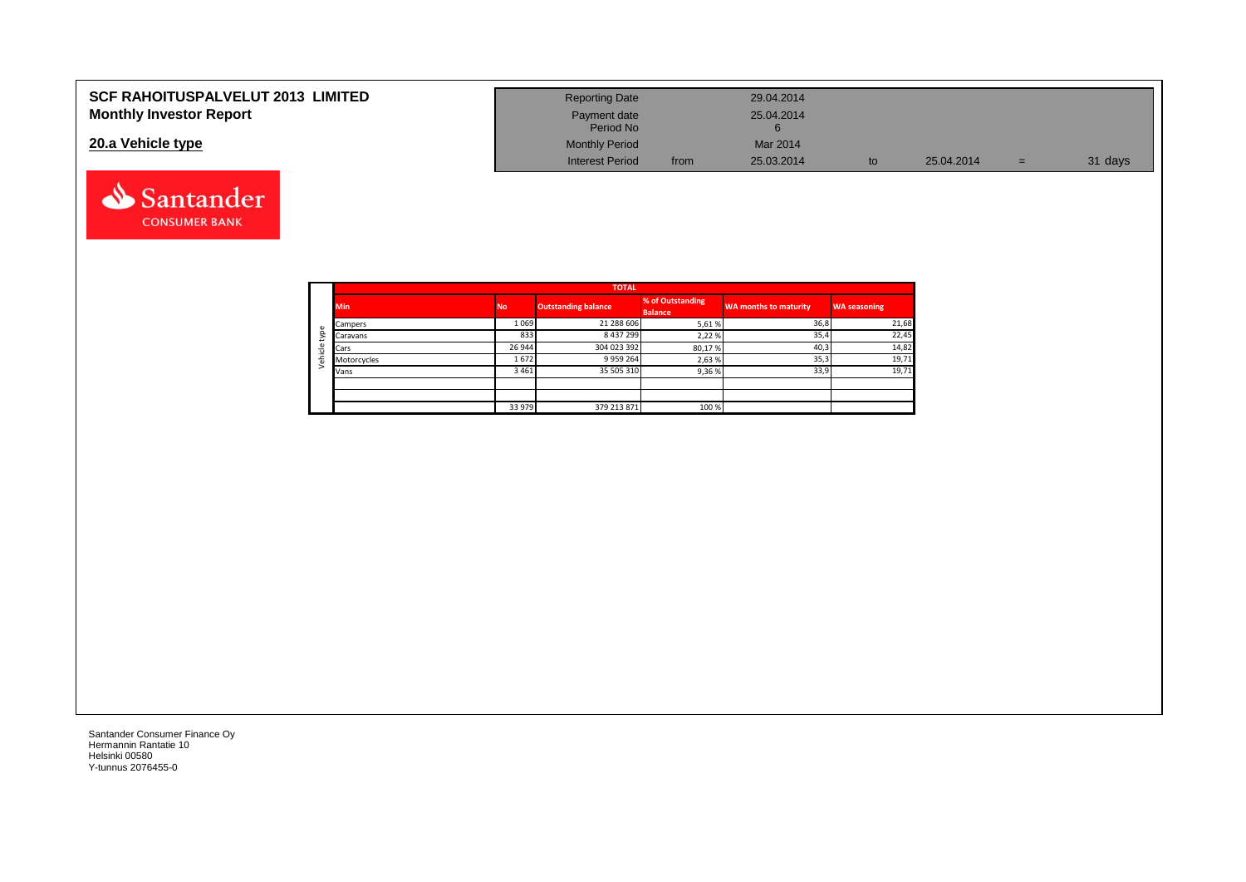| <b>SCF RAHOITUSPALVELUT 2013 LIMITED</b> | <b>Reporting Date</b>     |      | 29.04.2014 |    |            |     |         |
|------------------------------------------|---------------------------|------|------------|----|------------|-----|---------|
| <b>Monthly Investor Report</b>           | Payment date<br>Period No |      | 25.04.2014 |    |            |     |         |
| 20.a Vehicle type                        | <b>Monthly Period</b>     |      | Mar 2014   |    |            |     |         |
|                                          | <b>Interest Period</b>    | from | 25.03.2014 | to | 25.04.2014 | $=$ | 31 days |



Santander **CONSUMER BANK**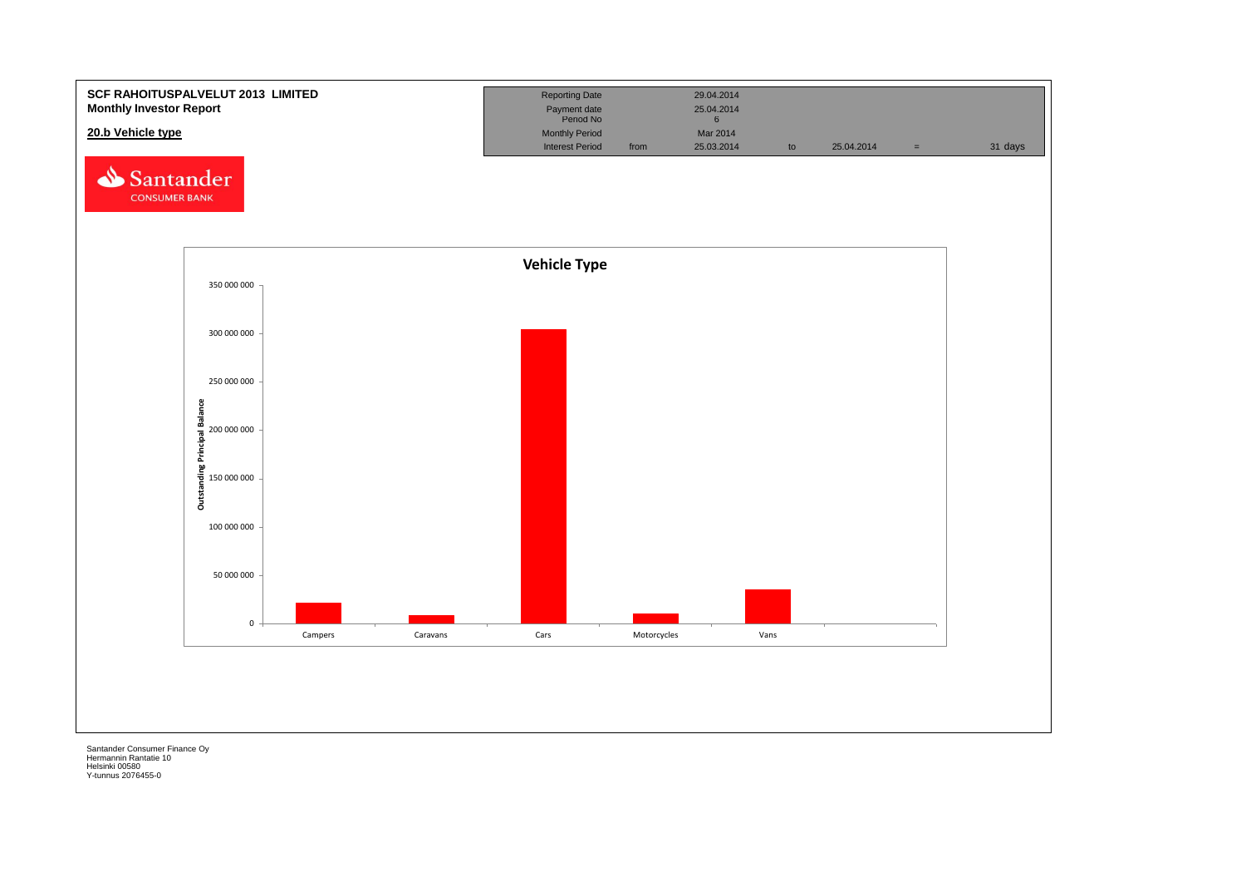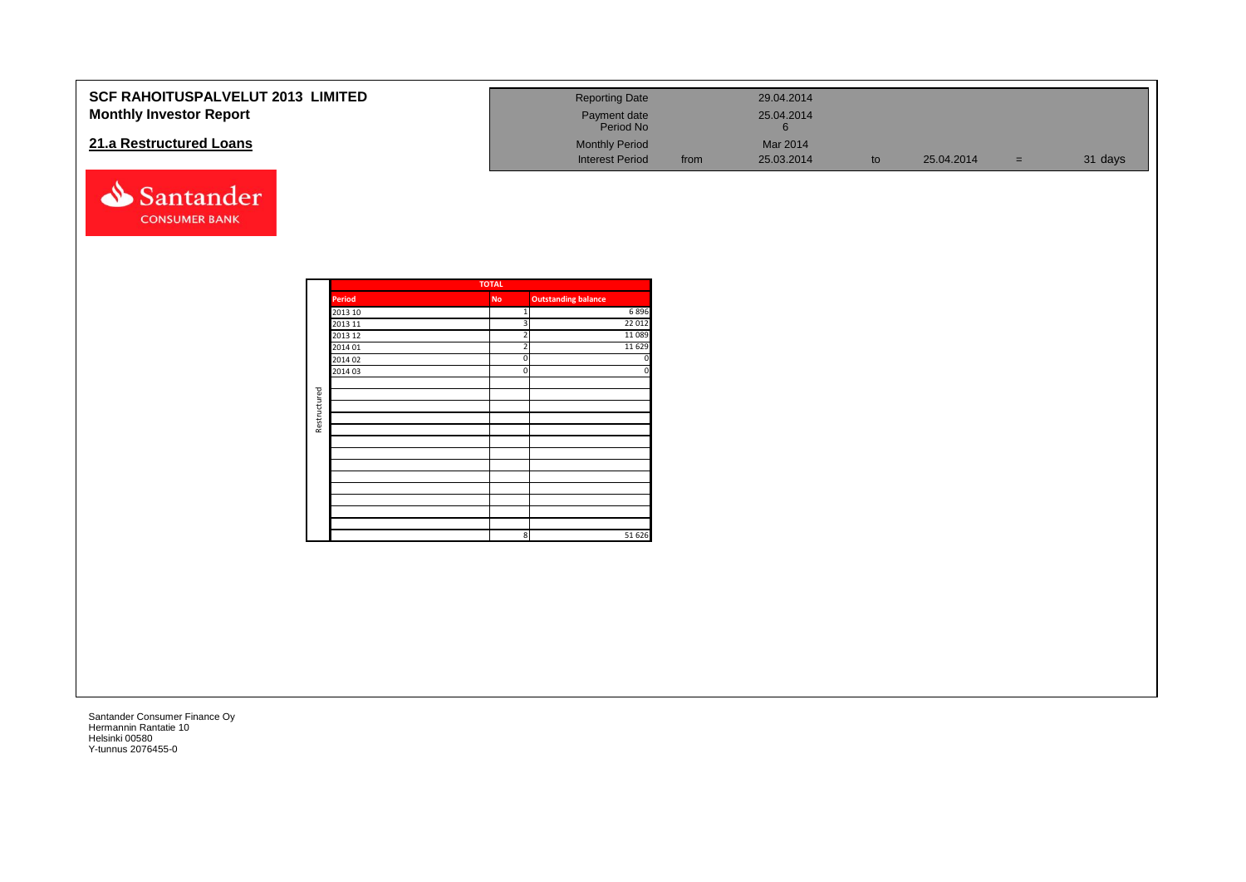| <b>SCF RAHOITUSPALVELUT 2013 LIMITED</b><br><b>Monthly Investor Report</b><br>21.a Restructured Loans<br>Santander<br><b>CONSUMER BANK</b> |              |                                                                          |                                                                                     | <b>Reporting Date</b><br>Payment date<br>Period No<br><b>Monthly Period</b><br><b>Interest Period</b> | from | 29.04.2014<br>25.04.2014<br>$6\phantom{.}6$<br>Mar 2014<br>25.03.2014 | to | 25.04.2014 | $=$ | 31 days |
|--------------------------------------------------------------------------------------------------------------------------------------------|--------------|--------------------------------------------------------------------------|-------------------------------------------------------------------------------------|-------------------------------------------------------------------------------------------------------|------|-----------------------------------------------------------------------|----|------------|-----|---------|
|                                                                                                                                            | Restructured | Period<br>2013 10<br>2013 11<br>2013 12<br>2014 01<br>2014 02<br>2014 03 | <b>TOTAL</b><br><b>No</b><br>3<br>$\overline{2}$<br>$\overline{2}$<br>$\Omega$<br>n | <b>Outstanding balance</b><br>6896<br>22 012<br>11089<br>11 6 29<br>51 626<br>8 <sup>1</sup>          |      |                                                                       |    |            |     |         |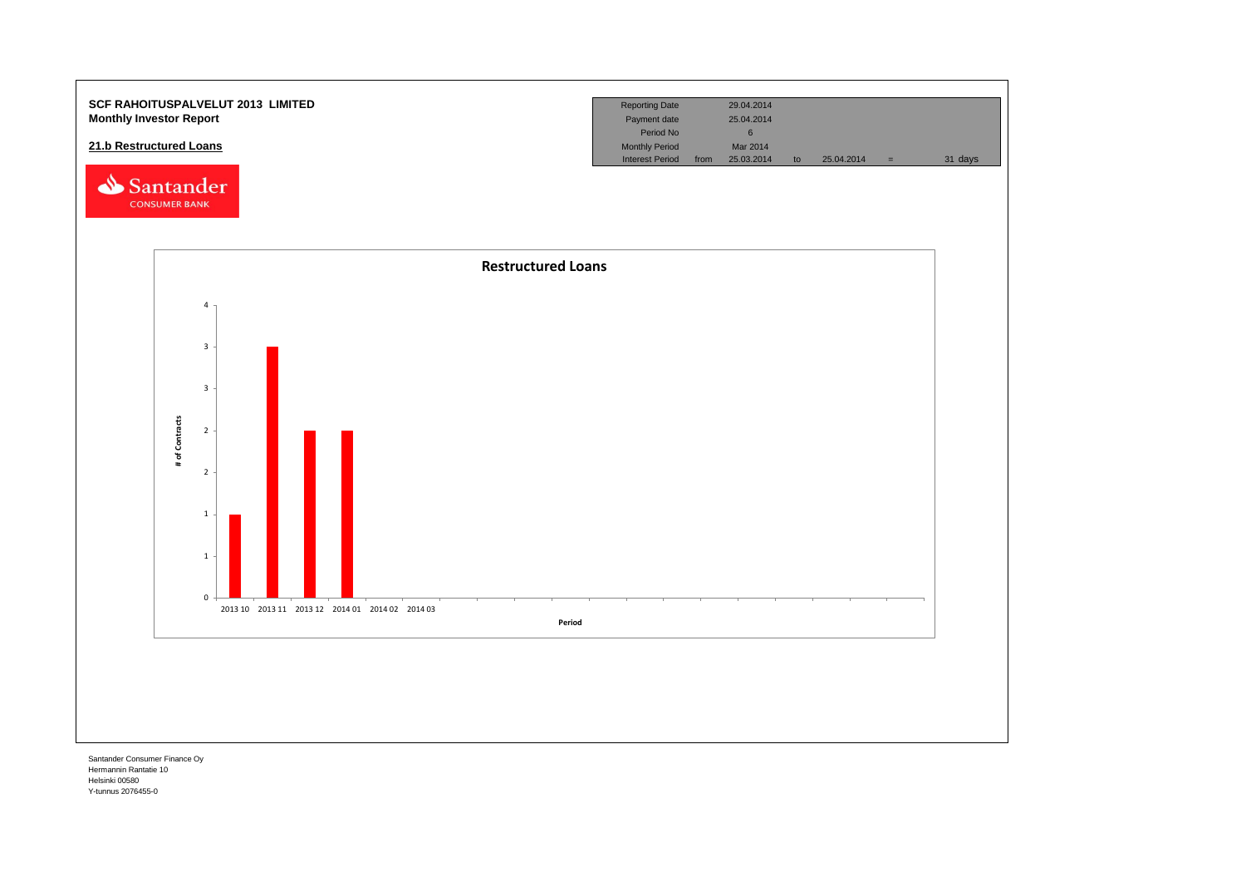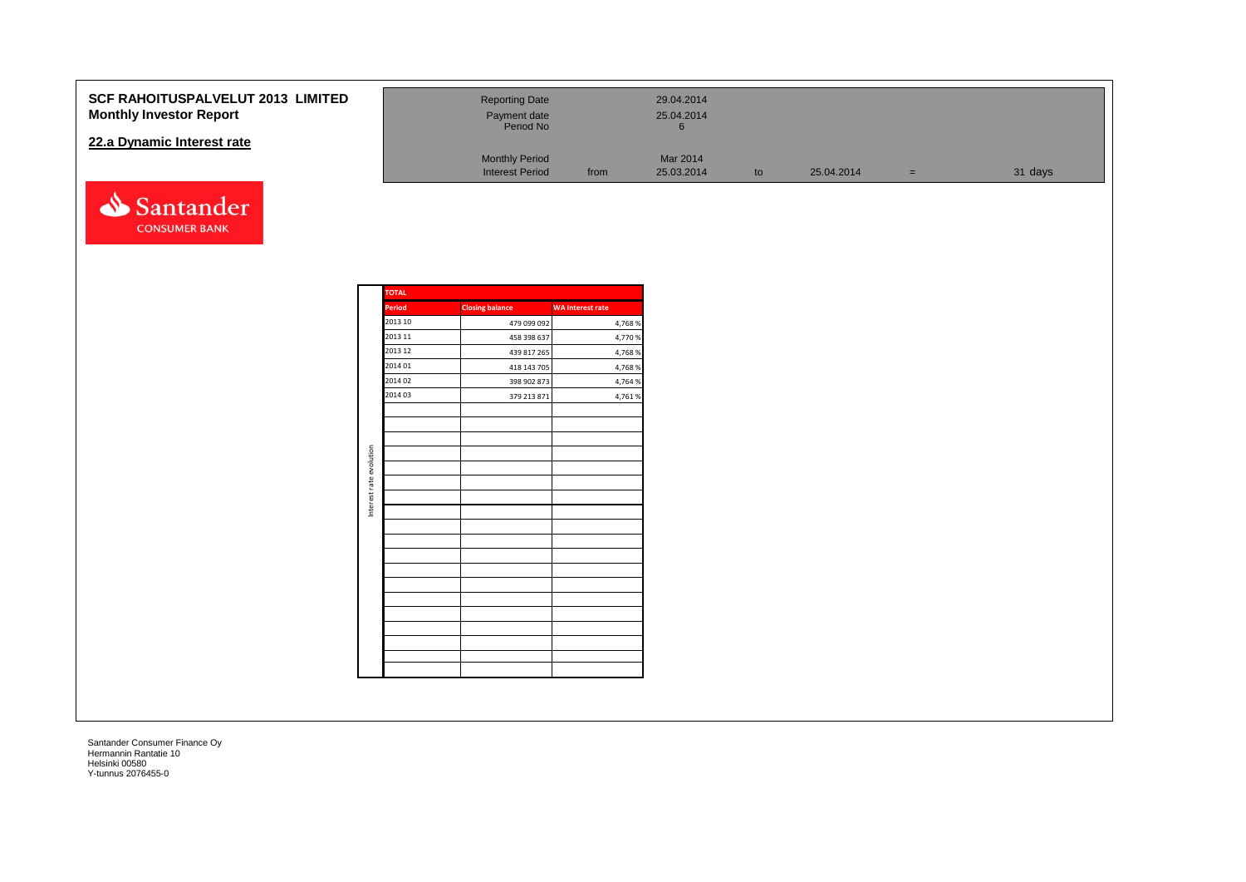#### **SCF RAHOITUSPALVELUT 2013 Monthly Investor Report**

#### **22.a Dynamic Interest rate**



| <b>LIMITED</b> | <b>Reporting Date</b><br>Payment date<br>Period No |      | 29.04.2014<br>25.04.2014<br>ю |    |            |     |         |
|----------------|----------------------------------------------------|------|-------------------------------|----|------------|-----|---------|
|                | <b>Monthly Period</b><br><b>Interest Period</b>    | from | Mar 2014<br>25.03.2014        | to | 25.04.2014 | $=$ | 31 days |

|                         | TOTAL         |                        |                         |
|-------------------------|---------------|------------------------|-------------------------|
|                         | <b>Period</b> | <b>Closing balance</b> | <b>WA Interest rate</b> |
|                         | 2013 10       | 479 099 092            | 4,768 %                 |
|                         | 2013 11       | 458 398 637            | 4,770 %                 |
|                         | 2013 12       | 439 817 265            | 4,768 %                 |
|                         | 2014 01       | 418 143 705            | 4,768%                  |
|                         | 2014 02       | 398 902 873            | 4,764 %                 |
|                         | 2014 03       | 379 213 871            | 4,761%                  |
|                         |               |                        |                         |
|                         |               |                        |                         |
|                         |               |                        |                         |
| Interest rate evolution |               |                        |                         |
|                         |               |                        |                         |
|                         |               |                        |                         |
|                         |               |                        |                         |
|                         |               |                        |                         |
|                         |               |                        |                         |
|                         |               |                        |                         |
|                         |               |                        |                         |
|                         |               |                        |                         |
|                         |               |                        |                         |
|                         |               |                        |                         |
|                         |               |                        |                         |
|                         |               |                        |                         |
|                         |               |                        |                         |
|                         |               |                        |                         |
|                         |               |                        |                         |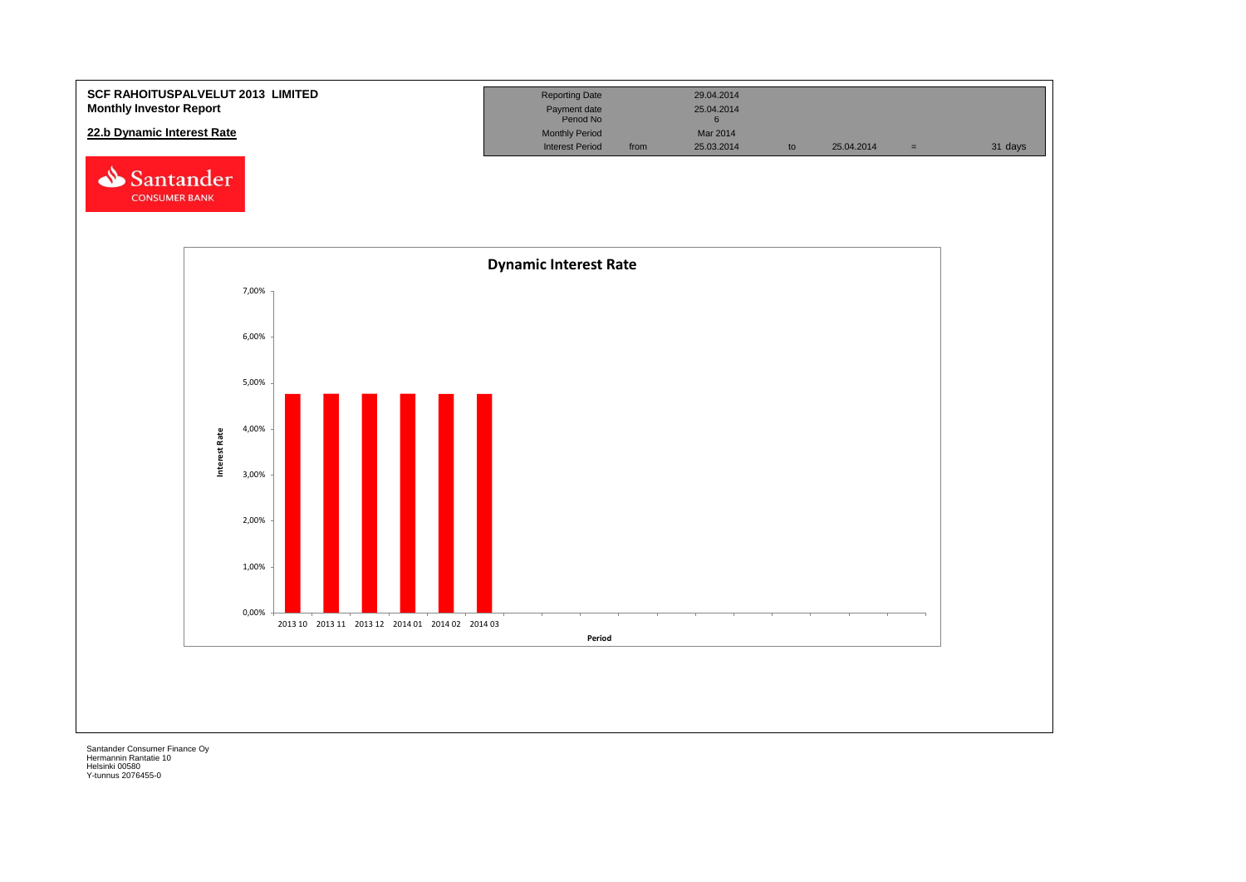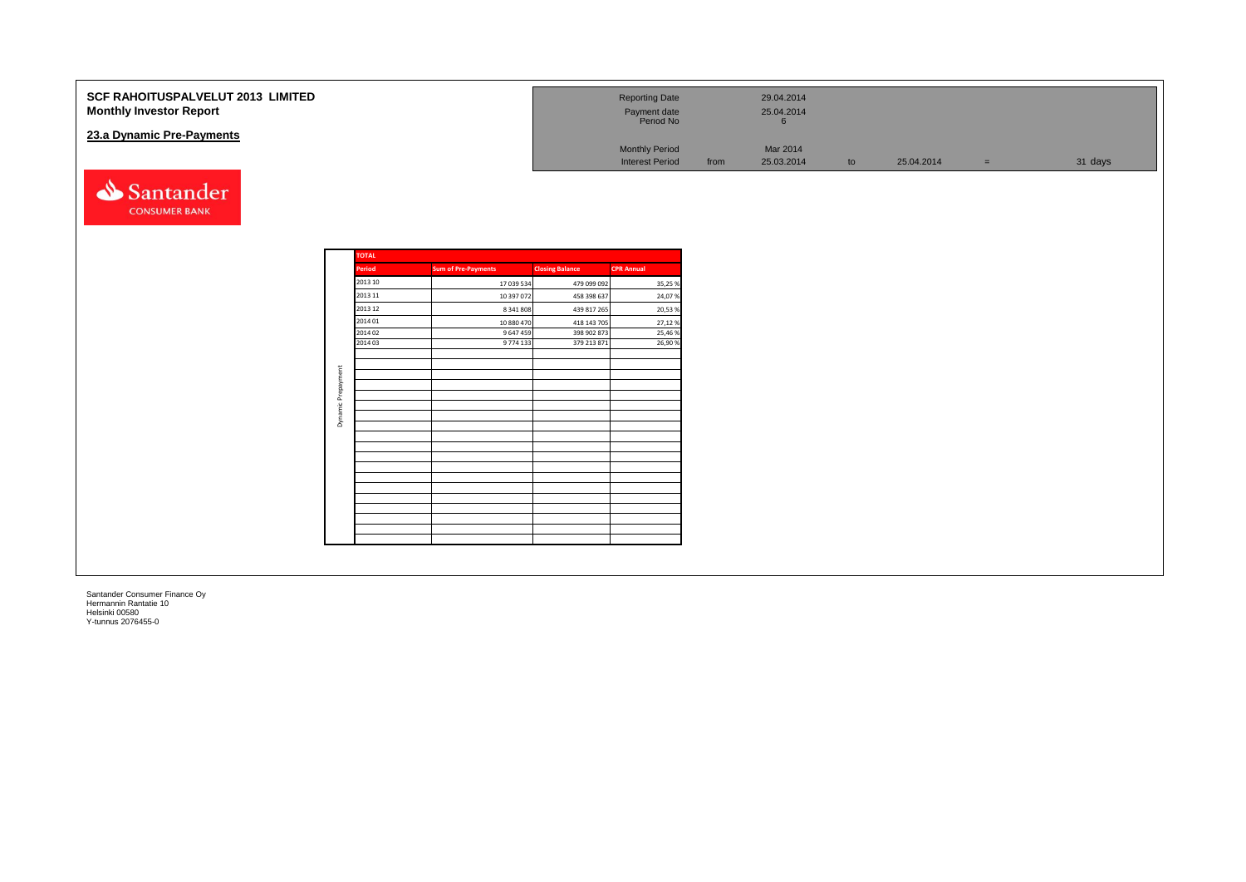| SCF RAHOITUSPALVELUT 2013 LIMITED<br><b>Monthly Investor Report</b><br>23.a Dynamic Pre-Payments |                    |                            |                            | <b>Reporting Date</b><br>Payment date<br>Period No<br><b>Monthly Period</b> |      | 29.04.2014<br>25.04.2014<br>$6\phantom{1}$<br>Mar 2014 |    |            |          |         |
|--------------------------------------------------------------------------------------------------|--------------------|----------------------------|----------------------------|-----------------------------------------------------------------------------|------|--------------------------------------------------------|----|------------|----------|---------|
|                                                                                                  |                    |                            |                            | <b>Interest Period</b>                                                      | from | 25.03.2014                                             | to | 25.04.2014 | $\equiv$ | 31 days |
| Santander<br><b>CONSUMER BANK</b>                                                                |                    |                            |                            |                                                                             |      |                                                        |    |            |          |         |
|                                                                                                  | <b>TOTAL</b>       |                            |                            |                                                                             |      |                                                        |    |            |          |         |
|                                                                                                  | Period             | <b>Sum of Pre-Payments</b> | <b>Closing Balance</b>     | <b>CPR Annual</b>                                                           |      |                                                        |    |            |          |         |
|                                                                                                  | 2013 10            | 17 039 534                 | 479 099 092                | 35,25 %                                                                     |      |                                                        |    |            |          |         |
|                                                                                                  | 2013 11            | 10 397 072                 | 458 398 637                | 24,07%                                                                      |      |                                                        |    |            |          |         |
|                                                                                                  | 2013 12            | 8 341 808                  | 439 817 265                | 20,53 %                                                                     |      |                                                        |    |            |          |         |
|                                                                                                  | 2014 01            | 10 880 470                 | 418 143 705                | 27,12 %                                                                     |      |                                                        |    |            |          |         |
|                                                                                                  | 2014 02<br>2014 03 | 9 647 459<br>9 774 133     | 398 902 873<br>379 213 871 | 25,46 %<br>26,90%                                                           |      |                                                        |    |            |          |         |
|                                                                                                  |                    |                            |                            |                                                                             |      |                                                        |    |            |          |         |
|                                                                                                  |                    |                            |                            |                                                                             |      |                                                        |    |            |          |         |
|                                                                                                  | Prepayment         |                            |                            |                                                                             |      |                                                        |    |            |          |         |
|                                                                                                  |                    |                            |                            |                                                                             |      |                                                        |    |            |          |         |
|                                                                                                  | $rac{u}{\pi}$      |                            |                            |                                                                             |      |                                                        |    |            |          |         |
|                                                                                                  | Dynar              |                            |                            |                                                                             |      |                                                        |    |            |          |         |
|                                                                                                  |                    |                            |                            |                                                                             |      |                                                        |    |            |          |         |
|                                                                                                  |                    |                            |                            |                                                                             |      |                                                        |    |            |          |         |
|                                                                                                  |                    |                            |                            |                                                                             |      |                                                        |    |            |          |         |
|                                                                                                  |                    |                            |                            |                                                                             |      |                                                        |    |            |          |         |
|                                                                                                  |                    |                            |                            |                                                                             |      |                                                        |    |            |          |         |
|                                                                                                  |                    |                            |                            |                                                                             |      |                                                        |    |            |          |         |
|                                                                                                  |                    |                            |                            |                                                                             |      |                                                        |    |            |          |         |
|                                                                                                  |                    |                            |                            |                                                                             |      |                                                        |    |            |          |         |
|                                                                                                  |                    |                            |                            |                                                                             |      |                                                        |    |            |          |         |
|                                                                                                  |                    |                            |                            |                                                                             |      |                                                        |    |            |          |         |
|                                                                                                  |                    |                            |                            |                                                                             |      |                                                        |    |            |          |         |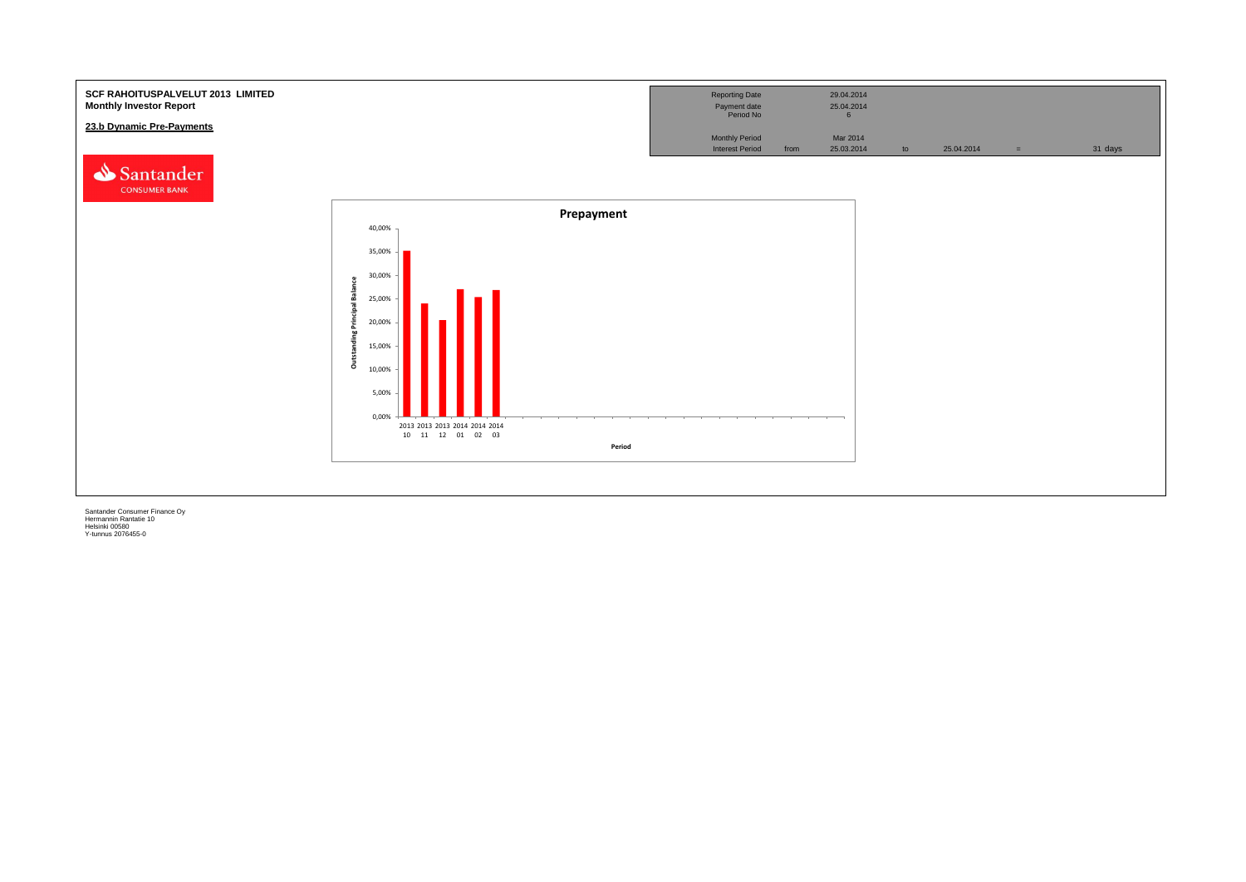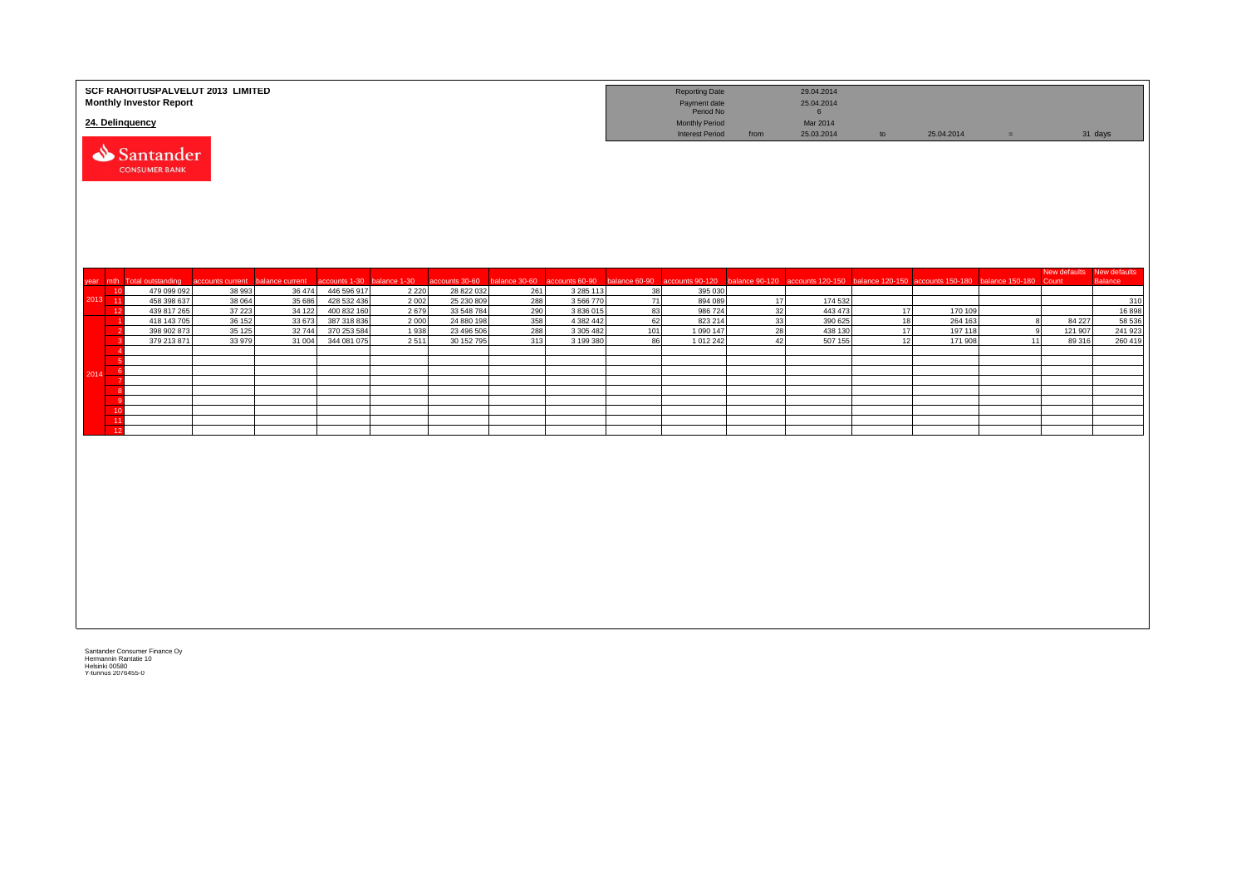|                   | SCF RAHOITUSPALVELUT 2013 LIMITED<br><b>Monthly Investor Report</b> |                  |                  |                            |                 |                          |                              |                        |          | <b>Reporting Date</b><br>Payment date<br>Period No |                | 29.04.2014<br>25.04.2014<br>$6\overline{6}$ |    |                                                   |                 |                                    |                |
|-------------------|---------------------------------------------------------------------|------------------|------------------|----------------------------|-----------------|--------------------------|------------------------------|------------------------|----------|----------------------------------------------------|----------------|---------------------------------------------|----|---------------------------------------------------|-----------------|------------------------------------|----------------|
|                   | 24. Delinquency                                                     |                  |                  |                            |                 |                          |                              |                        |          | <b>Monthly Period</b><br><b>Interest Period</b>    | from           | Mar 2014<br>25.03.2014                      | to | 25.04.2014                                        | $=$             |                                    | 31 days        |
|                   | Santander<br><b>CONSUMER BANK</b>                                   |                  |                  |                            |                 |                          |                              |                        |          |                                                    |                |                                             |    |                                                   |                 |                                    |                |
| year mth          | <b>Total outstanding</b>                                            | accounts current | balance current  | ccounts 1-30               | balance 1-30    | accounts 30-60           | balance 30-60 accounts 60-90 |                        |          | balance 60-90 accounts 90-120                      | balance 90-120 |                                             |    | accounts 120-150 balance 120-150 accounts 150-180 | balance 150-180 | New defaults New defaults<br>Count | <b>Balance</b> |
| 10                | 479 099 092                                                         | 38 993           | 36 474           | 446 596 917                | 2 2 2 0         | 28 822 032               | 261                          | 3 2 8 5 1 1 3          | 38       | 395 030                                            |                |                                             |    |                                                   |                 |                                    |                |
| $2013 - 11$<br>12 | 458 398 637<br>439 817 265                                          | 38 064<br>37 223 | 35 686<br>34 122 | 428 532 436<br>400 832 160 | 2 0 0 2<br>2679 | 25 230 809<br>33 548 784 | 288<br>290                   | 3 566 770<br>3 836 015 | 71<br>83 | 894 089<br>986 724                                 | 17<br>32       | 174 532<br>443 473                          | 17 | 170 109                                           |                 |                                    | 310<br>16898   |
|                   | 418 143 705                                                         | 36 152           | 33 673           | 387 318 836                | 2 0 0 0         | 24 880 198               | 358                          | 4 382 442              | 62       | 823 214                                            | 33             | 390 625                                     | 18 | 264 163                                           |                 | 84 227                             | 58 536         |
|                   | 398 902 873                                                         | 35 125           | 32744            | 370 253 584                | 1938            | 23 496 506               | 288                          | 3 3 0 5 4 8 2          | 101      | 1 0 9 0 1 4 7                                      | 28             | 438 130                                     | 17 | 197 118                                           | q               | 121 907                            | 241 923        |
|                   | 379 213 871                                                         | 33 979           | 31 004           | 344 081 075                | 2511            | 30 152 795               | 313                          | 3 199 380              | 86       | 1 012 242                                          | 42             | 507 155                                     | 12 | 171 908                                           | 11              | 89 316                             | 260 419        |
|                   |                                                                     |                  |                  |                            |                 |                          |                              |                        |          |                                                    |                |                                             |    |                                                   |                 |                                    |                |
| 2014              |                                                                     |                  |                  |                            |                 |                          |                              |                        |          |                                                    |                |                                             |    |                                                   |                 |                                    |                |
|                   |                                                                     |                  |                  |                            |                 |                          |                              |                        |          |                                                    |                |                                             |    |                                                   |                 |                                    |                |
|                   |                                                                     |                  |                  |                            |                 |                          |                              |                        |          |                                                    |                |                                             |    |                                                   |                 |                                    |                |
| 10                |                                                                     |                  |                  |                            |                 |                          |                              |                        |          |                                                    |                |                                             |    |                                                   |                 |                                    |                |
| 11                |                                                                     |                  |                  |                            |                 |                          |                              |                        |          |                                                    |                |                                             |    |                                                   |                 |                                    |                |
| 12                |                                                                     |                  |                  |                            |                 |                          |                              |                        |          |                                                    |                |                                             |    |                                                   |                 |                                    |                |
|                   |                                                                     |                  |                  |                            |                 |                          |                              |                        |          |                                                    |                |                                             |    |                                                   |                 |                                    |                |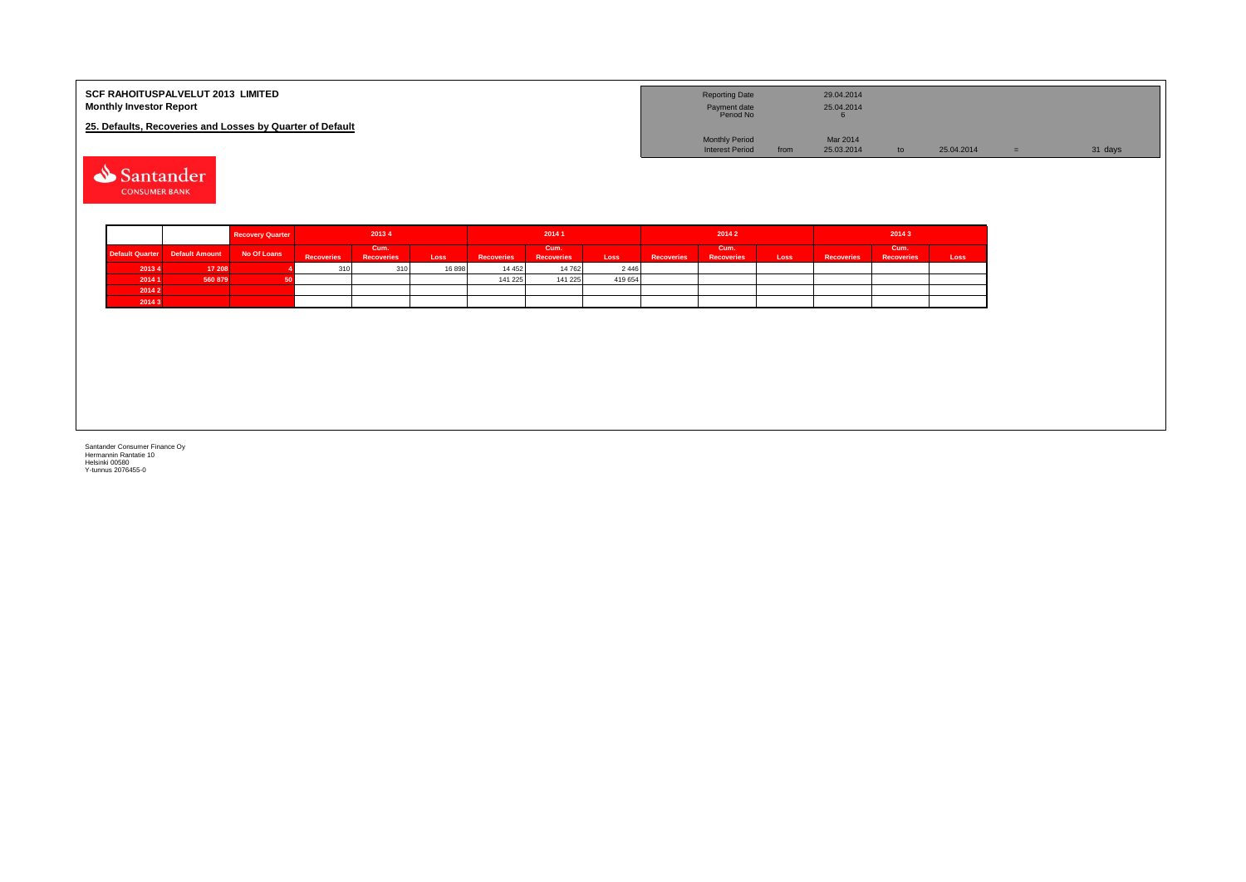| <b>SCF RAHOITUSPALVELUT 2013 LIMITED</b><br><b>Monthly Investor Report</b> | <b>Reporting Date</b><br>Payment date<br>Period No |      | 29.04.2014<br>25.04.2014 |    |            |         |
|----------------------------------------------------------------------------|----------------------------------------------------|------|--------------------------|----|------------|---------|
| 25. Defaults, Recoveries and Losses by Quarter of Default                  |                                                    |      |                          |    |            |         |
|                                                                            | <b>Monthly Period</b>                              |      | Mar 2014                 |    |            |         |
|                                                                            | <b>Interest Period</b>                             | from | 25.03.2014               | to | 25.04.2014 | 31 days |
| Santander                                                                  |                                                    |      |                          |    |            |         |

**CONSUMER BANK** 

|        |                                | <b>Recovery Quarter</b> | 20134             |                           |       | 2014 1            |                           |         | 20142             |                           |      | 20143             |                           |      |  |
|--------|--------------------------------|-------------------------|-------------------|---------------------------|-------|-------------------|---------------------------|---------|-------------------|---------------------------|------|-------------------|---------------------------|------|--|
|        | Default Quarter Default Amount | No Of Loans             | <b>Recoveries</b> | Cum.<br><b>Recoveries</b> | Loss  | <b>Recoveries</b> | Cum.<br><b>Recoveries</b> | Loss    | <b>Recoveries</b> | Cum.<br><b>Recoveries</b> | Loss | <b>Recoveries</b> | Cum.<br><b>Recoveries</b> | Loss |  |
| 2013 4 | 17 208                         |                         | 310               | 310                       | 16898 | 14 4 5 2          | 14 762                    | 2 4 4 6 |                   |                           |      |                   |                           |      |  |
| 2014 1 | 560 879                        |                         |                   |                           |       | 141 225           | 141 225                   | 419 654 |                   |                           |      |                   |                           |      |  |
| 2014 2 |                                |                         |                   |                           |       |                   |                           |         |                   |                           |      |                   |                           |      |  |
| 2014 3 |                                |                         |                   |                           |       |                   |                           |         |                   |                           |      |                   |                           |      |  |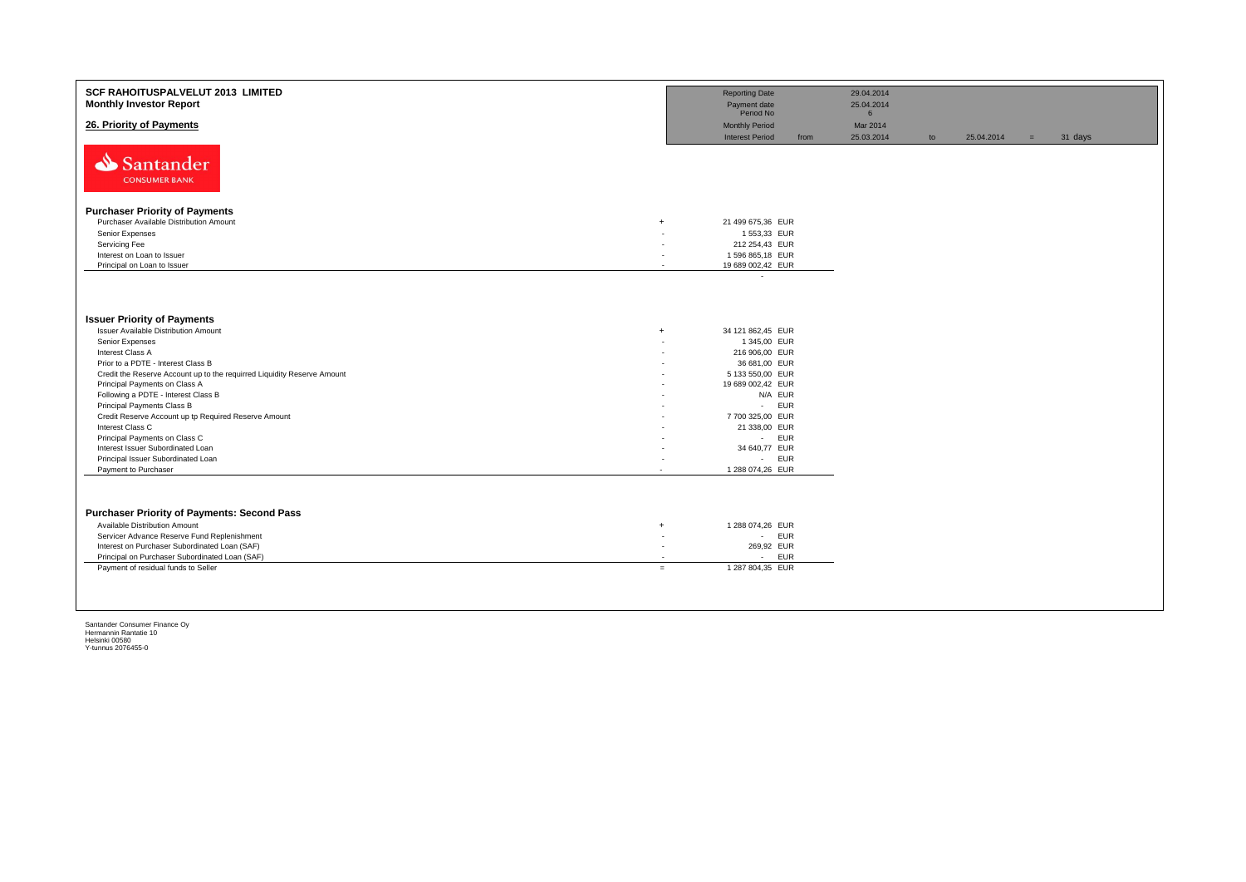| <b>SCF RAHOITUSPALVELUT 2013 LIMITED</b><br><b>Monthly Investor Report</b> |                          | <b>Reporting Date</b><br>Payment date<br>Period No |      | 29.04.2014<br>25.04.2014<br>$6\overline{6}$ |    |            |     |         |
|----------------------------------------------------------------------------|--------------------------|----------------------------------------------------|------|---------------------------------------------|----|------------|-----|---------|
| 26. Priority of Payments                                                   |                          | <b>Monthly Period</b><br><b>Interest Period</b>    | from | Mar 2014<br>25.03.2014                      | to | 25.04.2014 | $=$ | 31 days |
| Santander<br><b>CONSUMER BANK</b>                                          |                          |                                                    |      |                                             |    |            |     |         |
| <b>Purchaser Priority of Payments</b>                                      |                          |                                                    |      |                                             |    |            |     |         |
| Purchaser Available Distribution Amount<br>$+$                             |                          | 21 499 675,36 EUR                                  |      |                                             |    |            |     |         |
| Senior Expenses                                                            |                          | 1 553,33 EUR                                       |      |                                             |    |            |     |         |
| Servicing Fee                                                              | ٠                        | 212 254,43 EUR                                     |      |                                             |    |            |     |         |
| Interest on Loan to Issuer                                                 | ٠                        | 1596 865,18 EUR                                    |      |                                             |    |            |     |         |
| Principal on Loan to Issuer                                                | $\overline{\phantom{a}}$ | 19 689 002,42 EUR                                  |      |                                             |    |            |     |         |
|                                                                            |                          | $\overline{\phantom{a}}$                           |      |                                             |    |            |     |         |
| <b>Issuer Priority of Payments</b>                                         |                          |                                                    |      |                                             |    |            |     |         |
| <b>Issuer Available Distribution Amount</b><br>$+$                         |                          | 34 121 862,45 EUR                                  |      |                                             |    |            |     |         |
| Senior Expenses                                                            |                          | 1 345,00 EUR                                       |      |                                             |    |            |     |         |
| Interest Class A                                                           | ٠                        | 216 906,00 EUR                                     |      |                                             |    |            |     |         |
| Prior to a PDTE - Interest Class B                                         |                          | 36 681,00 EUR                                      |      |                                             |    |            |     |         |
| Credit the Reserve Account up to the requirred Liquidity Reserve Amount    | ۰                        | 5 133 550,00 EUR                                   |      |                                             |    |            |     |         |
| Principal Payments on Class A                                              | ٠                        | 19 689 002,42 EUR                                  |      |                                             |    |            |     |         |
| Following a PDTE - Interest Class B<br>Principal Payments Class B          |                          | N/A EUR<br><b>EUR</b><br>$\sim$                    |      |                                             |    |            |     |         |
| Credit Reserve Account up tp Required Reserve Amount                       |                          | 7700 325,00 EUR                                    |      |                                             |    |            |     |         |
| Interest Class C                                                           |                          | 21 338,00 EUR                                      |      |                                             |    |            |     |         |
| Principal Payments on Class C                                              |                          | - EUR                                              |      |                                             |    |            |     |         |
| Interest Issuer Subordinated Loan                                          | ۰                        | 34 640,77 EUR                                      |      |                                             |    |            |     |         |
| Principal Issuer Subordinated Loan                                         | ٠                        | EUR<br>$\sim$                                      |      |                                             |    |            |     |         |
| Payment to Purchaser<br>$\sim$                                             |                          | 1 288 074,26 EUR                                   |      |                                             |    |            |     |         |
| <b>Purchaser Priority of Payments: Second Pass</b>                         |                          |                                                    |      |                                             |    |            |     |         |
| Available Distribution Amount<br>$+$                                       |                          | 1 288 074,26 EUR                                   |      |                                             |    |            |     |         |
| Servicer Advance Reserve Fund Replenishment                                | $\overline{\phantom{a}}$ | <b>EUR</b><br>$\sim$                               |      |                                             |    |            |     |         |
| Interest on Purchaser Subordinated Loan (SAF)                              | ٠                        | 269,92 EUR                                         |      |                                             |    |            |     |         |
| Principal on Purchaser Subordinated Loan (SAF)                             |                          | <b>EUR</b><br>$\sim$                               |      |                                             |    |            |     |         |
| Payment of residual funds to Seller<br>$=$                                 |                          | 1 287 804,35 EUR                                   |      |                                             |    |            |     |         |
|                                                                            |                          |                                                    |      |                                             |    |            |     |         |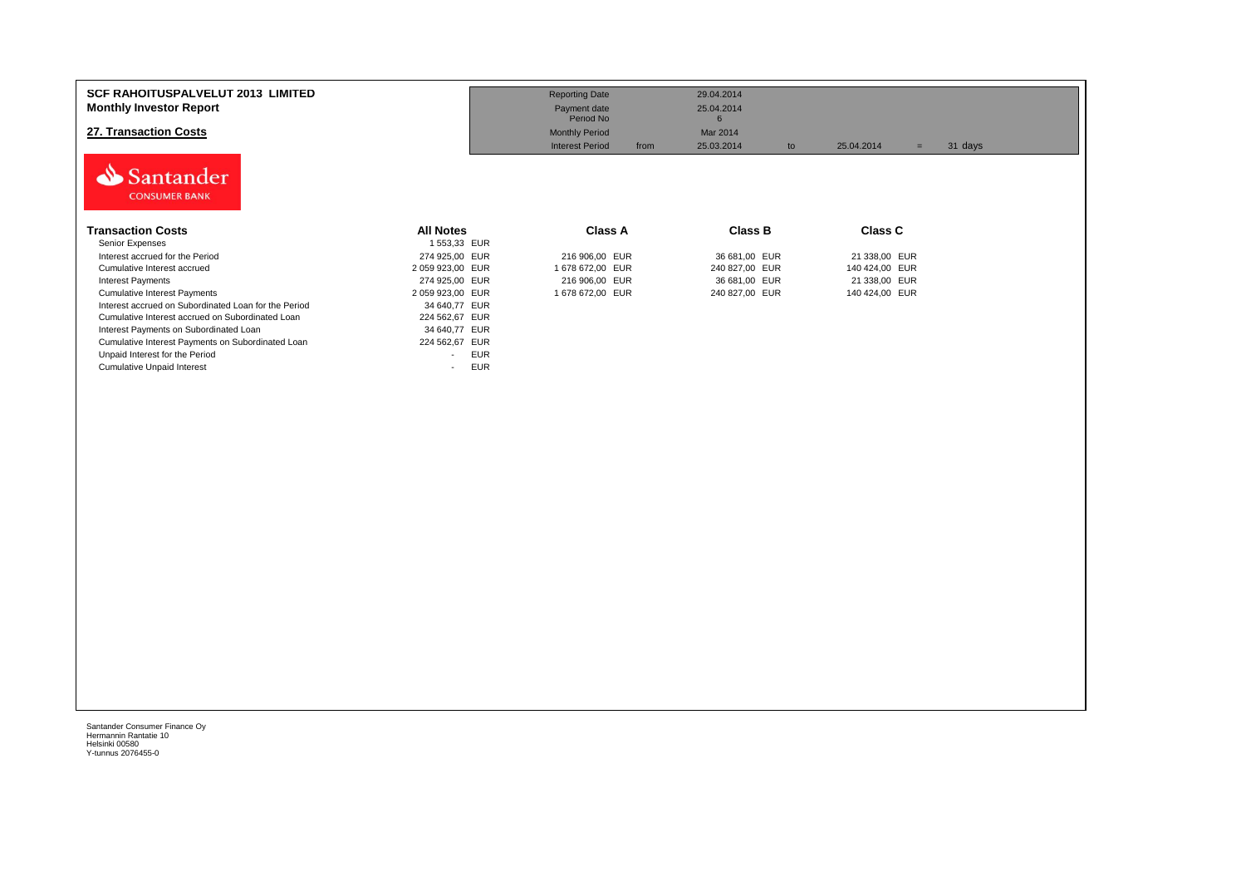| <b>SCF RAHOITUSPALVELUT 2013 LIMITED</b><br><b>Monthly Investor Report</b><br>27. Transaction Costs<br>Santander<br><b>CONSUMER BANK</b> |                  | <b>Reporting Date</b><br>Payment date<br>Period No<br><b>Monthly Period</b><br><b>Interest Period</b><br>from | 29.04.2014<br>25.04.2014<br>6<br>Mar 2014<br>25.03.2014<br>to | 25.04.2014<br>$=$ | 31 days |
|------------------------------------------------------------------------------------------------------------------------------------------|------------------|---------------------------------------------------------------------------------------------------------------|---------------------------------------------------------------|-------------------|---------|
| <b>Transaction Costs</b>                                                                                                                 | <b>All Notes</b> | <b>Class A</b>                                                                                                | <b>Class B</b>                                                | <b>Class C</b>    |         |
| Senior Expenses                                                                                                                          | 1 553,33 EUR     |                                                                                                               |                                                               |                   |         |
| Interest accrued for the Period                                                                                                          | 274 925,00 EUR   | 216 906,00 EUR                                                                                                | 36 681,00 EUR                                                 | 21 338,00 EUR     |         |
| Cumulative Interest accrued                                                                                                              | 2 059 923,00 EUR | 1 678 672,00 EUR                                                                                              | 240 827,00 EUR                                                | 140 424,00 EUR    |         |
| <b>Interest Payments</b>                                                                                                                 | 274 925,00 EUR   | 216 906,00 EUR                                                                                                | 36 681,00 EUR                                                 | 21 338,00 EUR     |         |
| <b>Cumulative Interest Payments</b>                                                                                                      | 2 059 923,00 EUR | 1 678 672,00 EUR                                                                                              | 240 827,00 EUR                                                | 140 424,00 EUR    |         |
| Interest accrued on Subordinated Loan for the Period                                                                                     | 34 640,77 EUR    |                                                                                                               |                                                               |                   |         |
| Cumulative Interest accrued on Subordinated Loan                                                                                         | 224 562,67 EUR   |                                                                                                               |                                                               |                   |         |
| Interest Payments on Subordinated Loan                                                                                                   | 34 640,77 EUR    |                                                                                                               |                                                               |                   |         |
| Cumulative Interest Payments on Subordinated Loan                                                                                        | 224 562,67 EUR   |                                                                                                               |                                                               |                   |         |
| Unpaid Interest for the Period                                                                                                           | <b>EUR</b><br>۰  |                                                                                                               |                                                               |                   |         |
| <b>Cumulative Unpaid Interest</b>                                                                                                        | <b>EUR</b><br>۰  |                                                                                                               |                                                               |                   |         |